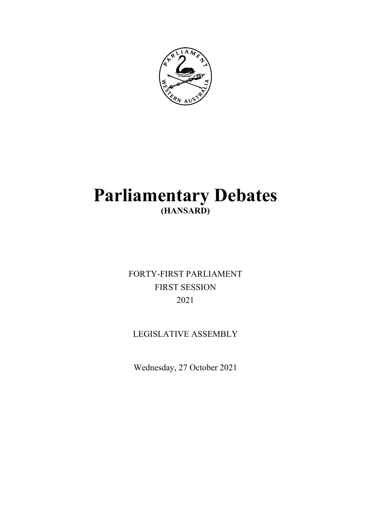

# **Parliamentary Debates (HANSARD)**

FORTY-FIRST PARLIAMENT FIRST SESSION 2021

# LEGISLATIVE ASSEMBLY

Wednesday, 27 October 2021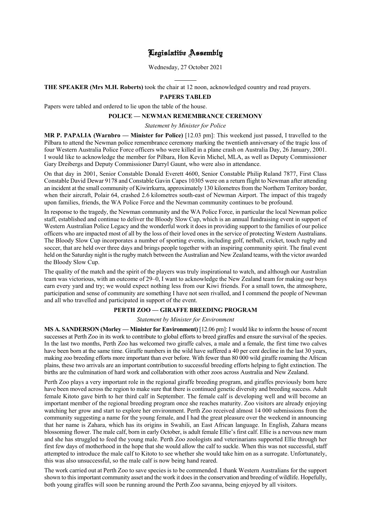# Legislative Assembly

Wednesday, 27 October 2021

 $\overline{a}$ **THE SPEAKER (Mrs M.H. Roberts)** took the chair at 12 noon, acknowledged country and read prayers.

# **PAPERS TABLED**

Papers were tabled and ordered to lie upon the table of the house.

#### **POLICE — NEWMAN REMEMBRANCE CEREMONY**

*Statement by Minister for Police*

**MR P. PAPALIA (Warnbro — Minister for Police)** [12.03 pm]: This weekend just passed, I travelled to the Pilbara to attend the Newman police remembrance ceremony marking the twentieth anniversary of the tragic loss of four Western Australia Police Force officers who were killed in a plane crash on Australia Day, 26 January, 2001. I would like to acknowledge the member for Pilbara, Hon Kevin Michel, MLA, as well as Deputy Commissioner Gary Dreibergs and Deputy Commissioner Darryl Gaunt, who were also in attendance.

On that day in 2001, Senior Constable Donald Everett 4600, Senior Constable Philip Ruland 7877, First Class Constable David Dewar 9178 and Constable Gavin Capes 10305 were on a return flight to Newman after attending an incident at the small community of Kiwirrkurra, approximately 130 kilometres from the Northern Territory border, when their aircraft, Polair 64, crashed 2.6 kilometres south-east of Newman Airport. The impact of this tragedy upon families, friends, the WA Police Force and the Newman community continues to be profound.

In response to the tragedy, the Newman community and the WA Police Force, in particular the local Newman police staff, established and continue to deliver the Bloody Slow Cup, which is an annual fundraising event in support of Western Australian Police Legacy and the wonderful work it does in providing support to the families of our police officers who are impacted most of all by the loss of their loved ones in the service of protecting Western Australians. The Bloody Slow Cup incorporates a number of sporting events, including golf, netball, cricket, touch rugby and soccer, that are held over three days and brings people together with an inspiring community spirit. The final event held on the Saturday night is the rugby match between the Australian and New Zealand teams, with the victor awarded the Bloody Slow Cup.

The quality of the match and the spirit of the players was truly inspirational to watch, and although our Australian team was victorious, with an outcome of 29–0, I want to acknowledge the New Zealand team for making our boys earn every yard and try; we would expect nothing less from our Kiwi friends. For a small town, the atmosphere, participation and sense of community are something I have not seen rivalled, and I commend the people of Newman and all who travelled and participated in support of the event.

#### **PERTH ZOO — GIRAFFE BREEDING PROGRAM**

*Statement by Minister for Environment*

**MS A. SANDERSON (Morley — Minister for Environment)** [12.06 pm]: I would like to inform the house of recent successes at Perth Zoo in its work to contribute to global efforts to breed giraffes and ensure the survival of the species. In the last two months, Perth Zoo has welcomed two giraffe calves, a male and a female, the first time two calves have been born at the same time. Giraffe numbers in the wild have suffered a 40 per cent decline in the last 30 years, making zoo breeding efforts more important than ever before. With fewer than 80 000 wild giraffe roaming the African plains, these two arrivals are an important contribution to successful breeding efforts helping to fight extinction. The births are the culmination of hard work and collaboration with other zoos across Australia and New Zealand.

Perth Zoo plays a very important role in the regional giraffe breeding program, and giraffes previously born here have been moved across the region to make sure that there is continued genetic diversity and breeding success. Adult female Kitoto gave birth to her third calf in September. The female calf is developing well and will become an important member of the regional breeding program once she reaches maturity. Zoo visitors are already enjoying watching her grow and start to explore her environment. Perth Zoo received almost 14 000 submissions from the community suggesting a name for the young female, and I had the great pleasure over the weekend in announcing that her name is Zahara, which has its origins in Swahili, an East African language. In English, Zahara means blossoming flower. The male calf, born in early October, is adult female Ellie's first calf. Ellie is a nervous new mum and she has struggled to feed the young male. Perth Zoo zoologists and veterinarians supported Ellie through her first few days of motherhood in the hope that she would allow the calf to suckle. When this was not successful, staff attempted to introduce the male calf to Kitoto to see whether she would take him on as a surrogate. Unfortunately, this was also unsuccessful, so the male calf is now being hand reared.

The work carried out at Perth Zoo to save species is to be commended. I thank Western Australians for the support shown to this important community asset and the work it does in the conservation and breeding of wildlife. Hopefully, both young giraffes will soon be running around the Perth Zoo savanna, being enjoyed by all visitors.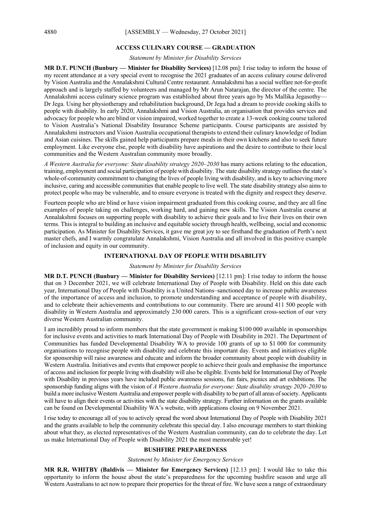#### **ACCESS CULINARY COURSE — GRADUATION**

# *Statement by Minister for Disability Services*

**MR D.T. PUNCH (Bunbury — Minister for Disability Services)** [12.08 pm]: I rise today to inform the house of my recent attendance at a very special event to recognise the 2021 graduates of an access culinary course delivered by Vision Australia and the Annalakshmi Cultural Centre restaurant. Annalakshmi has a social welfare not-for-profit approach and is largely staffed by volunteers and managed by Mr Arun Natarajan, the director of the centre. The Annalakshmi access culinary science program was established about three years ago by Ms Mallika Jegasothy— Dr Jega. Using her physiotherapy and rehabilitation background, Dr Jega had a dream to provide cooking skills to people with disability. In early 2020, Annalakshmi and Vision Australia, an organisation that provides services and advocacy for people who are blind or vision impaired, worked together to create a 13-week cooking course tailored to Vision Australia's National Disability Insurance Scheme participants. Course participants are assisted by Annalakshmi instructors and Vision Australia occupational therapists to extend their culinary knowledge of Indian and Asian cuisines. The skills gained help participants prepare meals in their own kitchens and also to seek future employment. Like everyone else, people with disability have aspirations and the desire to contribute to their local communities and the Western Australian community more broadly.

*A Western Australia for everyone: State disability strategy 2020–2030* has many actions relating to the education, training, employment and social participation of people with disability. The state disability strategy outlines the state's whole-of-community commitment to changing the lives of people living with disability, and is key to achieving more inclusive, caring and accessible communities that enable people to live well. The state disability strategy also aims to protect people who may be vulnerable, and to ensure everyone is treated with the dignity and respect they deserve.

Fourteen people who are blind or have vision impairment graduated from this cooking course, and they are all fine examples of people taking on challenges, working hard, and gaining new skills. The Vision Australia course at Annalakshmi focuses on supporting people with disability to achieve their goals and to live their lives on their own terms. This is integral to building an inclusive and equitable society through health, wellbeing, social and economic participation. As Minister for Disability Services, it gave me great joy to see firsthand the graduation of Perth's next master chefs, and I warmly congratulate Annalakshmi, Vision Australia and all involved in this positive example of inclusion and equity in our community.

#### **INTERNATIONAL DAY OF PEOPLE WITH DISABILITY**

#### *Statement by Minister for Disability Services*

**MR D.T. PUNCH (Bunbury — Minister for Disability Services)** [12.11 pm]: I rise today to inform the house that on 3 December 2021, we will celebrate International Day of People with Disability. Held on this date each year, International Day of People with Disability is a United Nations–sanctioned day to increase public awareness of the importance of access and inclusion, to promote understanding and acceptance of people with disability, and to celebrate their achievements and contributions to our community. There are around 411 500 people with disability in Western Australia and approximately 230 000 carers. This is a significant cross-section of our very diverse Western Australian community.

I am incredibly proud to inform members that the state government is making \$100 000 available in sponsorships for inclusive events and activities to mark International Day of People with Disability in 2021. The Department of Communities has funded Developmental Disability WA to provide 100 grants of up to \$1 000 for community organisations to recognise people with disability and celebrate this important day. Events and initiatives eligible for sponsorship will raise awareness and educate and inform the broader community about people with disability in Western Australia. Initiatives and events that empower people to achieve their goals and emphasise the importance of access and inclusion for people living with disability will also be eligible. Events held for International Day of People with Disability in previous years have included public awareness sessions, fun fairs, picnics and art exhibitions. The sponsorship funding aligns with the vision of *A Western Australia for everyone: State disability strategy 2020–2030* to build a more inclusive Western Australia and empower people with disability to be part of all areas of society. Applicants will have to align their events or activities with the state disability strategy. Further information on the grants available can be found on Developmental Disability WA's website, with applications closing on 9 November 2021.

I rise today to encourage all of you to actively spread the word about International Day of People with Disability 2021 and the grants available to help the community celebrate this special day. I also encourage members to start thinking about what they, as elected representatives of the Western Australian community, can do to celebrate the day. Let us make International Day of People with Disability 2021 the most memorable yet!

#### **BUSHFIRE PREPAREDNESS**

#### *Statement by Minister for Emergency Services*

**MR R.R. WHITBY (Baldivis — Minister for Emergency Services)** [12.13 pm]: I would like to take this opportunity to inform the house about the state's preparedness for the upcoming bushfire season and urge all Western Australians to act now to prepare their properties for the threat of fire. We have seen a range of extraordinary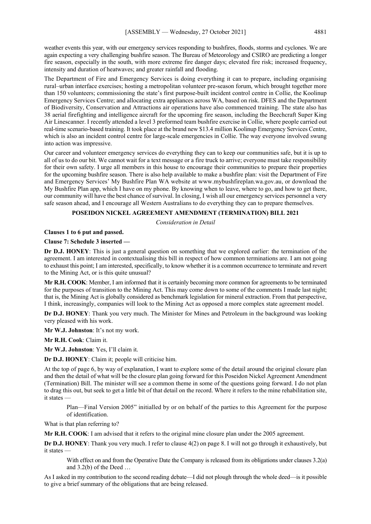weather events this year, with our emergency services responding to bushfires, floods, storms and cyclones. We are again expecting a very challenging bushfire season. The Bureau of Meteorology and CSIRO are predicting a longer fire season, especially in the south, with more extreme fire danger days; elevated fire risk; increased frequency, intensity and duration of heatwaves; and greater rainfall and flooding.

The Department of Fire and Emergency Services is doing everything it can to prepare, including organising rural–urban interface exercises; hosting a metropolitan volunteer pre-season forum, which brought together more than 150 volunteers; commissioning the state's first purpose-built incident control centre in Collie, the Koolinup Emergency Services Centre; and allocating extra appliances across WA, based on risk. DFES and the Department of Biodiversity, Conservation and Attractions air operations have also commenced training. The state also has 38 aerial firefighting and intelligence aircraft for the upcoming fire season, including the Beechcraft Super King Air Linescanner. I recently attended a level 3 preformed team bushfire exercise in Collie, where people carried out real-time scenario-based training. It took place at the brand new \$13.4 million Koolinup Emergency Services Centre, which is also an incident control centre for large-scale emergencies in Collie. The way everyone involved swung into action was impressive.

Our career and volunteer emergency services do everything they can to keep our communities safe, but it is up to all of us to do our bit. We cannot wait for a text message or a fire truck to arrive; everyone must take responsibility for their own safety. I urge all members in this house to encourage their communities to prepare their properties for the upcoming bushfire season. There is also help available to make a bushfire plan: visit the Department of Fire and Emergency Services' My Bushfire Plan WA website at www.mybushfireplan.wa.gov.au, or download the My Bushfire Plan app, which I have on my phone. By knowing when to leave, where to go, and how to get there, our community will have the best chance of survival. In closing, I wish all our emergency services personnel a very safe season ahead, and I encourage all Western Australians to do everything they can to prepare themselves.

#### **POSEIDON NICKEL AGREEMENT AMENDMENT (TERMINATION) BILL 2021**

*Consideration in Detail*

#### **Clauses 1 to 6 put and passed.**

#### **Clause 7: Schedule 3 inserted —**

**Dr D.J. HONEY**: This is just a general question on something that we explored earlier: the termination of the agreement. I am interested in contextualising this bill in respect of how common terminations are. I am not going to exhaust this point; I am interested, specifically, to know whether it is a common occurrence to terminate and revert to the Mining Act, or is this quite unusual?

**Mr R.H. COOK**: Member, I am informed that it is certainly becoming more common for agreements to be terminated for the purposes of transition to the Mining Act. This may come down to some of the comments I made last night; that is, the Mining Act is globally considered as benchmark legislation for mineral extraction. From that perspective, I think, increasingly, companies will look to the Mining Act as opposed a more complex state agreement model.

**Dr D.J. HONEY**: Thank you very much. The Minister for Mines and Petroleum in the background was looking very pleased with his work.

**Mr W.J. Johnston**: It's not my work.

**Mr R.H. Cook**: Claim it.

**Mr W.J. Johnston**: Yes, I'll claim it.

**Dr D.J. HONEY**: Claim it; people will criticise him.

At the top of page 6, by way of explanation, I want to explore some of the detail around the original closure plan and then the detail of what will be the closure plan going forward for this Poseidon Nickel Agreement Amendment (Termination) Bill. The minister will see a common theme in some of the questions going forward. I do not plan to drag this out, but seek to get a little bit of that detail on the record. Where it refers to the mine rehabilitation site, it states —

Plan—Final Version 2005" initialled by or on behalf of the parties to this Agreement for the purpose of identification.

What is that plan referring to?

**Mr R.H. COOK**: I am advised that it refers to the original mine closure plan under the 2005 agreement.

**Dr D.J. HONEY**: Thank you very much. I refer to clause 4(2) on page 8. I will not go through it exhaustively, but it states —

With effect on and from the Operative Date the Company is released from its obligations under clauses 3.2(a) and 3.2(b) of the Deed …

As I asked in my contribution to the second reading debate—I did not plough through the whole deed—is it possible to give a brief summary of the obligations that are being released.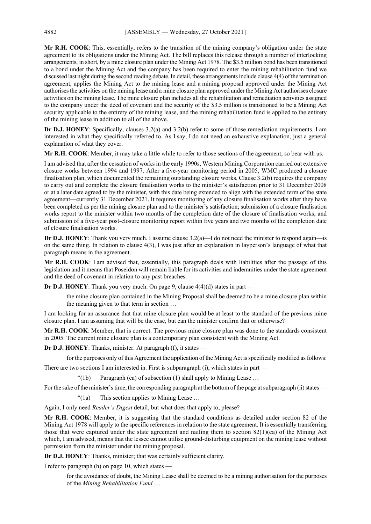**Mr R.H. COOK**: This, essentially, refers to the transition of the mining company's obligation under the state agreement to its obligations under the Mining Act. The bill replaces this release through a number of interlocking arrangements, in short, by a mine closure plan under the Mining Act 1978. The \$3.5 million bond has been transitioned to a bond under the Mining Act and the company has been required to enter the mining rehabilitation fund we discussed last night during the second reading debate. In detail, these arrangements include clause 4(4) of the termination agreement, applies the Mining Act to the mining lease and a mining proposal approved under the Mining Act authorises the activities on the mining lease and a mine closure plan approved under the Mining Act authorises closure activities on the mining lease. The mine closure plan includes all the rehabilitation and remediation activities assigned to the company under the deed of covenant and the security of the \$3.5 million is transitioned to be a Mining Act security applicable to the entirety of the mining lease, and the mining rehabilitation fund is applied to the entirety of the mining lease in addition to all of the above.

**Dr D.J. HONEY**: Specifically, clauses 3.2(a) and 3.2(b) refer to some of those remediation requirements. I am interested in what they specifically referred to. As I say, I do not need an exhaustive explanation, just a general explanation of what they cover.

**Mr R.H. COOK**: Member, it may take a little while to refer to those sections of the agreement, so bear with us.

I am advised that after the cessation of works in the early 1990s, Western Mining Corporation carried out extensive closure works between 1994 and 1997. After a five-year monitoring period in 2005, WMC produced a closure finalisation plan, which documented the remaining outstanding closure works. Clause 3.2(b) requires the company to carry out and complete the closure finalisation works to the minister's satisfaction prior to 31 December 2008 or at a later date agreed to by the minister, with this date being extended to align with the extended term of the state agreement—currently 31 December 2021. It requires monitoring of any closure finalisation works after they have been completed as per the mining closure plan and to the minister's satisfaction; submission of a closure finalisation works report to the minister within two months of the completion date of the closure of finalisation works; and submission of a five-year post-closure monitoring report within five years and two months of the completion date of closure finalisation works.

**Dr D.J. HONEY**: Thank you very much. I assume clause 3.2(a)—I do not need the minister to respond again—is on the same thing. In relation to clause 4(3), I was just after an explanation in layperson's language of what that paragraph means in the agreement.

**Mr R.H. COOK**: I am advised that, essentially, this paragraph deals with liabilities after the passage of this legislation and it means that Poseidon will remain liable for its activities and indemnities under the state agreement and the deed of covenant in relation to any past breaches.

**Dr D.J. HONEY**: Thank you very much. On page 9, clause 4(4)(d) states in part —

the mine closure plan contained in the Mining Proposal shall be deemed to be a mine closure plan within the meaning given to that term in section …

I am looking for an assurance that that mine closure plan would be at least to the standard of the previous mine closure plan. I am assuming that will be the case, but can the minister confirm that or otherwise?

**Mr R.H. COOK**: Member, that is correct. The previous mine closure plan was done to the standards consistent in 2005. The current mine closure plan is a contemporary plan consistent with the Mining Act.

**Dr D.J. HONEY**: Thanks, minister. At paragraph (f), it states —

for the purposes only of this Agreement the application of the Mining Act is specifically modified as follows:

There are two sections I am interested in. First is subparagraph (i), which states in part —

"(1b) Paragraph (ca) of subsection  $(1)$  shall apply to Mining Lease ...

For the sake of the minister's time, the corresponding paragraph at the bottom of the page at subparagraph (ii) states —

"(1a) This section applies to Mining Lease …

Again, I only need *Reader's Digest* detail, but what does that apply to, please?

**Mr R.H. COOK**: Member, it is suggesting that the standard conditions as detailed under section 82 of the Mining Act 1978 will apply to the specific references in relation to the state agreement. It is essentially transferring those that were captured under the state agreement and nailing them to section 82(1)(ca) of the Mining Act which, I am advised, means that the lessee cannot utilise ground-disturbing equipment on the mining lease without permission from the minister under the mining proposal.

**Dr D.J. HONEY**: Thanks, minister; that was certainly sufficient clarity.

I refer to paragraph (h) on page 10, which states —

for the avoidance of doubt, the Mining Lease shall be deemed to be a mining authorisation for the purposes of the *Mining Rehabilitation Fund* …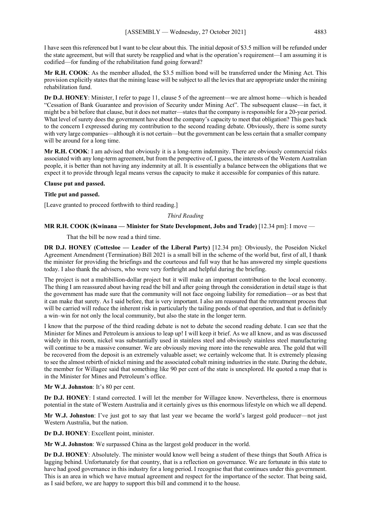I have seen this referenced but I want to be clear about this. The initial deposit of \$3.5 million will be refunded under the state agreement, but will that surety be reapplied and what is the operation's requirement—I am assuming it is codified—for funding of the rehabilitation fund going forward?

**Mr R.H. COOK**: As the member alluded, the \$3.5 million bond will be transferred under the Mining Act. This provision explicitly states that the mining lease will be subject to all the levies that are appropriate under the mining rehabilitation fund.

**Dr D.J. HONEY**: Minister, I refer to page 11, clause 5 of the agreement—we are almost home—which is headed "Cessation of Bank Guarantee and provision of Security under Mining Act". The subsequent clause—in fact, it might be a bit before that clause, but it does not matter—states that the company is responsible for a 20-year period. What level of surety does the government have about the company's capacity to meet that obligation? This goes back to the concern I expressed during my contribution to the second reading debate. Obviously, there is some surety with very large companies—although it is not certain—but the government can be less certain that a smaller company will be around for a long time.

**Mr R.H. COOK**: I am advised that obviously it is a long-term indemnity. There are obviously commercial risks associated with any long-term agreement, but from the perspective of, I guess, the interests of the Western Australian people, it is better than not having any indemnity at all. It is essentially a balance between the obligations that we expect it to provide through legal means versus the capacity to make it accessible for companies of this nature.

### **Clause put and passed.**

# **Title put and passed.**

[Leave granted to proceed forthwith to third reading.]

### *Third Reading*

### **MR R.H. COOK (Kwinana — Minister for State Development, Jobs and Trade)** [12.34 pm]: I move —

That the bill be now read a third time.

**DR D.J. HONEY (Cottesloe — Leader of the Liberal Party)** [12.34 pm]: Obviously, the Poseidon Nickel Agreement Amendment (Termination) Bill 2021 is a small bill in the scheme of the world but, first of all, I thank the minister for providing the briefings and the courteous and full way that he has answered my simple questions today. I also thank the advisers, who were very forthright and helpful during the briefing.

The project is not a multibillion-dollar project but it will make an important contribution to the local economy. The thing I am reassured about having read the bill and after going through the consideration in detail stage is that the government has made sure that the community will not face ongoing liability for remediation—or as best that it can make that surety. As I said before, that is very important. I also am reassured that the retreatment process that will be carried will reduce the inherent risk in particularly the tailing ponds of that operation, and that is definitely a win–win for not only the local community, but also the state in the longer term.

I know that the purpose of the third reading debate is not to debate the second reading debate. I can see that the Minister for Mines and Petroleum is anxious to leap up! I will keep it brief. As we all know, and as was discussed widely in this room, nickel was substantially used in stainless steel and obviously stainless steel manufacturing will continue to be a massive consumer. We are obviously moving more into the renewable area. The gold that will be recovered from the deposit is an extremely valuable asset; we certainly welcome that. It is extremely pleasing to see the almost rebirth of nickel mining and the associated cobalt mining industries in the state. During the debate, the member for Willagee said that something like 90 per cent of the state is unexplored. He quoted a map that is in the Minister for Mines and Petroleum's office.

### **Mr W.J. Johnston**: It's 80 per cent.

**Dr D.J. HONEY**: I stand corrected. I will let the member for Willagee know. Nevertheless, there is enormous potential in the state of Western Australia and it certainly gives us this enormous lifestyle on which we all depend.

**Mr W.J. Johnston**: I've just got to say that last year we became the world's largest gold producer—not just Western Australia, but the nation.

**Dr D.J. HONEY**: Excellent point, minister.

**Mr W.J. Johnston**: We surpassed China as the largest gold producer in the world.

**Dr D.J. HONEY:** Absolutely. The minister would know well being a student of these things that South Africa is lagging behind. Unfortunately for that country, that is a reflection on governance. We are fortunate in this state to have had good governance in this industry for a long period. I recognise that that continues under this government. This is an area in which we have mutual agreement and respect for the importance of the sector. That being said, as I said before, we are happy to support this bill and commend it to the house.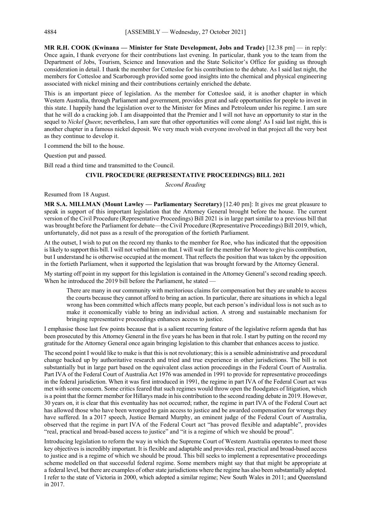**MR R.H. COOK (Kwinana — Minister for State Development, Jobs and Trade)** [12.38 pm] — in reply: Once again, I thank everyone for their contributions last evening. In particular, thank you to the team from the Department of Jobs, Tourism, Science and Innovation and the State Solicitor's Office for guiding us through consideration in detail. I thank the member for Cottesloe for his contribution to the debate. As I said last night, the members for Cottesloe and Scarborough provided some good insights into the chemical and physical engineering associated with nickel mining and their contributions certainly enriched the debate.

This is an important piece of legislation. As the member for Cottesloe said, it is another chapter in which Western Australia, through Parliament and government, provides great and safe opportunities for people to invest in this state. I happily hand the legislation over to the Minister for Mines and Petroleum under his regime. I am sure that he will do a cracking job. I am disappointed that the Premier and I will not have an opportunity to star in the sequel to *Nickel Queen*; nevertheless, I am sure that other opportunities will come along! As I said last night, this is another chapter in a famous nickel deposit. We very much wish everyone involved in that project all the very best as they continue to develop it.

I commend the bill to the house.

Question put and passed.

Bill read a third time and transmitted to the Council.

# **CIVIL PROCEDURE (REPRESENTATIVE PROCEEDINGS) BILL 2021**

*Second Reading*

Resumed from 18 August.

**MR S.A. MILLMAN (Mount Lawley — Parliamentary Secretary)** [12.40 pm]: It gives me great pleasure to speak in support of this important legislation that the Attorney General brought before the house. The current version of the Civil Procedure (Representative Proceedings) Bill 2021 is in large part similar to a previous bill that was brought before the Parliament for debate—the Civil Procedure (Representative Proceedings) Bill 2019, which, unfortunately, did not pass as a result of the prorogation of the fortieth Parliament.

At the outset, I wish to put on the record my thanks to the member for Roe, who has indicated that the opposition is likely to support this bill. I will not verbal him on that. I will wait for the member for Moore to give his contribution, but I understand he is otherwise occupied at the moment. That reflects the position that was taken by the opposition in the fortieth Parliament, when it supported the legislation that was brought forward by the Attorney General.

My starting off point in my support for this legislation is contained in the Attorney General's second reading speech. When he introduced the 2019 bill before the Parliament, he stated —

There are many in our community with meritorious claims for compensation but they are unable to access the courts because they cannot afford to bring an action. In particular, there are situations in which a legal wrong has been committed which affects many people, but each person's individual loss is not such as to make it economically viable to bring an individual action. A strong and sustainable mechanism for bringing representative proceedings enhances access to justice.

I emphasise those last few points because that is a salient recurring feature of the legislative reform agenda that has been prosecuted by this Attorney General in the five years he has been in that role. I start by putting on the record my gratitude for the Attorney General once again bringing legislation to this chamber that enhances access to justice.

The second point I would like to make is that this is not revolutionary; this is a sensible administrative and procedural change backed up by authoritative research and tried and true experience in other jurisdictions. The bill is not substantially but in large part based on the equivalent class action proceedings in the Federal Court of Australia. Part IVA of the Federal Court of Australia Act 1976 was amended in 1991 to provide for representative proceedings in the federal jurisdiction. When it was first introduced in 1991, the regime in part IVA of the Federal Court act was met with some concern. Some critics feared that such regimes would throw open the floodgates of litigation, which is a point that the former member for Hillarys made in his contribution to the second reading debate in 2019. However, 30 years on, it is clear that this eventuality has not occurred; rather, the regime in part IVA of the Federal Court act has allowed those who have been wronged to gain access to justice and be awarded compensation for wrongs they have suffered. In a 2017 speech, Justice Bernard Murphy, an eminent judge of the Federal Court of Australia, observed that the regime in part IVA of the Federal Court act "has proved flexible and adaptable", provides "real, practical and broad-based access to justice" and "it is a regime of which we should be proud".

Introducing legislation to reform the way in which the Supreme Court of Western Australia operates to meet those key objectives is incredibly important. It is flexible and adaptable and provides real, practical and broad-based access to justice and is a regime of which we should be proud. This bill seeks to implement a representative proceedings scheme modelled on that successful federal regime. Some members might say that that might be appropriate at a federal level, but there are examples of other state jurisdictions where the regime has also been substantially adopted. I refer to the state of Victoria in 2000, which adopted a similar regime; New South Wales in 2011; and Queensland in 2017.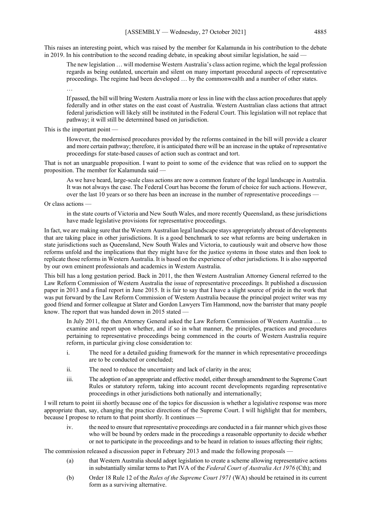This raises an interesting point, which was raised by the member for Kalamunda in his contribution to the debate in 2019. In his contribution to the second reading debate, in speaking about similar legislation, he said

The new legislation … will modernise Western Australia's class action regime, which the legal profession regards as being outdated, uncertain and silent on many important procedural aspects of representative proceedings. The regime had been developed … by the commonwealth and a number of other states.

…

If passed, the bill will bring Western Australia more or less in line with the class action procedures that apply federally and in other states on the east coast of Australia. Western Australian class actions that attract federal jurisdiction will likely still be instituted in the Federal Court. This legislation will not replace that pathway; it will still be determined based on jurisdiction.

This is the important point —

However, the modernised procedures provided by the reforms contained in the bill will provide a clearer and more certain pathway; therefore, it is anticipated there will be an increase in the uptake of representative proceedings for state-based causes of action such as contract and tort.

That is not an unarguable proposition. I want to point to some of the evidence that was relied on to support the proposition. The member for Kalamunda said —

As we have heard, large-scale class actions are now a common feature of the legal landscape in Australia. It was not always the case. The Federal Court has become the forum of choice for such actions. However, over the last 10 years or so there has been an increase in the number of representative proceedings —

Or class actions —

in the state courts of Victoria and New South Wales, and more recently Queensland, as these jurisdictions have made legislative provisions for representative proceedings.

In fact, we are making sure that the Western Australian legal landscape stays appropriately abreast of developments that are taking place in other jurisdictions. It is a good benchmark to see what reforms are being undertaken in state jurisdictions such as Queensland, New South Wales and Victoria, to cautiously wait and observe how those reforms unfold and the implications that they might have for the justice systems in those states and then look to replicate those reforms in Western Australia. It is based on the experience of other jurisdictions. It is also supported by our own eminent professionals and academics in Western Australia.

This bill has a long gestation period. Back in 2011, the then Western Australian Attorney General referred to the Law Reform Commission of Western Australia the issue of representative proceedings. It published a discussion paper in 2013 and a final report in June 2015. It is fair to say that I have a slight source of pride in the work that was put forward by the Law Reform Commission of Western Australia because the principal project writer was my good friend and former colleague at Slater and Gordon Lawyers Tim Hammond, now the barrister that many people know. The report that was handed down in 2015 stated —

In July 2011, the then Attorney General asked the Law Reform Commission of Western Australia … to examine and report upon whether, and if so in what manner, the principles, practices and procedures pertaining to representative proceedings being commenced in the courts of Western Australia require reform, in particular giving close consideration to:

- i. The need for a detailed guiding framework for the manner in which representative proceedings are to be conducted or concluded;
- ii. The need to reduce the uncertainty and lack of clarity in the area;
- iii. The adoption of an appropriate and effective model, either through amendment to the Supreme Court Rules or statutory reform, taking into account recent developments regarding representative proceedings in other jurisdictions both nationally and internationally;

I will return to point iii shortly because one of the topics for discussion is whether a legislative response was more appropriate than, say, changing the practice directions of the Supreme Court. I will highlight that for members, because I propose to return to that point shortly. It continues —

iv. the need to ensure that representative proceedings are conducted in a fair manner which gives those who will be bound by orders made in the proceedings a reasonable opportunity to decide whether or not to participate in the proceedings and to be heard in relation to issues affecting their rights;

The commission released a discussion paper in February 2013 and made the following proposals –

- (a) that Western Australia should adopt legislation to create a scheme allowing representative actions in substantially similar terms to Part IVA of the *Federal Court of Australia Act 1976* (Cth); and
- (b) Order 18 Rule 12 of the *Rules of the Supreme Court 1971* (WA) should be retained in its current form as a surviving alternative.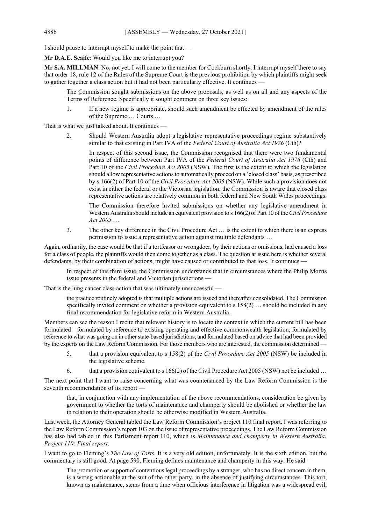I should pause to interrupt myself to make the point that —

**Mr D.A.E. Scaife**: Would you like me to interrupt you?

**Mr S.A. MILLMAN**: No, not yet. I will come to the member for Cockburn shortly. I interrupt myself there to say that order 18, rule 12 of the Rules of the Supreme Court is the previous prohibition by which plaintiffs might seek to gather together a class action but it had not been particularly effective. It continues –

The Commission sought submissions on the above proposals, as well as on all and any aspects of the Terms of Reference. Specifically it sought comment on three key issues:

1. If a new regime is appropriate, should such amendment be effected by amendment of the rules of the Supreme … Courts …

That is what we just talked about. It continues -

2. Should Western Australia adopt a legislative representative proceedings regime substantively similar to that existing in Part IVA of the *Federal Court of Australia Act 1976* (Cth)?

In respect of this second issue, the Commission recognised that there were two fundamental points of difference between Part IVA of the *Federal Court of Australia Act 1976* (Cth) and Part 10 of the *Civil Procedure Act 2005* (NSW). The first is the extent to which the legislation should allow representative actions to automatically proceed on a 'closed class' basis, as prescribed by s 166(2) of Part 10 of the *Civil Procedure Act 2005* (NSW). While such a provision does not exist in either the federal or the Victorian legislation, the Commission is aware that closed class representative actions are relatively common in both federal and New South Wales proceedings.

The Commission therefore invited submissions on whether any legislative amendment in Western Australia should include an equivalent provision to s 166(2) of Part 10 of the *Civil Procedure Act 2005* …

3. The other key difference in the Civil Procedure Act … is the extent to which there is an express permission to issue a representative action against multiple defendants …

Again, ordinarily, the case would be that if a tortfeasor or wrongdoer, by their actions or omissions, had caused a loss for a class of people, the plaintiffs would then come together as a class. The question at issue here is whether several defendants, by their combination of actions, might have caused or contributed to that loss. It continues –

In respect of this third issue, the Commission understands that in circumstances where the Philip Morris issue presents in the federal and Victorian jurisdictions -

That is the lung cancer class action that was ultimately unsuccessful —

the practice routinely adopted is that multiple actions are issued and thereafter consolidated. The Commission specifically invited comment on whether a provision equivalent to s 158(2) … should be included in any final recommendation for legislative reform in Western Australia.

Members can see the reason I recite that relevant history is to locate the context in which the current bill has been formulated—formulated by reference to existing operating and effective commonwealth legislation; formulated by reference to what was going on in other state-based jurisdictions; and formulated based on advice that had been provided by the experts on the Law Reform Commission. For those members who are interested, the commission determined —

- 5. that a provision equivalent to s 158(2) of the *Civil Procedure Act 2005* (NSW) be included in the legislative scheme.
- 6. that a provision equivalent to s 166(2) of the Civil Procedure Act 2005 (NSW) not be included …

The next point that I want to raise concerning what was countenanced by the Law Reform Commission is the seventh recommendation of its report —

that, in conjunction with any implementation of the above recommendations, consideration be given by government to whether the torts of maintenance and champerty should be abolished or whether the law in relation to their operation should be otherwise modified in Western Australia.

Last week, the Attorney General tabled the Law Reform Commission's project 110 final report. I was referring to the Law Reform Commission's report 103 on the issue of representative proceedings. The Law Reform Commission has also had tabled in this Parliament report 110, which is *Maintenance and champerty in Western Australia: Project 110: Final report*.

I want to go to Fleming's *The Law of Torts*. It is a very old edition, unfortunately. It is the sixth edition, but the commentary is still good. At page 590, Fleming defines maintenance and champerty in this way. He said –

The promotion or support of contentious legal proceedings by a stranger, who has no direct concern in them, is a wrong actionable at the suit of the other party, in the absence of justifying circumstances. This tort, known as maintenance, stems from a time when officious interference in litigation was a widespread evil,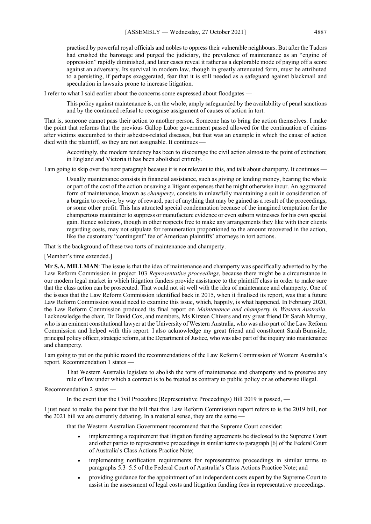practised by powerful royal officials and nobles to oppress their vulnerable neighbours. But after the Tudors had crushed the baronage and purged the judiciary, the prevalence of maintenance as an "engine of oppression" rapidly diminished, and later cases reveal it rather as a deplorable mode of paying off a score against an adversary. Its survival in modern law, though in greatly attenuated form, must be attributed to a persisting, if perhaps exaggerated, fear that it is still needed as a safeguard against blackmail and speculation in lawsuits prone to increase litigation.

I refer to what I said earlier about the concerns some expressed about floodgates —

This policy against maintenance is, on the whole, amply safeguarded by the availability of penal sanctions and by the continued refusal to recognise assignment of causes of action in tort.

That is, someone cannot pass their action to another person. Someone has to bring the action themselves. I make the point that reforms that the previous Gallop Labor government passed allowed for the continuation of claims after victims succumbed to their asbestos-related diseases, but that was an example in which the cause of action died with the plaintiff, so they are not assignable. It continues -

Accordingly, the modern tendency has been to discourage the civil action almost to the point of extinction; in England and Victoria it has been abolished entirely.

I am going to skip over the next paragraph because it is not relevant to this, and talk about champerty. It continues —

Usually maintenance consists in financial assistance, such as giving or lending money, bearing the whole or part of the cost of the action or saving a litigant expenses that he might otherwise incur. An aggravated form of maintenance, known as *champerty*, consists in unlawfully maintaining a suit in consideration of a bargain to receive, by way of reward, part of anything that may be gained as a result of the proceedings, or some other profit. This has attracted special condemnation because of the imagined temptation for the champertous maintainer to suppress or manufacture evidence or even suborn witnesses for his own special gain. Hence solicitors, though in other respects free to make any arrangements they like with their clients regarding costs, may not stipulate for remuneration proportioned to the amount recovered in the action, like the customary "contingent" fee of American plaintiffs' attorneys in tort actions.

That is the background of these two torts of maintenance and champerty.

[Member's time extended.]

**Mr S.A. MILLMAN**: The issue is that the idea of maintenance and champerty was specifically adverted to by the Law Reform Commission in project 103 *Representative proceedings*, because there might be a circumstance in our modern legal market in which litigation funders provide assistance to the plaintiff class in order to make sure that the class action can be prosecuted. That would not sit well with the idea of maintenance and champerty. One of the issues that the Law Reform Commission identified back in 2015, when it finalised its report, was that a future Law Reform Commission would need to examine this issue, which, happily, is what happened. In February 2020, the Law Reform Commission produced its final report on *Maintenance and champerty in Western Australia*. I acknowledge the chair, Dr David Cox, and members, Ms Kirsten Chivers and my great friend Dr Sarah Murray, who is an eminent constitutional lawyer at the University of Western Australia, who was also part of the Law Reform Commission and helped with this report. I also acknowledge my great friend and constituent Sarah Burnside, principal policy officer, strategic reform, at the Department of Justice, who was also part of the inquiry into maintenance and champerty.

I am going to put on the public record the recommendations of the Law Reform Commission of Western Australia's report. Recommendation 1 states —

That Western Australia legislate to abolish the torts of maintenance and champerty and to preserve any rule of law under which a contract is to be treated as contrary to public policy or as otherwise illegal.

Recommendation 2 states —

In the event that the Civil Procedure (Representative Proceedings) Bill 2019 is passed, —

I just need to make the point that the bill that this Law Reform Commission report refers to is the 2019 bill, not the 2021 bill we are currently debating. In a material sense, they are the same —

that the Western Australian Government recommend that the Supreme Court consider:

- implementing a requirement that litigation funding agreements be disclosed to the Supreme Court and other parties to representative proceedings in similar terms to paragraph [6] of the Federal Court of Australia's Class Actions Practice Note;
- implementing notification requirements for representative proceedings in similar terms to paragraphs 5.3–5.5 of the Federal Court of Australia's Class Actions Practice Note; and
- providing guidance for the appointment of an independent costs expert by the Supreme Court to assist in the assessment of legal costs and litigation funding fees in representative proceedings.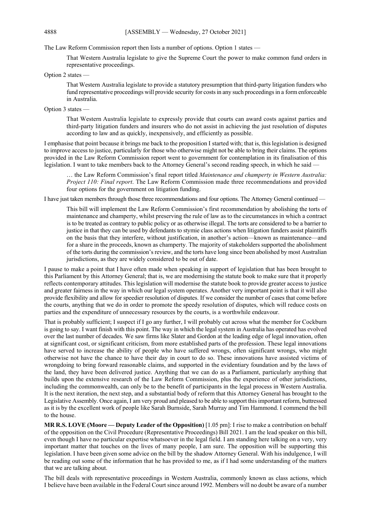The Law Reform Commission report then lists a number of options. Option 1 states —

That Western Australia legislate to give the Supreme Court the power to make common fund orders in representative proceedings.

Option 2 states —

That Western Australia legislate to provide a statutory presumption that third-party litigation funders who fund representative proceedings will provide security for costs in any such proceedings in a form enforceable in Australia.

#### Option 3 states —

That Western Australia legislate to expressly provide that courts can award costs against parties and third-party litigation funders and insurers who do not assist in achieving the just resolution of disputes according to law and as quickly, inexpensively, and efficiently as possible.

I emphasise that point because it brings me back to the proposition I started with; that is, this legislation is designed to improve access to justice, particularly for those who otherwise might not be able to bring their claims. The options provided in the Law Reform Commission report went to government for contemplation in its finalisation of this legislation. I want to take members back to the Attorney General's second reading speech, in which he said —

… the Law Reform Commission's final report titled *Maintenance and champerty in Western Australia: Project 110: Final report*. The Law Reform Commission made three recommendations and provided four options for the government on litigation funding.

I have just taken members through those three recommendations and four options. The Attorney General continued —

This bill will implement the Law Reform Commission's first recommendation by abolishing the torts of maintenance and champerty, whilst preserving the rule of law as to the circumstances in which a contract is to be treated as contrary to public policy or as otherwise illegal. The torts are considered to be a barrier to justice in that they can be used by defendants to stymie class actions when litigation funders assist plaintiffs on the basis that they interfere, without justification, in another's action—known as maintenance—and for a share in the proceeds, known as champerty. The majority of stakeholders supported the abolishment of the torts during the commission's review, and the torts have long since been abolished by most Australian jurisdictions, as they are widely considered to be out of date.

I pause to make a point that I have often made when speaking in support of legislation that has been brought to this Parliament by this Attorney General; that is, we are modernising the statute book to make sure that it properly reflects contemporary attitudes. This legislation will modernise the statute book to provide greater access to justice and greater fairness in the way in which our legal system operates. Another very important point is that it will also provide flexibility and allow for speedier resolution of disputes. If we consider the number of cases that come before the courts, anything that we do in order to promote the speedy resolution of disputes, which will reduce costs on parties and the expenditure of unnecessary resources by the courts, is a worthwhile endeavour.

That is probably sufficient; I suspect if I go any further, I will probably cut across what the member for Cockburn is going to say. I want finish with this point. The way in which the legal system in Australia has operated has evolved over the last number of decades. We saw firms like Slater and Gordon at the leading edge of legal innovation, often at significant cost, or significant criticism, from more established parts of the profession. These legal innovations have served to increase the ability of people who have suffered wrongs, often significant wrongs, who might otherwise not have the chance to have their day in court to do so. These innovations have assisted victims of wrongdoing to bring forward reasonable claims, and supported in the evidentiary foundation and by the laws of the land, they have been delivered justice. Anything that we can do as a Parliament, particularly anything that builds upon the extensive research of the Law Reform Commission, plus the experience of other jurisdictions, including the commonwealth, can only be to the benefit of participants in the legal process in Western Australia. It is the next iteration, the next step, and a substantial body of reform that this Attorney General has brought to the Legislative Assembly. Once again, I am very proud and pleased to be able to support this important reform, buttressed as it is by the excellent work of people like Sarah Burnside, Sarah Murray and Tim Hammond. I commend the bill to the house.

**MR R.S. LOVE (Moore — Deputy Leader of the Opposition)** [1.05 pm]: I rise to make a contribution on behalf of the opposition on the Civil Procedure (Representative Proceedings) Bill 2021. I am the lead speaker on this bill, even though I have no particular expertise whatsoever in the legal field. I am standing here talking on a very, very important matter that touches on the lives of many people, I am sure. The opposition will be supporting this legislation. I have been given some advice on the bill by the shadow Attorney General. With his indulgence, I will be reading out some of the information that he has provided to me, as if I had some understanding of the matters that we are talking about.

The bill deals with representative proceedings in Western Australia, commonly known as class actions, which I believe have been available in the Federal Court since around 1992. Members will no doubt be aware of a number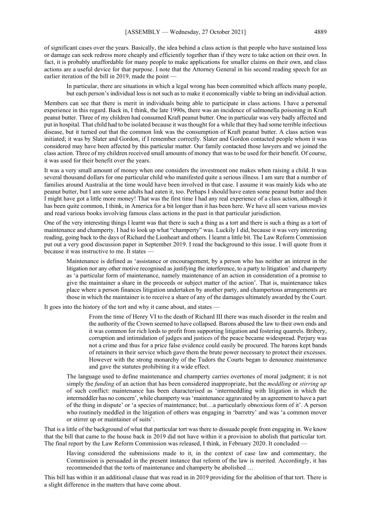of significant cases over the years. Basically, the idea behind a class action is that people who have sustained loss or damage can seek redress more cheaply and efficiently together than if they were to take action on their own. In fact, it is probably unaffordable for many people to make applications for smaller claims on their own, and class actions are a useful device for that purpose. I note that the Attorney General in his second reading speech for an earlier iteration of the bill in 2019, made the point –

In particular, there are situations in which a legal wrong has been committed which affects many people, but each person's individual loss is not such as to make it economically viable to bring an individual action.

Members can see that there is merit in individuals being able to participate in class actions. I have a personal experience in this regard. Back in, I think, the late 1990s, there was an incidence of salmonella poisoning in Kraft peanut butter. Three of my children had consumed Kraft peanut butter. One in particular was very badly affected and put in hospital. That child had to be isolated because it was thought for a while that they had some terrible infectious disease, but it turned out that the common link was the consumption of Kraft peanut butter. A class action was initiated; it was by Slater and Gordon, if I remember correctly. Slater and Gordon contacted people whom it was considered may have been affected by this particular matter. Our family contacted those lawyers and we joined the class action. Three of my children received small amounts of money that was to be used for their benefit. Of course, it was used for their benefit over the years.

It was a very small amount of money when one considers the investment one makes when raising a child. It was several thousand dollars for one particular child who manifested quite a serious illness. I am sure that a number of families around Australia at the time would have been involved in that case. I assume it was mainly kids who ate peanut butter, but I am sure some adults had eaten it, too. Perhaps I should have eaten some peanut butter and then I might have got a little more money! That was the first time I had any real experience of a class action, although it has been quite common, I think, in America for a bit longer than it has been here. We have all seen various movies and read various books involving famous class actions in the past in that particular jurisdiction.

One of the very interesting things I learnt was that there is such a thing as a tort and there is such a thing as a tort of maintenance and champerty. I had to look up what "champerty" was. Luckily I did, because it was very interesting reading, going back to the days of Richard the Lionheart and others. I learnt a little bit. The Law Reform Commission put out a very good discussion paper in September 2019. I read the background to this issue. I will quote from it because it was instructive to me. It states -

Maintenance is defined as 'assistance or encouragement, by a person who has neither an interest in the litigation nor any other motive recognised as justifying the interference, to a party to litigation' and champerty as 'a particular form of maintenance, namely maintenance of an action in consideration of a promise to give the maintainer a share in the proceeds or subject matter of the action'. That is, maintenance takes place where a person finances litigation undertaken by another party, and champertous arrangements are those in which the maintainer is to receive a share of any of the damages ultimately awarded by the Court.

It goes into the history of the tort and why it came about, and states -

From the time of Henry VI to the death of Richard III there was much disorder in the realm and the authority of the Crown seemed to have collapsed. Barons abused the law to their own ends and it was common for rich lords to profit from supporting litigation and fostering quarrels. Bribery, corruption and intimidation of judges and justices of the peace became widespread. Perjury was not a crime and thus for a price false evidence could easily be procured. The barons kept bands of retainers in their service which gave them the brute power necessary to protect their excesses. However with the strong monarchy of the Tudors the Courts began to denounce maintenance and gave the statutes prohibiting it a wide effect.

The language used to define maintenance and champerty carries overtones of moral judgment; it is not simply the *funding* of an action that has been considered inappropriate, but the *meddling* or *stirring up*  of such conflict: maintenance has been characterised as 'intermeddling with litigation in which the intermeddler has no concern', while champerty was 'maintenance aggravated by an agreement to have a part of the thing in dispute' or 'a species of maintenance; but…a particularly obnoxious form of it'. A person who routinely meddled in the litigation of others was engaging in 'barretry' and was 'a common mover or stirrer up or maintainer of suits'.

That is a little of the background of what that particular tort was there to dissuade people from engaging in. We know that the bill that came to the house back in 2019 did not have within it a provision to abolish that particular tort. The final report by the Law Reform Commission was released, I think, in February 2020. It concluded —

Having considered the submissions made to it, in the context of case law and commentary, the Commission is persuaded in the present instance that reform of the law is merited. Accordingly, it has recommended that the torts of maintenance and champerty be abolished …

This bill has within it an additional clause that was read in in 2019 providing for the abolition of that tort. There is a slight difference in the matters that have come about.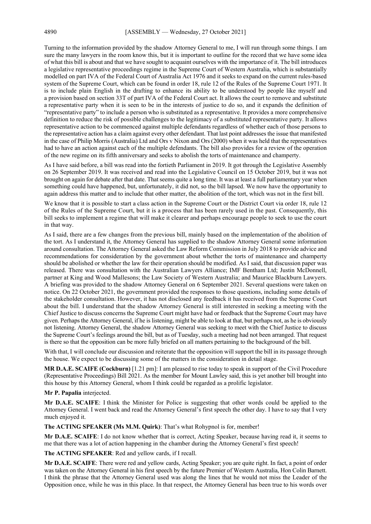Turning to the information provided by the shadow Attorney General to me, I will run through some things. I am sure the many lawyers in the room know this, but it is important to outline for the record that we have some idea of what this bill is about and that we have sought to acquaint ourselves with the importance of it. The bill introduces a legislative representative proceedings regime in the Supreme Court of Western Australia, which is substantially modelled on part IVA of the Federal Court of Australia Act 1976 and it seeks to expand on the current rules-based system of the Supreme Court, which can be found in order 18, rule 12 of the Rules of the Supreme Court 1971. It is to include plain English in the drafting to enhance its ability to be understood by people like myself and a provision based on section 33T of part IVA of the Federal Court act. It allows the court to remove and substitute a representative party when it is seen to be in the interests of justice to do so, and it expands the definition of "representative party" to include a person who is substituted as a representative. It provides a more comprehensive definition to reduce the risk of possible challenges to the legitimacy of a substituted representative party. It allows representative action to be commenced against multiple defendants regardless of whether each of those persons to the representative action has a claim against every other defendant. That last point addresses the issue that manifested in the case of Philip Morris (Australia) Ltd and Ors v Nixon and Ors (2000) when it was held that the representatives had to have an action against each of the multiple defendants. The bill also provides for a review of the operation of the new regime on its fifth anniversary and seeks to abolish the torts of maintenance and champerty.

As I have said before, a bill was read into the fortieth Parliament in 2019. It got through the Legislative Assembly on 26 September 2019. It was received and read into the Legislative Council on 15 October 2019, but it was not brought on again for debate after that date. That seems quite a long time. It was at least a full parliamentary year when something could have happened, but, unfortunately, it did not, so the bill lapsed. We now have the opportunity to again address this matter and to include that other matter, the abolition of the tort, which was not in the first bill.

We know that it is possible to start a class action in the Supreme Court or the District Court via order 18, rule 12 of the Rules of the Supreme Court, but it is a process that has been rarely used in the past. Consequently, this bill seeks to implement a regime that will make it clearer and perhaps encourage people to seek to use the court in that way.

As I said, there are a few changes from the previous bill, mainly based on the implementation of the abolition of the tort. As I understand it, the Attorney General has supplied to the shadow Attorney General some information around consultation. The Attorney General asked the Law Reform Commission in July 2018 to provide advice and recommendations for consideration by the government about whether the torts of maintenance and champerty should be abolished or whether the law for their operation should be modified. As I said, that discussion paper was released. There was consultation with the Australian Lawyers Alliance; IMF Bentham Ltd; Justin McDonnell, partner at King and Wood Mallesons; the Law Society of Western Australia; and Maurice Blackburn Lawyers. A briefing was provided to the shadow Attorney General on 6 September 2021. Several questions were taken on notice. On 22 October 2021, the government provided the responses to those questions, including some details of the stakeholder consultation. However, it has not disclosed any feedback it has received from the Supreme Court about the bill. I understand that the shadow Attorney General is still interested in seeking a meeting with the Chief Justice to discuss concerns the Supreme Court might have had or feedback that the Supreme Court may have given. Perhaps the Attorney General, if he is listening, might be able to look at that, but perhaps not, as he is obviously not listening. Attorney General, the shadow Attorney General was seeking to meet with the Chief Justice to discuss the Supreme Court's feelings around the bill, but as of Tuesday, such a meeting had not been arranged. That request is there so that the opposition can be more fully briefed on all matters pertaining to the background of the bill.

With that, I will conclude our discussion and reiterate that the opposition will support the bill in its passage through the house. We expect to be discussing some of the matters in the consideration in detail stage.

**MR D.A.E. SCAIFE (Cockburn)** [1.21 pm]: I am pleased to rise today to speak in support of the Civil Procedure (Representative Proceedings) Bill 2021. As the member for Mount Lawley said, this is yet another bill brought into this house by this Attorney General, whom I think could be regarded as a prolific legislator.

**Mr P. Papalia** interjected.

**Mr D.A.E. SCAIFE**: I think the Minister for Police is suggesting that other words could be applied to the Attorney General. I went back and read the Attorney General's first speech the other day. I have to say that I very much enjoyed it.

**The ACTING SPEAKER (Ms M.M. Quirk)**: That's what Rohypnol is for, member!

**Mr D.A.E. SCAIFE**: I do not know whether that is correct, Acting Speaker, because having read it, it seems to me that there was a lot of action happening in the chamber during the Attorney General's first speech!

**The ACTING SPEAKER**: Red and yellow cards, if I recall.

**Mr D.A.E. SCAIFE**: There were red and yellow cards, Acting Speaker; you are quite right. In fact, a point of order was taken on the Attorney General in his first speech by the future Premier of Western Australia, Hon Colin Barnett. I think the phrase that the Attorney General used was along the lines that he would not miss the Leader of the Opposition once, while he was in this place. In that respect, the Attorney General has been true to his words over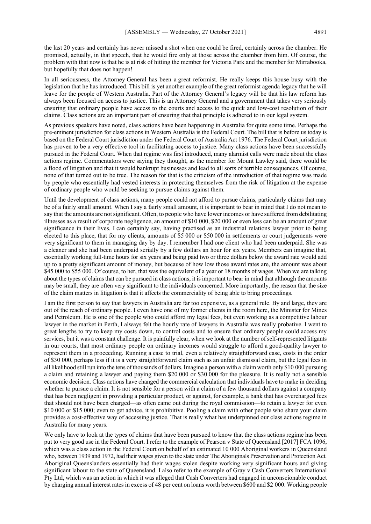the last 20 years and certainly has never missed a shot when one could be fired, certainly across the chamber. He promised, actually, in that speech, that he would fire only at those across the chamber from him. Of course, the problem with that now is that he is at risk of hitting the member for Victoria Park and the member for Mirrabooka, but hopefully that does not happen!

In all seriousness, the Attorney General has been a great reformist. He really keeps this house busy with the legislation that he has introduced. This bill is yet another example of the great reformist agenda legacy that he will leave for the people of Western Australia. Part of the Attorney General's legacy will be that his law reform has always been focused on access to justice. This is an Attorney General and a government that takes very seriously ensuring that ordinary people have access to the courts and access to the quick and low-cost resolution of their claims. Class actions are an important part of ensuring that that principle is adhered to in our legal system.

As previous speakers have noted, class actions have been happening in Australia for quite some time. Perhaps the pre-eminent jurisdiction for class actions in Western Australia is the Federal Court. The bill that is before us today is based on the Federal Court jurisdiction under the Federal Court of Australia Act 1976. The Federal Court jurisdiction has proven to be a very effective tool in facilitating access to justice. Many class actions have been successfully pursued in the Federal Court. When that regime was first introduced, many alarmist calls were made about the class actions regime. Commentators were saying they thought, as the member for Mount Lawley said, there would be a flood of litigation and that it would bankrupt businesses and lead to all sorts of terrible consequences. Of course, none of that turned out to be true. The reason for that is the criticism of the introduction of that regime was made by people who essentially had vested interests in protecting themselves from the risk of litigation at the expense of ordinary people who would be seeking to pursue claims against them.

Until the development of class actions, many people could not afford to pursue claims, particularly claims that may be of a fairly small amount. When I say a fairly small amount, it is important to bear in mind that I do not mean to say that the amounts are not significant. Often, to people who have lower incomes or have suffered from debilitating illnesses as a result of corporate negligence, an amount of \$10 000, \$20 000 or even less can be an amount of great significance in their lives. I can certainly say, having practised as an industrial relations lawyer prior to being elected to this place, that for my clients, amounts of \$5 000 or \$50 000 in settlements or court judgements were very significant to them in managing day by day. I remember I had one client who had been underpaid. She was a cleaner and she had been underpaid serially by a few dollars an hour for six years. Members can imagine that, essentially working full-time hours for six years and being paid two or three dollars below the award rate would add up to a pretty significant amount of money, but because of how low those award rates are, the amount was about \$45 000 to \$55 000. Of course, to her, that was the equivalent of a year or 18 months of wages. When we are talking about the types of claims that can be pursued in class actions, it is important to bear in mind that although the amounts may be small, they are often very significant to the individuals concerned. More importantly, the reason that the size of the claim matters in litigation is that it affects the commerciality of being able to bring proceedings.

I am the first person to say that lawyers in Australia are far too expensive, as a general rule. By and large, they are out of the reach of ordinary people. I even have one of my former clients in the room here, the Minister for Mines and Petroleum. He is one of the people who could afford my legal fees, but even working as a competitive labour lawyer in the market in Perth, I always felt the hourly rate of lawyers in Australia was really probative. I went to great lengths to try to keep my costs down, to control costs and to ensure that ordinary people could access my services, but it was a constant challenge. It is painfully clear, when we look at the number of self-represented litigants in our courts, that most ordinary people on ordinary incomes would struggle to afford a good-quality lawyer to represent them in a proceeding. Running a case to trial, even a relatively straightforward case, costs in the order of \$30 000, perhaps less if it is a very straightforward claim such as an unfair dismissal claim, but the legal fees in all likelihood still run into the tens of thousands of dollars. Imagine a person with a claim worth only \$10 000 pursuing a claim and retaining a lawyer and paying them \$20 000 or \$30 000 for the pleasure. It is really not a sensible economic decision. Class actions have changed the commercial calculation that individuals have to make in deciding whether to pursue a claim. It is not sensible for a person with a claim of a few thousand dollars against a company that has been negligent in providing a particular product, or against, for example, a bank that has overcharged fees that should not have been charged—as often came out during the royal commission—to retain a lawyer for even \$10 000 or \$15 000; even to get advice, it is prohibitive. Pooling a claim with other people who share your claim provides a cost-effective way of accessing justice. That is really what has underpinned our class actions regime in Australia for many years.

We only have to look at the types of claims that have been pursued to know that the class actions regime has been put to very good use in the Federal Court. I refer to the example of Pearson v State of Queensland [2017] FCA 1096, which was a class action in the Federal Court on behalf of an estimated 10 000 Aboriginal workers in Queensland who, between 1939 and 1972, had their wages given to the state under The Aboriginals Preservation and Protection Act. Aboriginal Queenslanders essentially had their wages stolen despite working very significant hours and giving significant labour to the state of Queensland. I also refer to the example of Gray v Cash Converters International Pty Ltd, which was an action in which it was alleged that Cash Converters had engaged in unconscionable conduct by charging annual interest rates in excess of 48 per cent on loans worth between \$600 and \$2 000. Working people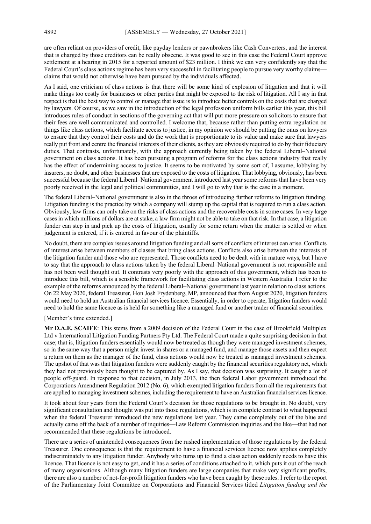are often reliant on providers of credit, like payday lenders or pawnbrokers like Cash Converters, and the interest that is charged by those creditors can be really obscene. It was good to see in this case the Federal Court approve settlement at a hearing in 2015 for a reported amount of \$23 million. I think we can very confidently say that the Federal Court's class actions regime has been very successful in facilitating people to pursue very worthy claims claims that would not otherwise have been pursued by the individuals affected.

As I said, one criticism of class actions is that there will be some kind of explosion of litigation and that it will make things too costly for businesses or other parties that might be exposed to the risk of litigation. All I say in that respect is that the best way to control or manage that issue is to introduce better controls on the costs that are charged by lawyers. Of course, as we saw in the introduction of the legal profession uniform bills earlier this year, this bill introduces rules of conduct in sections of the governing act that will put more pressure on solicitors to ensure that their fees are well communicated and controlled. I welcome that, because rather than putting extra regulation on things like class actions, which facilitate access to justice, in my opinion we should be putting the onus on lawyers to ensure that they control their costs and do the work that is proportionate to its value and make sure that lawyers really put front and centre the financial interests of their clients, as they are obviously required to do by their fiduciary duties. That contrasts, unfortunately, with the approach currently being taken by the federal Liberal–National government on class actions. It has been pursuing a program of reforms for the class actions industry that really has the effect of undermining access to justice. It seems to be motivated by some sort of, I assume, lobbying by insurers, no doubt, and other businesses that are exposed to the costs of litigation. That lobbying, obviously, has been successful because the federal Liberal–National government introduced last year some reforms that have been very poorly received in the legal and political communities, and I will go to why that is the case in a moment.

The federal Liberal–National government is also in the throes of introducing further reforms to litigation funding. Litigation funding is the practice by which a company will stump up the capital that is required to run a class action. Obviously, law firms can only take on the risks of class actions and the recoverable costs in some cases. In very large cases in which millions of dollars are at stake, a law firm might not be able to take on that risk. In that case, a litigation funder can step in and pick up the costs of litigation, usually for some return when the matter is settled or when judgement is entered, if it is entered in favour of the plaintiffs.

No doubt, there are complex issues around litigation funding and all sorts of conflicts of interest can arise. Conflicts of interest arise between members of classes that bring class actions. Conflicts also arise between the interests of the litigation funder and those who are represented. Those conflicts need to be dealt with in mature ways, but I have to say that the approach to class actions taken by the federal Liberal–National government is not responsible and has not been well thought out. It contrasts very poorly with the approach of this government, which has been to introduce this bill, which is a sensible framework for facilitating class actions in Western Australia. I refer to the example of the reforms announced by the federal Liberal–National government last year in relation to class actions. On 22 May 2020, federal Treasurer, Hon Josh Frydenberg, MP, announced that from August 2020, litigation funders would need to hold an Australian financial services licence. Essentially, in order to operate, litigation funders would need to hold the same licence as is held for something like a managed fund or another trader of financial securities.

#### [Member's time extended.]

**Mr D.A.E. SCAIFE**: This stems from a 2009 decision of the Federal Court in the case of Brookfield Multiplex Ltd v International Litigation Funding Partners Pty Ltd. The Federal Court made a quite surprising decision in that case; that is, litigation funders essentially would now be treated as though they were managed investment schemes, so in the same way that a person might invest in shares or a managed fund, and manage those assets and then expect a return on them as the manager of the fund, class actions would now be treated as managed investment schemes. The upshot of that was that litigation funders were suddenly caught by the financial securities regulatory net, which they had not previously been thought to be captured by. As I say, that decision was surprising. It caught a lot of people off-guard. In response to that decision, in July 2013, the then federal Labor government introduced the Corporations Amendment Regulation 2012 (No. 6), which exempted litigation funders from all the requirements that are applied to managing investment schemes, including the requirement to have an Australian financial services licence.

It took about four years from the Federal Court's decision for those regulations to be brought in. No doubt, very significant consultation and thought was put into those regulations, which is in complete contrast to what happened when the federal Treasurer introduced the new regulations last year. They came completely out of the blue and actually came off the back of a number of inquiries—Law Reform Commission inquiries and the like—that had not recommended that these regulations be introduced.

There are a series of unintended consequences from the rushed implementation of those regulations by the federal Treasurer. One consequence is that the requirement to have a financial services licence now applies completely indiscriminately to any litigation funder. Anybody who turns up to fund a class action suddenly needs to have this licence. That licence is not easy to get, and it has a series of conditions attached to it, which puts it out of the reach of many organisations. Although many litigation funders are large companies that make very significant profits, there are also a number of not-for-profit litigation funders who have been caught by these rules. I refer to the report of the Parliamentary Joint Committee on Corporations and Financial Services titled *Litigation funding and the*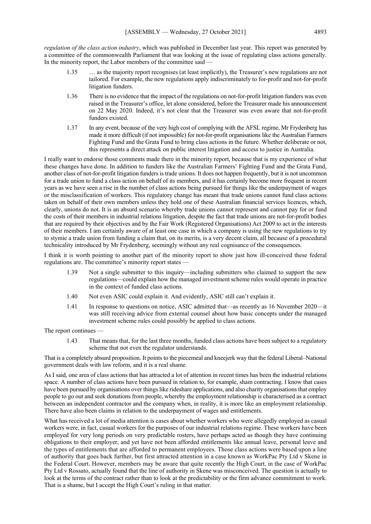*regulation of the class action industry*, which was published in December last year. This report was generated by a committee of the commonwealth Parliament that was looking at the issue of regulating class actions generally. In the minority report, the Labor members of the committee said  $\overline{\phantom{a}}$ 

- 1.35 … as the majority report recognises (at least implicitly), the Treasurer's new regulations are not tailored. For example, the new regulations apply indiscriminately to for-profit and not-for-profit litigation funders.
- 1.36 There is no evidence that the impact of the regulations on not-for-profit litigation funders was even raised in the Treasurer's office, let alone considered, before the Treasurer made his announcement on 22 May 2020. Indeed, it's not clear that the Treasurer was even aware that not-for-profit funders existed.
- 1.37 In any event, because of the very high cost of complying with the AFSL regime, Mr Frydenberg has made it more difficult (if not impossible) for not-for-profit organisations like the Australian Farmers Fighting Fund and the Grata Fund to bring class actions in the future. Whether deliberate or not, this represents a direct attack on public interest litigation and access to justice in Australia.

I really want to endorse those comments made there in the minority report, because that is my experience of what these changes have done. In addition to funders like the Australian Farmers' Fighting Fund and the Grata Fund, another class of not-for-profit litigation funders is trade unions. It does not happen frequently, but it is not uncommon for a trade union to fund a class action on behalf of its members, and it has certainly become more frequent in recent years as we have seen a rise in the number of class actions being pursued for things like the underpayment of wages or the misclassification of workers. This regulatory change has meant that trade unions cannot fund class actions taken on behalf of their own members unless they hold one of these Australian financial services licences, which, clearly, unions do not. It is an absurd scenario whereby trade unions cannot represent and cannot pay for or fund the costs of their members in industrial relations litigation, despite the fact that trade unions are not-for-profit bodies that are required by their objectives and by the Fair Work (Registered Organisations) Act 2009 to act in the interests of their members. I am certainly aware of at least one case in which a company is using the new regulations to try to stymie a trade union from funding a claim that, on its merits, is a very decent claim, all because of a procedural technicality introduced by Mr Frydenberg, seemingly without any real cognisance of the consequences.

I think it is worth pointing to another part of the minority report to show just how ill-conceived these federal regulations are. The committee's minority report states —

- 1.39 Not a single submitter to this inquiry—including submitters who claimed to support the new regulations—could explain how the managed investment scheme rules would operate in practice in the context of funded class actions.
- 1.40 Not even ASIC could explain it. And evidently, ASIC still can't explain it.
- 1.41 In response to questions on notice, ASIC admitted that—as recently as 16 November 2020—it was still receiving advice from external counsel about how basic concepts under the managed investment scheme rules could possibly be applied to class actions.

The report continues —

1.43 That means that, for the last three months, funded class actions have been subject to a regulatory scheme that not even the regulator understands.

That is a completely absurd proposition. It points to the piecemeal and kneejerk way that the federal Liberal–National government deals with law reform, and it is a real shame.

As I said, one area of class actions that has attracted a lot of attention in recent times has been the industrial relations space. A number of class actions have been pursued in relation to, for example, sham contracting. I know that cases have been pursued by organisations over things like rideshare applications, and also charity organisations that employ people to go out and seek donations from people, whereby the employment relationship is characterised as a contract between an independent contractor and the company when, in reality, it is more like an employment relationship. There have also been claims in relation to the underpayment of wages and entitlements.

What has received a lot of media attention is cases about whether workers who were allegedly employed as casual workers were, in fact, casual workers for the purposes of our industrial relations regime. These workers have been employed for very long periods on very predictable rosters, have perhaps acted as though they have continuing obligations to their employer, and yet have not been afforded entitlements like annual leave, personal leave and the types of entitlements that are afforded to permanent employees. Those class actions were based upon a line of authority that goes back further, but first attracted attention in a case known as WorkPac Pty Ltd v Skene in the Federal Court. However, members may be aware that quite recently the High Court, in the case of WorkPac Pty Ltd v Rossato, actually found that the line of authority in Skene was misconceived. The question is actually to look at the terms of the contract rather than to look at the predictability or the firm advance commitment to work. That is a shame, but I accept the High Court's ruling in that matter.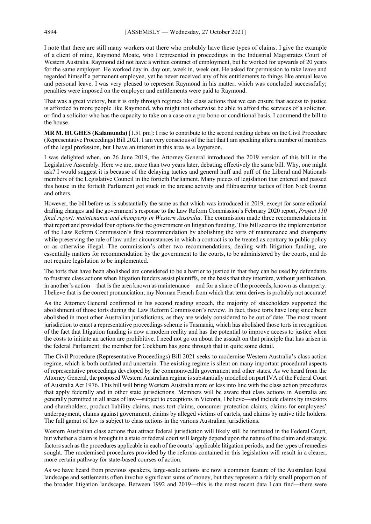I note that there are still many workers out there who probably have these types of claims. I give the example of a client of mine, Raymond Moate, who I represented in proceedings in the Industrial Magistrates Court of Western Australia. Raymond did not have a written contract of employment, but he worked for upwards of 20 years for the same employer. He worked day in, day out, week in, week out. He asked for permission to take leave and regarded himself a permanent employee, yet he never received any of his entitlements to things like annual leave and personal leave. I was very pleased to represent Raymond in his matter, which was concluded successfully; penalties were imposed on the employer and entitlements were paid to Raymond.

That was a great victory, but it is only through regimes like class actions that we can ensure that access to justice is afforded to more people like Raymond, who might not otherwise be able to afford the services of a solicitor, or find a solicitor who has the capacity to take on a case on a pro bono or conditional basis. I commend the bill to the house.

**MR M. HUGHES (Kalamunda)** [1.51 pm]: I rise to contribute to the second reading debate on the Civil Procedure (Representative Proceedings) Bill 2021. I am very conscious of the fact that I am speaking after a number of members of the legal profession, but I have an interest in this area as a layperson.

I was delighted when, on 26 June 2019, the Attorney General introduced the 2019 version of this bill in the Legislative Assembly. Here we are, more than two years later, debating effectively the same bill. Why, one might ask? I would suggest it is because of the delaying tactics and general huff and puff of the Liberal and Nationals members of the Legislative Council in the fortieth Parliament. Many pieces of legislation that entered and passed this house in the fortieth Parliament got stuck in the arcane activity and filibustering tactics of Hon Nick Goiran and others.

However, the bill before us is substantially the same as that which was introduced in 2019, except for some editorial drafting changes and the government's response to the Law Reform Commission's February 2020 report, *Project 110 final report: maintenance and champerty in Western Australia*. The commission made three recommendations in that report and provided four options for the government on litigation funding. This bill secures the implementation of the Law Reform Commission's first recommendation by abolishing the torts of maintenance and champerty while preserving the rule of law under circumstances in which a contract is to be treated as contrary to public policy or as otherwise illegal. The commission's other two recommendations, dealing with litigation funding, are essentially matters for recommendation by the government to the courts, to be administered by the courts, and do not require legislation to be implemented.

The torts that have been abolished are considered to be a barrier to justice in that they can be used by defendants to frustrate class actions when litigation funders assist plaintiffs, on the basis that they interfere, without justification, in another's action—that is the area known as maintenance—and for a share of the proceeds, known as champerty. I believe that is the correct pronunciation; my Norman French from which that term derives is probably not accurate!

As the Attorney General confirmed in his second reading speech, the majority of stakeholders supported the abolishment of those torts during the Law Reform Commission's review. In fact, those torts have long since been abolished in most other Australian jurisdictions, as they are widely considered to be out of date. The most recent jurisdiction to enact a representative proceedings scheme is Tasmania, which has abolished those torts in recognition of the fact that litigation funding is now a modern reality and has the potential to improve access to justice when the costs to initiate an action are prohibitive. I need not go on about the assault on that principle that has arisen in the federal Parliament; the member for Cockburn has gone through that in quite some detail.

The Civil Procedure (Representative Proceedings) Bill 2021 seeks to modernise Western Australia's class action regime, which is both outdated and uncertain. The existing regime is silent on many important procedural aspects of representative proceedings developed by the commonwealth government and other states. As we heard from the Attorney General, the proposed Western Australian regime is substantially modelled on part IVA of the Federal Court of Australia Act 1976. This bill will bring Western Australia more or less into line with the class action procedures that apply federally and in other state jurisdictions. Members will be aware that class actions in Australia are generally permitted in all areas of law—subject to exceptions in Victoria, I believe—and include claims by investors and shareholders, product liability claims, mass tort claims, consumer protection claims, claims for employees' underpayment, claims against government, claims by alleged victims of cartels, and claims by native title holders. The full gamut of law is subject to class actions in the various Australian jurisdictions.

Western Australian class actions that attract federal jurisdiction will likely still be instituted in the Federal Court, but whether a claim is brought in a state or federal court will largely depend upon the nature of the claim and strategic factors such as the procedures applicable in each of the courts' applicable litigation periods, and the types of remedies sought. The modernised procedures provided by the reforms contained in this legislation will result in a clearer, more certain pathway for state-based courses of action.

As we have heard from previous speakers, large-scale actions are now a common feature of the Australian legal landscape and settlements often involve significant sums of money, but they represent a fairly small proportion of the broader litigation landscape. Between 1992 and 2019—this is the most recent data I can find—there were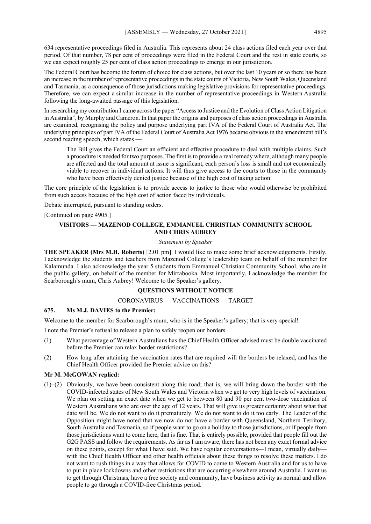634 representative proceedings filed in Australia. This represents about 24 class actions filed each year over that period. Of that number, 78 per cent of proceedings were filed in the Federal Court and the rest in state courts, so we can expect roughly 25 per cent of class action proceedings to emerge in our jurisdiction.

The Federal Court has become the forum of choice for class actions, but over the last 10 years or so there has been an increase in the number of representative proceedings in the state courts of Victoria, New South Wales, Queensland and Tasmania, as a consequence of those jurisdictions making legislative provisions for representative proceedings. Therefore, we can expect a similar increase in the number of representative proceedings in Western Australia following the long-awaited passage of this legislation.

In researching my contribution I came across the paper "Access to Justice and the Evolution of Class Action Litigation in Australia", by Murphy and Cameron. In that paper the origins and purposes of class action proceedings in Australia are examined, recognising the policy and purpose underlying part IVA of the Federal Court of Australia Act. The underlying principles of part IVA of the Federal Court of Australia Act 1976 became obvious in the amendment bill's second reading speech, which states

The Bill gives the Federal Court an efficient and effective procedure to deal with multiple claims. Such a procedure is needed for two purposes. The first is to provide a real remedy where, although many people are affected and the total amount at issue is significant, each person's loss is small and not economically viable to recover in individual actions. It will thus give access to the courts to those in the community who have been effectively denied justice because of the high cost of taking action.

The core principle of the legislation is to provide access to justice to those who would otherwise be prohibited from such access because of the high cost of action faced by individuals.

Debate interrupted, pursuant to standing orders.

[Continued on page 4905.]

### **VISITORS — MAZENOD COLLEGE, EMMANUEL CHRISTIAN COMMUNITY SCHOOL AND CHRIS AUBREY**

#### *Statement by Speaker*

**THE SPEAKER (Mrs M.H. Roberts)** [2.01 pm]: I would like to make some brief acknowledgements. Firstly, I acknowledge the students and teachers from Mazenod College's leadership team on behalf of the member for Kalamunda. I also acknowledge the year 5 students from Emmanuel Christian Community School, who are in the public gallery, on behalf of the member for Mirrabooka. Most importantly, I acknowledge the member for Scarborough's mum, Chris Aubrey! Welcome to the Speaker's gallery.

#### **QUESTIONS WITHOUT NOTICE**

#### CORONAVIRUS — VACCINATIONS — TARGET

#### **675. Ms M.J. DAVIES to the Premier:**

Welcome to the member for Scarborough's mum, who is in the Speaker's gallery; that is very special!

I note the Premier's refusal to release a plan to safely reopen our borders.

- (1) What percentage of Western Australians has the Chief Health Officer advised must be double vaccinated before the Premier can relax border restrictions?
- (2) How long after attaining the vaccination rates that are required will the borders be relaxed, and has the Chief Health Officer provided the Premier advice on this?

#### **Mr M. McGOWAN replied:**

(1)–(2) Obviously, we have been consistent along this road; that is, we will bring down the border with the COVID-infected states of New South Wales and Victoria when we get to very high levels of vaccination. We plan on setting an exact date when we get to between 80 and 90 per cent two-dose vaccination of Western Australians who are over the age of 12 years. That will give us greater certainty about what that date will be. We do not want to do it prematurely. We do not want to do it too early. The Leader of the Opposition might have noted that we now do not have a border with Queensland, Northern Territory, South Australia and Tasmania, so if people want to go on a holiday to those jurisdictions, or if people from those jurisdictions want to come here, that is fine. That is entirely possible, provided that people fill out the G2G PASS and follow the requirements. As far as I am aware, there has not been any exact formal advice on these points, except for what I have said. We have regular conversations—I mean, virtually daily with the Chief Health Officer and other health officials about these things to resolve these matters. I do not want to rush things in a way that allows for COVID to come to Western Australia and for us to have to put in place lockdowns and other restrictions that are occurring elsewhere around Australia. I want us to get through Christmas, have a free society and community, have business activity as normal and allow people to go through a COVID-free Christmas period.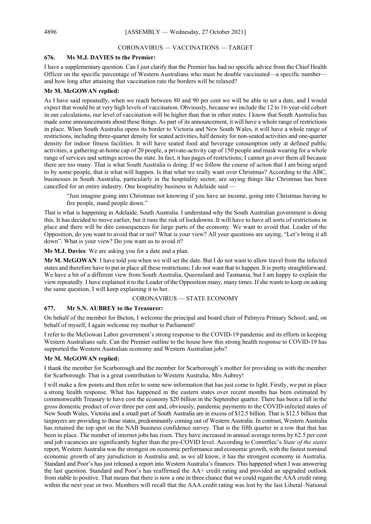#### CORONAVIRUS — VACCINATIONS — TARGET

#### **676. Ms M.J. DAVIES to the Premier:**

I have a supplementary question. Can I just clarify that the Premier has had no specific advice from the Chief Health Officer on the specific percentage of Western Australians who must be double vaccinated—a specific number and how long after attaining that vaccination rate the borders will be relaxed?

#### **Mr M. McGOWAN replied:**

As I have said repeatedly, when we reach between 80 and 90 per cent we will be able to set a date, and I would expect that would be at very high levels of vaccination. Obviously, because we include the 12 to 16-year-old cohort in our calculations, our level of vaccination will be higher than that in other states. I know that South Australia has made some announcements about these things. As part of its announcement, it will have a whole range of restrictions in place. When South Australia opens its border to Victoria and New South Wales, it will have a whole range of restrictions, including three-quarter density for seated activities, half density for non-seated activities and one-quarter density for indoor fitness facilities. It will have seated food and beverage consumption only at defined public activities, a gathering-at-home cap of 20 people, a private-activity cap of 150 people and mask wearing for a whole range of services and settings across the state. In fact, it has pages of restrictions; I cannot go over them all because there are too many. That is what South Australia is doing. If we follow the course of action that I am being urged to by some people, that is what will happen. Is that what we really want over Christmas? According to the ABC, businesses in South Australia, particularly in the hospitality sector, are saying things like Christmas has been cancelled for an entire industry. One hospitality business in Adelaide said —

"Just imagine going into Christmas not knowing if you have an income, going into Christmas having to fire people, stand people down."

That is what is happening in Adelaide, South Australia. I understand why the South Australian government is doing this. It has decided to move earlier, but it runs the risk of lockdowns. It will have to have all sorts of restrictions in place and there will be dire consequences for large parts of the economy. We want to avoid that. Leader of the Opposition, do you want to avoid that or not? What is your view? All your questions are saying, "Let's bring it all down". What is your view? Do you want us to avoid it?

**Ms M.J. Davies**: We are asking you for a date and a plan.

**Mr M. McGOWAN**: I have told you when we will set the date. But I do not want to allow travel from the infected states and therefore have to put in place all these restrictions; I do not want that to happen. It is pretty straightforward. We have a bit of a different view from South Australia, Queensland and Tasmania, but I am happy to explain the view repeatedly. I have explained it to the Leader of the Opposition many, many times. If she wants to keep on asking the same question, I will keep explaining it to her.

#### CORONAVIRUS — STATE ECONOMY

#### **677. Mr S.N. AUBREY to the Treasurer:**

On behalf of the member for Bicton, I welcome the principal and board chair of Palmyra Primary School; and, on behalf of myself, I again welcome my mother to Parliament!

I refer to the McGowan Labor government's strong response to the COVID-19 pandemic and its efforts in keeping Western Australians safe. Can the Premier outline to the house how this strong health response to COVID-19 has supported the Western Australian economy and Western Australian jobs?

#### **Mr M. McGOWAN replied:**

I thank the member for Scarborough and the member for Scarborough's mother for providing us with the member for Scarborough. That is a great contribution to Western Australia, Mrs Aubrey!

I will make a few points and then refer to some new information that has just come to light. Firstly, we put in place a strong health response. What has happened in the eastern states over recent months has been estimated by commonwealth Treasury to have cost the economy \$20 billion in the September quarter. There has been a fall in the gross domestic product of over three per cent and, obviously, pandemic payments to the COVID-infected states of New South Wales, Victoria and a small part of South Australia are in excess of \$12.5 billion. That is \$12.5 billion that taxpayers are providing to those states, predominantly coming out of Western Australia. In contrast, Western Australia has retained the top spot on the NAB business confidence survey. That is the fifth quarter in a row that that has been in place. The number of internet jobs has risen. They have increased in annual average terms by 62.5 per cent and job vacancies are significantly higher than the pre-COVID level. According to CommSec's *State of the states* report, Western Australia was the strongest on economic performance and economic growth, with the fastest nominal economic growth of any jurisdiction in Australia and, as we all know, it has the strongest economy in Australia. Standard and Poor's has just released a report into Western Australia's finances. This happened when I was answering the last question. Standard and Poor's has reaffirmed the AA+ credit rating and provided an upgraded outlook from stable to positive. That means that there is now a one in three chance that we could regain the AAA credit rating within the next year or two. Members will recall that the AAA credit rating was lost by the last Liberal–National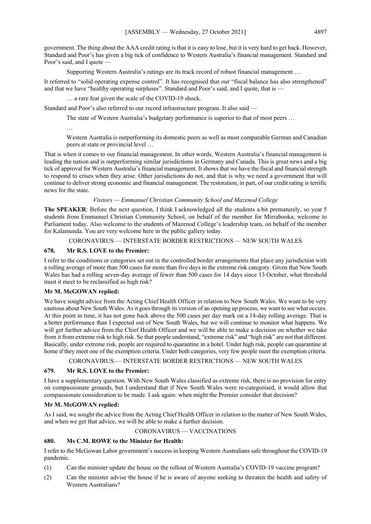government. The thing about the AAA credit rating is that it is easy to lose, but it is very hard to get back. However, Standard and Poor's has given a big tick of confidence to Western Australia's financial management. Standard and Poor's said, and I quote —

Supporting Western Australia's ratings are its track record of robust financial management …

It referred to "solid operating expense control". It has recognised that our "fiscal balance has also strengthened" and that we have "healthy operating surpluses". Standard and Poor's said, and I quote, that is -

… a rare feat given the scale of the COVID-19 shock.

Standard and Poor's also referred to our record infrastructure program. It also said —

The state of Western Australia's budgetary performance is superior to that of most peers …

…

Western Australia is outperforming its domestic peers as well as most comparable German and Canadian peers at state or provincial level …

That is when it comes to our financial management. In other words, Western Australia's financial management is leading the nation and is outperforming similar jurisdictions in Germany and Canada. This is great news and a big tick of approval for Western Australia's financial management. It shows that we have the fiscal and financial strength to respond to crises when they arise. Other jurisdictions do not, and that is why we need a government that will continue to deliver strong economic and financial management. The restoration, in part, of our credit rating is terrific news for the state.

# *Visitors — Emmanuel Christian Community School and Mazenod College*

**The SPEAKER**: Before the next question, I think I acknowledged all the students a bit prematurely, so year 5 students from Emmanuel Christian Community School, on behalf of the member for Mirrabooka, welcome to Parliament today. Also welcome to the students of Mazenod College's leadership team, on behalf of the member for Kalamunda. You are very welcome here in the public gallery today.

CORONAVIRUS — INTERSTATE BORDER RESTRICTIONS — NEW SOUTH WALES

# **678. Mr R.S. LOVE to the Premier:**

I refer to the conditions or categories set out in the controlled border arrangements that place any jurisdiction with a rolling average of more than 500 cases for more than five days in the extreme risk category. Given that New South Wales has had a rolling seven-day average of fewer than 500 cases for 14 days since 13 October, what threshold must it meet to be reclassified as high risk?

### **Mr M. McGOWAN replied:**

We have sought advice from the Acting Chief Health Officer in relation to New South Wales. We want to be very cautious about New South Wales. As it goes through its version of an opening up process, we want to see what occurs. At this point in time, it has not gone back above the 500 cases per day mark on a 14-day rolling average. That is a better performance than I expected out of New South Wales, but we will continue to monitor what happens. We will get further advice from the Chief Health Officer and we will be able to make a decision on whether we take from it from extreme risk to high risk. So that people understand, "extreme risk" and "high risk" are not that different. Basically, under extreme risk, people are required to quarantine in a hotel. Under high risk, people can quarantine at home if they meet one of the exemption criteria. Under both categories, very few people meet the exemption criteria.

CORONAVIRUS — INTERSTATE BORDER RESTRICTIONS — NEW SOUTH WALES

### **679. Mr R.S. LOVE to the Premier:**

I have a supplementary question. With New South Wales classified as extreme risk, there is no provision for entry on compassionate grounds, but I understand that if New South Wales were re-categorised, it would allow that compassionate consideration to be made. I ask again: when might the Premier consider that decision?

# **Mr M. McGOWAN replied:**

As I said, we sought the advice from the Acting Chief Health Officer in relation to the matter of New South Wales, and when we get that advice, we will be able to make a further decision.

# CORONAVIRUS — VACCINATIONS

# **680. Ms C.M. ROWE to the Minister for Health:**

I refer to the McGowan Labor government's success in keeping Western Australians safe throughout the COVID-19 pandemic.

- (1) Can the minister update the house on the rollout of Western Australia's COVID-19 vaccine program?
- (2) Can the minister advise the house if he is aware of anyone seeking to threaten the health and safety of Western Australians?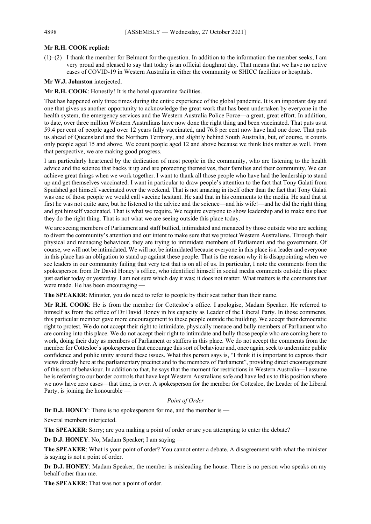# **Mr R.H. COOK replied:**

(1)–(2) I thank the member for Belmont for the question. In addition to the information the member seeks, I am very proud and pleased to say that today is an official doughnut day. That means that we have no active cases of COVID-19 in Western Australia in either the community or SHICC facilities or hospitals.

**Mr W.J. Johnston** interjected.

**Mr R.H. COOK**: Honestly! It is the hotel quarantine facilities.

That has happened only three times during the entire experience of the global pandemic. It is an important day and one that gives us another opportunity to acknowledge the great work that has been undertaken by everyone in the health system, the emergency services and the Western Australia Police Force—a great, great effort. In addition, to date, over three million Western Australians have now done the right thing and been vaccinated. That puts us at 59.4 per cent of people aged over 12 years fully vaccinated, and 76.8 per cent now have had one dose. That puts us ahead of Queensland and the Northern Territory, and slightly behind South Australia, but, of course, it counts only people aged 15 and above. We count people aged 12 and above because we think kids matter as well. From that perspective, we are making good progress.

I am particularly heartened by the dedication of most people in the community, who are listening to the health advice and the science that backs it up and are protecting themselves, their families and their community. We can achieve great things when we work together. I want to thank all those people who have had the leadership to stand up and get themselves vaccinated. I want in particular to draw people's attention to the fact that Tony Galati from Spudshed got himself vaccinated over the weekend. That is not amazing in itself other than the fact that Tony Galati was one of those people we would call vaccine hesitant. He said that in his comments to the media. He said that at first he was not quite sure, but he listened to the advice and the science—and his wife!—and he did the right thing and got himself vaccinated. That is what we require. We require everyone to show leadership and to make sure that they do the right thing. That is not what we are seeing outside this place today.

We are seeing members of Parliament and staff bullied, intimidated and menaced by those outside who are seeking to divert the community's attention and our intent to make sure that we protect Western Australians. Through their physical and menacing behaviour, they are trying to intimidate members of Parliament and the government. Of course, we will not be intimidated. We will not be intimidated because everyone in this place is a leader and everyone in this place has an obligation to stand up against these people. That is the reason why it is disappointing when we see leaders in our community failing that very test that is on all of us. In particular, I note the comments from the spokesperson from Dr David Honey's office, who identified himself in social media comments outside this place just earlier today or yesterday. I am not sure which day it was; it does not matter. What matters is the comments that were made. He has been encouraging

**The SPEAKER**: Minister, you do need to refer to people by their seat rather than their name.

**Mr R.H. COOK**: He is from the member for Cottesloe's office. I apologise, Madam Speaker. He referred to himself as from the office of Dr David Honey in his capacity as Leader of the Liberal Party. In those comments, this particular member gave more encouragement to these people outside the building. We accept their democratic right to protest. We do not accept their right to intimidate, physically menace and bully members of Parliament who are coming into this place. We do not accept their right to intimidate and bully those people who are coming here to work, doing their duty as members of Parliament or staffers in this place. We do not accept the comments from the member for Cottesloe's spokesperson that encourage this sort of behaviour and, once again, seek to undermine public confidence and public unity around these issues. What this person says is, "I think it is important to express their views directly here at the parliamentary precinct and to the members of Parliament", providing direct encouragement of this sort of behaviour. In addition to that, he says that the moment for restrictions in Western Australia—I assume he is referring to our border controls that have kept Western Australians safe and have led us to this position where we now have zero cases—that time, is over. A spokesperson for the member for Cottesloe, the Leader of the Liberal Party, is joining the honourable —

### *Point of Order*

**Dr D.J. HONEY**: There is no spokesperson for me, and the member is —

Several members interjected.

**The SPEAKER**: Sorry; are you making a point of order or are you attempting to enter the debate?

**Dr D.J. HONEY**: No, Madam Speaker; I am saying —

**The SPEAKER**: What is your point of order? You cannot enter a debate. A disagreement with what the minister is saying is not a point of order.

**Dr D.J. HONEY**: Madam Speaker, the member is misleading the house. There is no person who speaks on my behalf other than me.

**The SPEAKER**: That was not a point of order.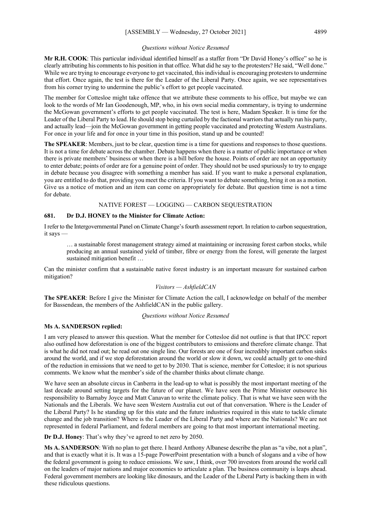#### *Questions without Notice Resumed*

**Mr R.H. COOK**: This particular individual identified himself as a staffer from "Dr David Honey's office" so he is clearly attributing his comments to his position in that office. What did he say to the protesters? He said, "Well done." While we are trying to encourage everyone to get vaccinated, this individual is encouraging protesters to undermine that effort. Once again, the test is there for the Leader of the Liberal Party. Once again, we see representatives from his corner trying to undermine the public's effort to get people vaccinated.

The member for Cottesloe might take offence that we attribute these comments to his office, but maybe we can look to the words of Mr Ian Goodenough, MP, who, in his own social media commentary, is trying to undermine the McGowan government's efforts to get people vaccinated. The test is here, Madam Speaker. It is time for the Leader of the Liberal Party to lead. He should stop being curtailed by the factional warriors that actually run his party, and actually lead—join the McGowan government in getting people vaccinated and protecting Western Australians. For once in your life and for once in your time in this position, stand up and be counted!

**The SPEAKER**: Members, just to be clear, question time is a time for questions and responses to those questions. It is not a time for debate across the chamber. Debate happens when there is a matter of public importance or when there is private members' business or when there is a bill before the house. Points of order are not an opportunity to enter debate; points of order are for a genuine point of order. They should not be used spuriously to try to engage in debate because you disagree with something a member has said. If you want to make a personal explanation, you are entitled to do that, providing you meet the criteria. If you want to debate something, bring it on as a motion. Give us a notice of motion and an item can come on appropriately for debate. But question time is not a time for debate.

#### NATIVE FOREST — LOGGING — CARBON SEQUESTRATION

#### **681. Dr D.J. HONEY to the Minister for Climate Action:**

I refer to the Intergovernmental Panel on Climate Change's fourth assessment report. In relation to carbon sequestration, it says —

… a sustainable forest management strategy aimed at maintaining or increasing forest carbon stocks, while producing an annual sustained yield of timber, fibre or energy from the forest, will generate the largest sustained mitigation benefit …

Can the minister confirm that a sustainable native forest industry is an important measure for sustained carbon mitigation?

# *Visitors — AshfieldCAN*

**The SPEAKER**: Before I give the Minister for Climate Action the call, I acknowledge on behalf of the member for Bassendean, the members of the AshfieldCAN in the public gallery.

#### *Questions without Notice Resumed*

#### **Ms A. SANDERSON replied:**

I am very pleased to answer this question. What the member for Cottesloe did not outline is that that IPCC report also outlined how deforestation is one of the biggest contributors to emissions and therefore climate change. That is what he did not read out; he read out one single line. Our forests are one of four incredibly important carbon sinks around the world, and if we stop deforestation around the world or slow it down, we could actually get to one-third of the reduction in emissions that we need to get to by 2030. That is science, member for Cottesloe; it is not spurious comments. We know what the member's side of the chamber thinks about climate change.

We have seen an absolute circus in Canberra in the lead-up to what is possibly the most important meeting of the last decade around setting targets for the future of our planet. We have seen the Prime Minister outsource his responsibility to Barnaby Joyce and Matt Canavan to write the climate policy. That is what we have seen with the Nationals and the Liberals. We have seen Western Australia cut out of that conversation. Where is the Leader of the Liberal Party? Is he standing up for this state and the future industries required in this state to tackle climate change and the job transition? Where is the Leader of the Liberal Party and where are the Nationals? We are not represented in federal Parliament, and federal members are going to that most important international meeting.

**Dr D.J. Honey**: That's why they've agreed to net zero by 2050.

**Ms A. SANDERSON**: With no plan to get there. I heard Anthony Albanese describe the plan as "a vibe, not a plan", and that is exactly what it is. It was a 15-page PowerPoint presentation with a bunch of slogans and a vibe of how the federal government is going to reduce emissions. We saw, I think, over 700 investors from around the world call on the leaders of major nations and major economies to articulate a plan. The business community is leaps ahead. Federal government members are looking like dinosaurs, and the Leader of the Liberal Party is backing them in with these ridiculous questions.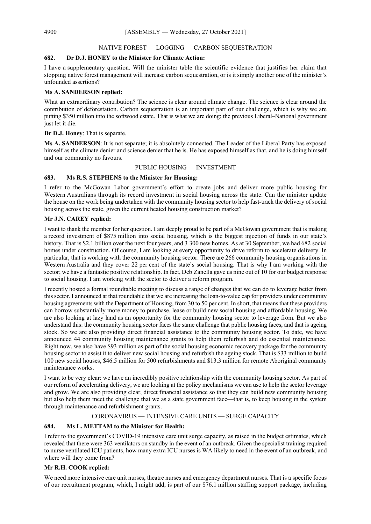#### NATIVE FOREST — LOGGING — CARBON SEQUESTRATION

#### **682. Dr D.J. HONEY to the Minister for Climate Action:**

I have a supplementary question. Will the minister table the scientific evidence that justifies her claim that stopping native forest management will increase carbon sequestration, or is it simply another one of the minister's unfounded assertions?

#### **Ms A. SANDERSON replied:**

What an extraordinary contribution? The science is clear around climate change. The science is clear around the contribution of deforestation. Carbon sequestration is an important part of our challenge, which is why we are putting \$350 million into the softwood estate. That is what we are doing; the previous Liberal–National government just let it die.

# **Dr D.J. Honey**: That is separate.

**Ms A. SANDERSON**: It is not separate; it is absolutely connected. The Leader of the Liberal Party has exposed himself as the climate denier and science denier that he is. He has exposed himself as that, and he is doing himself and our community no favours.

#### PUBLIC HOUSING — INVESTMENT

#### **683. Ms R.S. STEPHENS to the Minister for Housing:**

I refer to the McGowan Labor government's effort to create jobs and deliver more public housing for Western Australians through its record investment in social housing across the state. Can the minister update the house on the work being undertaken with the community housing sector to help fast-track the delivery of social housing across the state, given the current heated housing construction market?

### **Mr J.N. CAREY replied:**

I want to thank the member for her question. I am deeply proud to be part of a McGowan government that is making a record investment of \$875 million into social housing, which is the biggest injection of funds in our state's history. That is \$2.1 billion over the next four years, and  $\overline{3}$  300 new homes. As at 30 September, we had 682 social homes under construction. Of course, I am looking at every opportunity to drive reform to accelerate delivery. In particular, that is working with the community housing sector. There are 266 community housing organisations in Western Australia and they cover 22 per cent of the state's social housing. That is why I am working with the sector; we have a fantastic positive relationship. In fact, Deb Zanella gave us nine out of 10 for our budget response to social housing. I am working with the sector to deliver a reform program.

I recently hosted a formal roundtable meeting to discuss a range of changes that we can do to leverage better from this sector. I announced at that roundtable that we are increasing the loan-to-value cap for providers under community housing agreements with the Department of Housing, from 30 to 50 per cent. In short, that means that these providers can borrow substantially more money to purchase, lease or build new social housing and affordable housing. We are also looking at lazy land as an opportunity for the community housing sector to leverage from. But we also understand this: the community housing sector faces the same challenge that public housing faces, and that is ageing stock. So we are also providing direct financial assistance to the community housing sector. To date, we have announced 44 community housing maintenance grants to help them refurbish and do essential maintenance. Right now, we also have \$93 million as part of the social housing economic recovery package for the community housing sector to assist it to deliver new social housing and refurbish the ageing stock. That is \$33 million to build 100 new social houses, \$46.5 million for 500 refurbishments and \$13.3 million for remote Aboriginal community maintenance works.

I want to be very clear: we have an incredibly positive relationship with the community housing sector. As part of our reform of accelerating delivery, we are looking at the policy mechanisms we can use to help the sector leverage and grow. We are also providing clear, direct financial assistance so that they can build new community housing but also help them meet the challenge that we as a state government face—that is, to keep housing in the system through maintenance and refurbishment grants.

### CORONAVIRUS — INTENSIVE CARE UNITS — SURGE CAPACITY

### **684. Ms L. METTAM to the Minister for Health:**

I refer to the government's COVID-19 intensive care unit surge capacity, as raised in the budget estimates, which revealed that there were 363 ventilators on standby in the event of an outbreak. Given the specialist training required to nurse ventilated ICU patients, how many extra ICU nurses is WA likely to need in the event of an outbreak, and where will they come from?

### **Mr R.H. COOK replied:**

We need more intensive care unit nurses, theatre nurses and emergency department nurses. That is a specific focus of our recruitment program, which, I might add, is part of our \$76.1 million staffing support package, including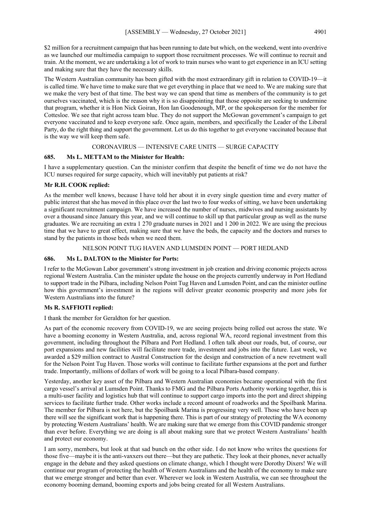\$2 million for a recruitment campaign that has been running to date but which, on the weekend, went into overdrive as we launched our multimedia campaign to support those recruitment processes. We will continue to recruit and train. At the moment, we are undertaking a lot of work to train nurses who want to get experience in an ICU setting and making sure that they have the necessary skills.

The Western Australian community has been gifted with the most extraordinary gift in relation to COVID-19—it is called time. We have time to make sure that we get everything in place that we need to. We are making sure that we make the very best of that time. The best way we can spend that time as members of the community is to get ourselves vaccinated, which is the reason why it is so disappointing that those opposite are seeking to undermine that program, whether it is Hon Nick Goiran, Hon Ian Goodenough, MP, or the spokesperson for the member for Cottesloe. We see that right across team blue. They do not support the McGowan government's campaign to get everyone vaccinated and to keep everyone safe. Once again, members, and specifically the Leader of the Liberal Party, do the right thing and support the government. Let us do this together to get everyone vaccinated because that is the way we will keep them safe.

#### CORONAVIRUS — INTENSIVE CARE UNITS — SURGE CAPACITY

### **685. Ms L. METTAM to the Minister for Health:**

I have a supplementary question. Can the minister confirm that despite the benefit of time we do not have the ICU nurses required for surge capacity, which will inevitably put patients at risk?

# **Mr R.H. COOK replied:**

As the member well knows, because I have told her about it in every single question time and every matter of public interest that she has moved in this place over the last two to four weeks of sitting, we have been undertaking a significant recruitment campaign. We have increased the number of nurses, midwives and nursing assistants by over a thousand since January this year, and we will continue to skill up that particular group as well as the nurse graduates. We are recruiting an extra 1 270 graduate nurses in 2021 and 1 200 in 2022. We are using the precious time that we have to great effect, making sure that we have the beds, the capacity and the doctors and nurses to stand by the patients in those beds when we need them.

### NELSON POINT TUG HAVEN AND LUMSDEN POINT — PORT HEDLAND

### **686. Ms L. DALTON to the Minister for Ports:**

I refer to the McGowan Labor government's strong investment in job creation and driving economic projects across regional Western Australia. Can the minister update the house on the projects currently underway in Port Hedland to support trade in the Pilbara, including Nelson Point Tug Haven and Lumsden Point, and can the minister outline how this government's investment in the regions will deliver greater economic prosperity and more jobs for Western Australians into the future?

### **Ms R. SAFFIOTI replied:**

I thank the member for Geraldton for her question.

As part of the economic recovery from COVID-19, we are seeing projects being rolled out across the state. We have a booming economy in Western Australia, and, across regional WA, record regional investment from this government, including throughout the Pilbara and Port Hedland. I often talk about our roads, but, of course, our port expansions and new facilities will facilitate more trade, investment and jobs into the future. Last week, we awarded a \$29 million contract to Austral Construction for the design and construction of a new revetment wall for the Nelson Point Tug Haven. Those works will continue to facilitate further expansions at the port and further trade. Importantly, millions of dollars of work will be going to a local Pilbara-based company.

Yesterday, another key asset of the Pilbara and Western Australian economies became operational with the first cargo vessel's arrival at Lumsden Point. Thanks to FMG and the Pilbara Ports Authority working together, this is a multi-user facility and logistics hub that will continue to support cargo imports into the port and direct shipping services to facilitate further trade. Other works include a record amount of roadworks and the Spoilbank Marina. The member for Pilbara is not here, but the Spoilbank Marina is progressing very well. Those who have been up there will see the significant work that is happening there. This is part of our strategy of protecting the WA economy by protecting Western Australians' health. We are making sure that we emerge from this COVID pandemic stronger than ever before. Everything we are doing is all about making sure that we protect Western Australians' health and protect our economy.

I am sorry, members, but look at that sad bunch on the other side. I do not know who writes the questions for those five—maybe it is the anti-vaxxers out there—but they are pathetic. They look at their phones, never actually engage in the debate and they asked questions on climate change, which I thought were Dorothy Dixers! We will continue our program of protecting the health of Western Australians and the health of the economy to make sure that we emerge stronger and better than ever. Wherever we look in Western Australia, we can see throughout the economy booming demand, booming exports and jobs being created for all Western Australians.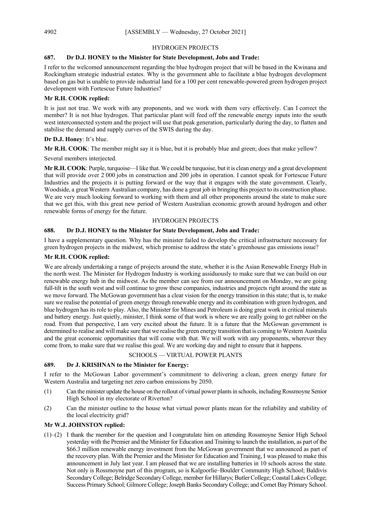#### HYDROGEN PROJECTS

# **687. Dr D.J. HONEY to the Minister for State Development, Jobs and Trade:**

I refer to the welcomed announcement regarding the blue hydrogen project that will be based in the Kwinana and Rockingham strategic industrial estates. Why is the government able to facilitate a blue hydrogen development based on gas but is unable to provide industrial land for a 100 per cent renewable-powered green hydrogen project development with Fortescue Future Industries?

# **Mr R.H. COOK replied:**

It is just not true. We work with any proponents, and we work with them very effectively. Can I correct the member? It is not blue hydrogen. That particular plant will feed off the renewable energy inputs into the south west interconnected system and the project will use that peak generation, particularly during the day, to flatten and stabilise the demand and supply curves of the SWIS during the day.

#### **Dr D.J. Honey**: It's blue.

**Mr R.H. COOK**: The member might say it is blue, but it is probably blue and green; does that make yellow?

Several members interjected.

**Mr R.H. COOK**: Purple, turquoise—I like that. We could be turquoise, but it is clean energy and a great development that will provide over 2 000 jobs in construction and 200 jobs in operation. I cannot speak for Fortescue Future Industries and the projects it is putting forward or the way that it engages with the state government. Clearly, Woodside, a great Western Australian company, has done a great job in bringing this project to its construction phase. We are very much looking forward to working with them and all other proponents around the state to make sure that we get this, with this great new period of Western Australian economic growth around hydrogen and other renewable forms of energy for the future.

#### HYDROGEN PROJECTS

#### **688. Dr D.J. HONEY to the Minister for State Development, Jobs and Trade:**

I have a supplementary question. Why has the minister failed to develop the critical infrastructure necessary for green hydrogen projects in the midwest, which promise to address the state's greenhouse gas emissions issue?

#### **Mr R.H. COOK replied:**

We are already undertaking a range of projects around the state, whether it is the Asian Renewable Energy Hub in the north west. The Minister for Hydrogen Industry is working assiduously to make sure that we can build on our renewable energy hub in the midwest. As the member can see from our announcement on Monday, we are going full-tilt in the south west and will continue to grow these companies, industries and projects right around the state as we move forward. The McGowan government has a clear vision for the energy transition in this state; that is, to make sure we realise the potential of green energy through renewable energy and its combination with green hydrogen, and blue hydrogen has its role to play. Also, the Minister for Mines and Petroleum is doing great work in critical minerals and battery energy. Just quietly, minister, I think some of that work is where we are really going to get rubber on the road. From that perspective, I am very excited about the future. It is a future that the McGowan government is determined to realise and will make sure that we realise the green energy transition that is coming to Western Australia and the great economic opportunities that will come with that. We will work with any proponents, wherever they come from, to make sure that we realise this goal. We are working day and night to ensure that it happens.

#### SCHOOLS — VIRTUAL POWER PLANTS

#### **689. Dr J. KRISHNAN to the Minister for Energy:**

I refer to the McGowan Labor government's commitment to delivering a clean, green energy future for Western Australia and targeting net zero carbon emissions by 2050.

- (1) Can the minister update the house on the rollout of virtual power plants in schools, including Rossmoyne Senior High School in my electorate of Riverton?
- (2) Can the minister outline to the house what virtual power plants mean for the reliability and stability of the local electricity grid?

#### **Mr W.J. JOHNSTON replied:**

(1)–(2) I thank the member for the question and I congratulate him on attending Rossmoyne Senior High School yesterday with the Premier and the Minister for Education and Training to launch the installation, as part of the \$66.3 million renewable energy investment from the McGowan government that we announced as part of the recovery plan. With the Premier and the Minister for Education and Training, I was pleased to make this announcement in July last year. I am pleased that we are installing batteries in 10 schools across the state. Not only is Rossmoyne part of this program, so is Kalgoorlie–Boulder Community High School; Baldivis Secondary College; Belridge Secondary College, member for Hillarys; Butler College; Coastal Lakes College; Success Primary School; Gilmore College; Joseph Banks Secondary College; and Comet Bay Primary School.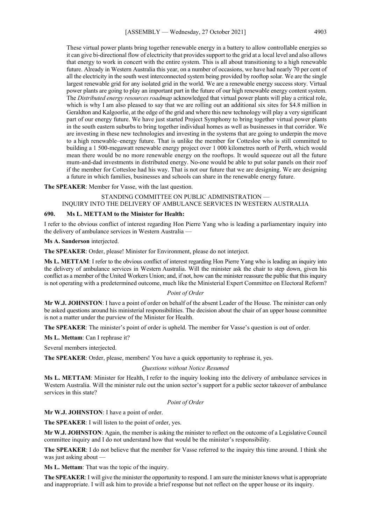These virtual power plants bring together renewable energy in a battery to allow controllable energies so it can give bi-directional flow of electricity that provides support to the grid at a local level and also allows that energy to work in concert with the entire system. This is all about transitioning to a high renewable future. Already in Western Australia this year, on a number of occasions, we have had nearly 70 per cent of all the electricity in the south west interconnected system being provided by rooftop solar. We are the single largest renewable grid for any isolated grid in the world. We are a renewable energy success story. Virtual power plants are going to play an important part in the future of our high renewable energy content system. The *Distributed energy resources roadmap* acknowledged that virtual power plants will play a critical role, which is why I am also pleased to say that we are rolling out an additional six sites for \$4.8 million in Geraldton and Kalgoorlie, at the edge of the grid and where this new technology will play a very significant part of our energy future. We have just started Project Symphony to bring together virtual power plants in the south eastern suburbs to bring together individual homes as well as businesses in that corridor. We are investing in these new technologies and investing in the systems that are going to underpin the move to a high renewable–energy future. That is unlike the member for Cottesloe who is still committed to building a 1 500-megawatt renewable energy project over 1 000 kilometres north of Perth, which would mean there would be no more renewable energy on the rooftops. It would squeeze out all the future mum-and-dad investments in distributed energy. No-one would be able to put solar panels on their roof if the member for Cottesloe had his way. That is not our future that we are designing. We are designing a future in which families, businesses and schools can share in the renewable energy future.

#### **The SPEAKER**: Member for Vasse, with the last question.

# STANDING COMMITTEE ON PUBLIC ADMINISTRATION — INQUIRY INTO THE DELIVERY OF AMBULANCE SERVICES IN WESTERN AUSTRALIA

### **690. Ms L. METTAM to the Minister for Health:**

I refer to the obvious conflict of interest regarding Hon Pierre Yang who is leading a parliamentary inquiry into the delivery of ambulance services in Western Australia —

#### **Ms A. Sanderson** interjected.

**The SPEAKER**: Order, please! Minister for Environment, please do not interject.

**Ms L. METTAM**: I refer to the obvious conflict of interest regarding Hon Pierre Yang who is leading an inquiry into the delivery of ambulance services in Western Australia. Will the minister ask the chair to step down, given his conflict as a member of the United Workers Union; and, if not, how can the minister reassure the public that this inquiry is not operating with a predetermined outcome, much like the Ministerial Expert Committee on Electoral Reform?

#### *Point of Order*

**Mr W.J. JOHNSTON**: I have a point of order on behalf of the absent Leader of the House. The minister can only be asked questions around his ministerial responsibilities. The decision about the chair of an upper house committee is not a matter under the purview of the Minister for Health.

**The SPEAKER**: The minister's point of order is upheld. The member for Vasse's question is out of order.

**Ms L. Mettam**: Can I rephrase it?

Several members interjected.

**The SPEAKER**: Order, please, members! You have a quick opportunity to rephrase it, yes.

#### *Questions without Notice Resumed*

**Ms L. METTAM**: Minister for Health, I refer to the inquiry looking into the delivery of ambulance services in Western Australia. Will the minister rule out the union sector's support for a public sector takeover of ambulance services in this state?

#### *Point of Order*

**Mr W.J. JOHNSTON**: I have a point of order.

**The SPEAKER**: I will listen to the point of order, yes.

**Mr W.J. JOHNSTON**: Again, the member is asking the minister to reflect on the outcome of a Legislative Council committee inquiry and I do not understand how that would be the minister's responsibility.

**The SPEAKER**: I do not believe that the member for Vasse referred to the inquiry this time around. I think she was just asking about —

**Ms L. Mettam**: That was the topic of the inquiry.

**The SPEAKER**: I will give the minister the opportunity to respond. I am sure the minister knows what is appropriate and inappropriate. I will ask him to provide a brief response but not reflect on the upper house or its inquiry.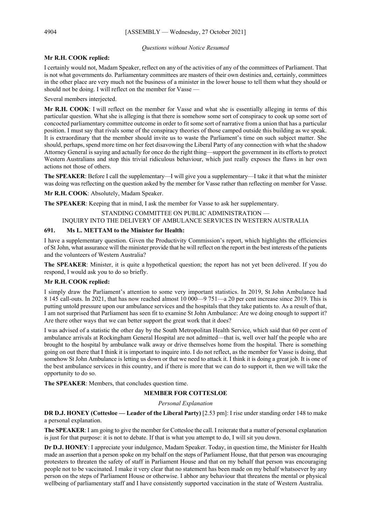#### *Questions without Notice Resumed*

# **Mr R.H. COOK replied:**

I certainly would not, Madam Speaker, reflect on any of the activities of any of the committees of Parliament. That is not what governments do. Parliamentary committees are masters of their own destinies and, certainly, committees in the other place are very much not the business of a minister in the lower house to tell them what they should or should not be doing. I will reflect on the member for Vasse -

Several members interjected.

**Mr R.H. COOK**: I will reflect on the member for Vasse and what she is essentially alleging in terms of this particular question. What she is alleging is that there is somehow some sort of conspiracy to cook up some sort of concocted parliamentary committee outcome in order to fit some sort of narrative from a union that has a particular position. I must say that rivals some of the conspiracy theories of those camped outside this building as we speak. It is extraordinary that the member should invite us to waste the Parliament's time on such subject matter. She should, perhaps, spend more time on her feet disavowing the Liberal Party of any connection with what the shadow Attorney General is saying and actually for once do the right thing—support the government in its efforts to protect Western Australians and stop this trivial ridiculous behaviour, which just really exposes the flaws in her own actions not those of others.

The SPEAKER: Before I call the supplementary—I will give you a supplementary—I take it that what the minister was doing was reflecting on the question asked by the member for Vasse rather than reflecting on member for Vasse.

**Mr R.H. COOK**: Absolutely, Madam Speaker.

**The SPEAKER**: Keeping that in mind, I ask the member for Vasse to ask her supplementary.

#### STANDING COMMITTEE ON PUBLIC ADMINISTRATION — INQUIRY INTO THE DELIVERY OF AMBULANCE SERVICES IN WESTERN AUSTRALIA

### **691. Ms L. METTAM to the Minister for Health:**

I have a supplementary question. Given the Productivity Commission's report, which highlights the efficiencies of St John, what assurance will the minister provide that he will reflect on the report in the best interests of the patients and the volunteers of Western Australia?

**The SPEAKER**: Minister, it is quite a hypothetical question; the report has not yet been delivered. If you do respond, I would ask you to do so briefly.

### **Mr R.H. COOK replied:**

I simply draw the Parliament's attention to some very important statistics. In 2019, St John Ambulance had 8 145 call-outs. In 2021, that has now reached almost 10 000—9 751—a 20 per cent increase since 2019. This is putting untold pressure upon our ambulance services and the hospitals that they take patients to. As a result of that, I am not surprised that Parliament has seen fit to examine St John Ambulance: Are we doing enough to support it? Are there other ways that we can better support the great work that it does?

I was advised of a statistic the other day by the South Metropolitan Health Service, which said that 60 per cent of ambulance arrivals at Rockingham General Hospital are not admitted—that is, well over half the people who are brought to the hospital by ambulance walk away or drive themselves home from the hospital. There is something going on out there that I think it is important to inquire into. I do not reflect, as the member for Vasse is doing, that somehow St John Ambulance is letting us down or that we need to attack it. I think it is doing a great job. It is one of the best ambulance services in this country, and if there is more that we can do to support it, then we will take the opportunity to do so.

**The SPEAKER**: Members, that concludes question time.

### **MEMBER FOR COTTESLOE**

*Personal Explanation*

**DR D.J. HONEY (Cottesloe — Leader of the Liberal Party)** [2.53 pm]: I rise under standing order 148 to make a personal explanation.

**The SPEAKER**: I am going to give the member for Cottesloe the call. I reiterate that a matter of personal explanation is just for that purpose: it is not to debate. If that is what you attempt to do, I will sit you down.

**Dr D.J. HONEY**: I appreciate your indulgence, Madam Speaker. Today, in question time, the Minister for Health made an assertion that a person spoke on my behalf on the steps of Parliament House, that that person was encouraging protesters to threaten the safety of staff in Parliament House and that on my behalf that person was encouraging people not to be vaccinated. I make it very clear that no statement has been made on my behalf whatsoever by any person on the steps of Parliament House or otherwise. I abhor any behaviour that threatens the mental or physical wellbeing of parliamentary staff and I have consistently supported vaccination in the state of Western Australia.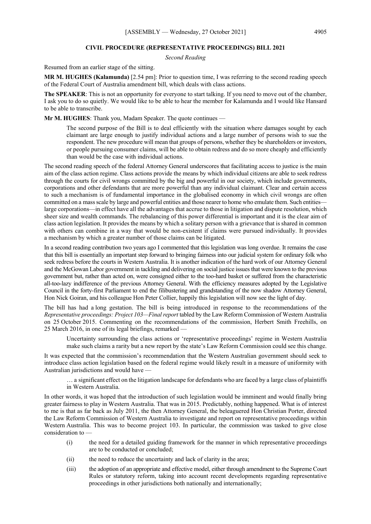#### **CIVIL PROCEDURE (REPRESENTATIVE PROCEEDINGS) BILL 2021**

*Second Reading*

Resumed from an earlier stage of the sitting.

**MR M. HUGHES (Kalamunda)** [2.54 pm]: Prior to question time, I was referring to the second reading speech of the Federal Court of Australia amendment bill, which deals with class actions.

**The SPEAKER**: This is not an opportunity for everyone to start talking. If you need to move out of the chamber, I ask you to do so quietly. We would like to be able to hear the member for Kalamunda and I would like Hansard to be able to transcribe.

**Mr M. HUGHES**: Thank you, Madam Speaker. The quote continues —

The second purpose of the Bill is to deal efficiently with the situation where damages sought by each claimant are large enough to justify individual actions and a large number of persons wish to sue the respondent. The new procedure will mean that groups of persons, whether they be shareholders or investors, or people pursuing consumer claims, will be able to obtain redress and do so more cheaply and efficiently than would be the case with individual actions.

The second reading speech of the federal Attorney General underscores that facilitating access to justice is the main aim of the class action regime. Class actions provide the means by which individual citizens are able to seek redress through the courts for civil wrongs committed by the big and powerful in our society, which include governments, corporations and other defendants that are more powerful than any individual claimant. Clear and certain access to such a mechanism is of fundamental importance in the globalised economy in which civil wrongs are often committed on a mass scale by large and powerful entities and those nearer to home who emulate them. Such entities large corporations—in effect have all the advantages that accrue to those in litigation and dispute resolution, which sheer size and wealth commands. The rebalancing of this power differential is important and it is the clear aim of class action legislation. It provides the means by which a solitary person with a grievance that is shared in common with others can combine in a way that would be non-existent if claims were pursued individually. It provides a mechanism by which a greater number of those claims can be litigated.

In a second reading contribution two years ago I commented that this legislation was long overdue. It remains the case that this bill is essentially an important step forward to bringing fairness into our judicial system for ordinary folk who seek redress before the courts in Western Australia. It is another indication of the hard work of our Attorney General and the McGowan Labor government in tackling and delivering on social justice issues that were known to the previous government but, rather than acted on, were consigned either to the too-hard basket or suffered from the characteristic all-too-lazy indifference of the previous Attorney General. With the efficiency measures adopted by the Legislative Council in the forty-first Parliament to end the filibustering and grandstanding of the now shadow Attorney General, Hon Nick Goiran, and his colleague Hon Peter Collier, happily this legislation will now see the light of day.

The bill has had a long gestation. The bill is being introduced in response to the recommendations of the *Representative proceedings: Project 103—Final report* tabled by the Law Reform Commission of Western Australia on 25 October 2015. Commenting on the recommendations of the commission, Herbert Smith Freehills, on 25 March 2016, in one of its legal briefings, remarked —

Uncertainty surrounding the class actions or 'representative proceedings' regime in Western Australia make such claims a rarity but a new report by the state's Law Reform Commission could see this change.

It was expected that the commission's recommendation that the Western Australian government should seek to introduce class action legislation based on the federal regime would likely result in a measure of uniformity with Australian jurisdictions and would have —

… a significant effect on the litigation landscape for defendants who are faced by a large class of plaintiffs in Western Australia.

In other words, it was hoped that the introduction of such legislation would be imminent and would finally bring greater fairness to play in Western Australia. That was in 2015. Predictably, nothing happened. What is of interest to me is that as far back as July 2011, the then Attorney General, the beleaguered Hon Christian Porter, directed the Law Reform Commission of Western Australia to investigate and report on representative proceedings within Western Australia. This was to become project 103. In particular, the commission was tasked to give close consideration to —

- (i) the need for a detailed guiding framework for the manner in which representative proceedings are to be conducted or concluded;
- (ii) the need to reduce the uncertainty and lack of clarity in the area;
- (iii) the adoption of an appropriate and effective model, either through amendment to the Supreme Court Rules or statutory reform, taking into account recent developments regarding representative proceedings in other jurisdictions both nationally and internationally;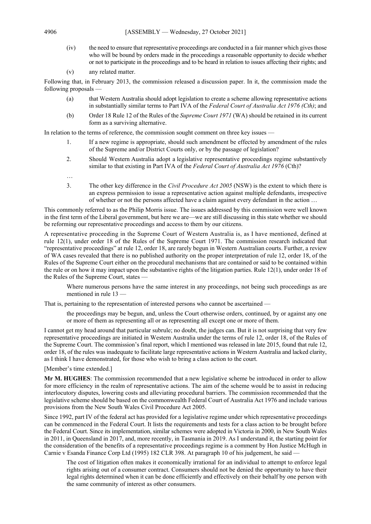(iv) the need to ensure that representative proceedings are conducted in a fair manner which gives those who will be bound by orders made in the proceedings a reasonable opportunity to decide whether or not to participate in the proceedings and to be heard in relation to issues affecting their rights; and

(v) any related matter.

Following that, in February 2013, the commission released a discussion paper. In it, the commission made the following proposals —

- (a) that Western Australia should adopt legislation to create a scheme allowing representative actions in substantially similar terms to Part IVA of the *Federal Court of Australia Act 1976 (Cth)*; and
- (b) Order 18 Rule 12 of the Rules of the *Supreme Court 1971* (WA) should be retained in its current form as a surviving alternative.

In relation to the terms of reference, the commission sought comment on three key issues —

- 1. If a new regime is appropriate, should such amendment be effected by amendment of the rules of the Supreme and/or District Courts only, or by the passage of legislation?
- 2. Should Western Australia adopt a legislative representative proceedings regime substantively similar to that existing in Part IVA of the *Federal Court of Australia Act 1976* (Cth)?
- …
- 3. The other key difference in the *Civil Procedure Act 2005* (NSW) is the extent to which there is an express permission to issue a representative action against multiple defendants, irrespective of whether or not the persons affected have a claim against every defendant in the action …

This commonly referred to as the Philip Morris issue. The issues addressed by this commission were well known in the first term of the Liberal government, but here we are—we are still discussing in this state whether we should be reforming our representative proceedings and access to them by our citizens.

A representative proceeding in the Supreme Court of Western Australia is, as I have mentioned, defined at rule 12(1), under order 18 of the Rules of the Supreme Court 1971. The commission research indicated that "representative proceedings" at rule 12, order 18, are rarely begun in Western Australian courts. Further, a review of WA cases revealed that there is no published authority on the proper interpretation of rule 12, order 18, of the Rules of the Supreme Court either on the procedural mechanisms that are contained or said to be contained within the rule or on how it may impact upon the substantive rights of the litigation parties. Rule 12(1), under order 18 of the Rules of the Supreme Court, states —

Where numerous persons have the same interest in any proceedings, not being such proceedings as are mentioned in rule 13 —

That is, pertaining to the representation of interested persons who cannot be ascertained —

the proceedings may be begun, and, unless the Court otherwise orders, continued, by or against any one or more of them as representing all or as representing all except one or more of them.

I cannot get my head around that particular subrule; no doubt, the judges can. But it is not surprising that very few representative proceedings are initiated in Western Australia under the terms of rule 12, order 18, of the Rules of the Supreme Court. The commission's final report, which I mentioned was released in late 2015, found that rule 12, order 18, of the rules was inadequate to facilitate large representative actions in Western Australia and lacked clarity, as I think I have demonstrated, for those who wish to bring a class action to the court.

[Member's time extended.]

**Mr M. HUGHES**: The commission recommended that a new legislative scheme be introduced in order to allow for more efficiency in the realm of representative actions. The aim of the scheme would be to assist in reducing interlocutory disputes, lowering costs and alleviating procedural barriers. The commission recommended that the legislative scheme should be based on the commonwealth Federal Court of Australia Act 1976 and include various provisions from the New South Wales Civil Procedure Act 2005.

Since 1992, part IV of the federal act has provided for a legislative regime under which representative proceedings can be commenced in the Federal Court. It lists the requirements and tests for a class action to be brought before the Federal Court. Since its implementation, similar schemes were adopted in Victoria in 2000, in New South Wales in 2011, in Queensland in 2017, and, more recently, in Tasmania in 2019. As I understand it, the starting point for the consideration of the benefits of a representative proceedings regime is a comment by Hon Justice McHugh in Carnie v Esanda Finance Corp Ltd (1995) 182 CLR 398. At paragraph 10 of his judgement, he said -

The cost of litigation often makes it economically irrational for an individual to attempt to enforce legal rights arising out of a consumer contract. Consumers should not be denied the opportunity to have their legal rights determined when it can be done efficiently and effectively on their behalf by one person with the same community of interest as other consumers.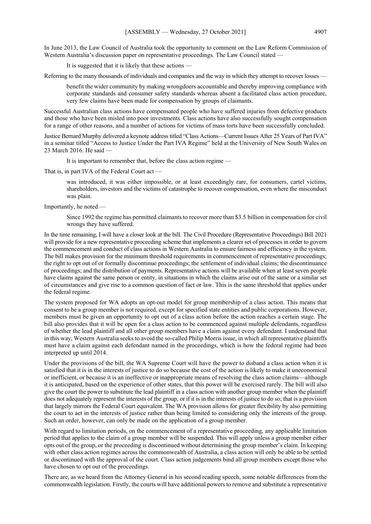In June 2013, the Law Council of Australia took the opportunity to comment on the Law Reform Commission of Western Australia's discussion paper on representative proceedings. The Law Council stated –

It is suggested that it is likely that these actions —

Referring to the many thousands of individuals and companies and the way in which they attempt to recover losses —

benefit the wider community by making wrongdoers accountable and thereby improving compliance with corporate standards and consumer safety standards whereas absent a facilitated class action procedure, very few claims have been made for compensation by groups of claimants.

Successful Australian class actions have compensated people who have suffered injuries from defective products and those who have been misled into poor investments. Class actions have also successfully sought compensation for a range of other reasons, and a number of actions for victims of mass torts have been successfully concluded.

Justice Bernard Murphy delivered a keynote address titled "Class Actions—Current Issues After 25 Years of Part IVA" in a seminar titled "Access to Justice Under the Part IVA Regime" held at the University of New South Wales on 23 March 2016. He said —

It is important to remember that, before the class action regime —

That is, in part IVA of the Federal Court act —

was introduced, it was either impossible, or at least exceedingly rare, for consumers, cartel victims, shareholders, investors and the victims of catastrophe to recover compensation, even where the misconduct was plain.

Importantly, he noted —

Since 1992 the regime has permitted claimants to recover more than \$3.5 billion in compensation for civil wrongs they have suffered.

In the time remaining, I will have a closer look at the bill. The Civil Procedure (Representative Proceedings) Bill 2021 will provide for a new representative proceeding scheme that implements a clearer set of processes in order to govern the commencement and conduct of class actions in Western Australia to ensure fairness and efficiency in the system. The bill makes provision for the minimum threshold requirements in commencement of representative proceedings; the right to opt out of or formally discontinue proceedings; the settlement of individual claims; the discontinuance of proceedings; and the distribution of payments. Representative actions will be available when at least seven people have claims against the same person or entity, in situations in which the claims arise out of the same or a similar set of circumstances and give rise to a common question of fact or law. This is the same threshold that applies under the federal regime.

The system proposed for WA adopts an opt-out model for group membership of a class action. This means that consent to be a group member is not required, except for specified state entities and public corporations. However, members must be given an opportunity to opt out of a class action before the action reaches a certain stage. The bill also provides that it will be open for a class action to be commenced against multiple defendants, regardless of whether the lead plaintiff and all other group members have a claim against every defendant. I understand that in this way, Western Australia seeks to avoid the so-called Philip Morris issue, in which all representative plaintiffs must have a claim against each defendant named in the proceedings, which is how the federal regime had been interpreted up until 2014.

Under the provisions of the bill, the WA Supreme Court will have the power to disband a class action when it is satisfied that it is in the interests of justice to do so because the cost of the action is likely to make it uneconomical or inefficient, or because it is an ineffective or inappropriate means of resolving the class action claims—although it is anticipated, based on the experience of other states, that this power will be exercised rarely. The bill will also give the court the power to substitute the lead plaintiff in a class action with another group member when the plaintiff does not adequately represent the interests of the group, or if it is in the interests of justice to do so; that is a provision that largely mirrors the Federal Court equivalent. The WA provision allows for greater flexibility by also permitting the court to act in the interests of justice rather than being limited to considering only the interests of the group. Such an order, however, can only be made on the application of a group member.

With regard to limitation periods, on the commencement of a representative proceeding, any applicable limitation period that applies to the claim of a group member will be suspended. This will apply unless a group member either opts out of the group, or the proceeding is discontinued without determining the group member's claim. In keeping with other class action regimes across the commonwealth of Australia, a class action will only be able to be settled or discontinued with the approval of the court. Class action judgements bind all group members except those who have chosen to opt out of the proceedings.

There are, as we heard from the Attorney General in his second reading speech, some notable differences from the commonwealth legislation. Firstly, the courts will have additional powers to remove and substitute a representative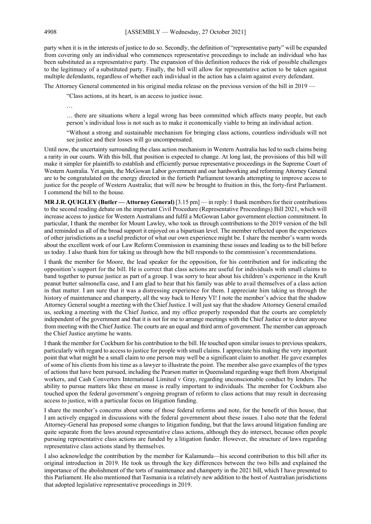party when it is in the interests of justice to do so. Secondly, the definition of "representative party" will be expanded from covering only an individual who commences representative proceedings to include an individual who has been substituted as a representative party. The expansion of this definition reduces the risk of possible challenges to the legitimacy of a substituted party. Finally, the bill will allow for representative action to be taken against multiple defendants, regardless of whether each individual in the action has a claim against every defendant.

The Attorney General commented in his original media release on the previous version of the bill in 2019 —

"Class actions, at its heart, is an access to justice issue.

…

… there are situations where a legal wrong has been committed which affects many people, but each person's individual loss is not such as to make it economically viable to bring an individual action.

"Without a strong and sustainable mechanism for bringing class actions, countless individuals will not see justice and their losses will go uncompensated.

Until now, the uncertainty surrounding the class action mechanism in Western Australia has led to such claims being a rarity in our courts. With this bill, that position is expected to change. At long last, the provisions of this bill will make it simpler for plaintiffs to establish and efficiently pursue representative proceedings in the Supreme Court of Western Australia. Yet again, the McGowan Labor government and our hardworking and reforming Attorney General are to be congratulated on the energy directed in the fortieth Parliament towards attempting to improve access to justice for the people of Western Australia; that will now be brought to fruition in this, the forty-first Parliament. I commend the bill to the house.

**MR J.R. QUIGLEY (Butler — Attorney General)** [3.15 pm] — in reply: I thank members for their contributions to the second reading debate on the important Civil Procedure (Representative Proceedings) Bill 2021, which will increase access to justice for Western Australians and fulfil a McGowan Labor government election commitment. In particular, I thank the member for Mount Lawley, who took us through contributions to the 2019 version of the bill and reminded us all of the broad support it enjoyed on a bipartisan level. The member reflected upon the experiences of other jurisdictions as a useful predictor of what our own experience might be. I share the member's warm words about the excellent work of our Law Reform Commission in examining these issues and leading us to the bill before us today. I also thank him for taking us through how the bill responds to the commission's recommendations.

I thank the member for Moore, the lead speaker for the opposition, for his contribution and for indicating the opposition's support for the bill. He is correct that class actions are useful for individuals with small claims to band together to pursue justice as part of a group. I was sorry to hear about his children's experience in the Kraft peanut butter salmonella case, and I am glad to hear that his family was able to avail themselves of a class action in that matter. I am sure that it was a distressing experience for them. I appreciate him taking us through the history of maintenance and champerty, all the way back to Henry VI! I note the member's advice that the shadow Attorney General sought a meeting with the Chief Justice. I will just say that the shadow Attorney General emailed us, seeking a meeting with the Chief Justice, and my office properly responded that the courts are completely independent of the government and that it is not for me to arrange meetings with the Chief Justice or to deter anyone from meeting with the Chief Justice. The courts are an equal and third arm of government. The member can approach the Chief Justice anytime he wants.

I thank the member for Cockburn for his contribution to the bill. He touched upon similar issues to previous speakers, particularly with regard to access to justice for people with small claims. I appreciate his making the very important point that what might be a small claim to one person may well be a significant claim to another. He gave examples of some of his clients from his time as a lawyer to illustrate the point. The member also gave examples of the types of actions that have been pursued, including the Pearson matter in Queensland regarding wage theft from Aboriginal workers, and Cash Converters International Limited v Gray, regarding unconscionable conduct by lenders. The ability to pursue matters like these en masse is really important to individuals. The member for Cockburn also touched upon the federal government's ongoing program of reform to class actions that may result in decreasing access to justice, with a particular focus on litigation funding.

I share the member's concerns about some of those federal reforms and note, for the benefit of this house, that I am actively engaged in discussions with the federal government about these issues. I also note that the federal Attorney-General has proposed some changes to litigation funding, but that the laws around litigation funding are quite separate from the laws around representative class actions, although they do intersect, because often people pursuing representative class actions are funded by a litigation funder. However, the structure of laws regarding representative class actions stand by themselves.

I also acknowledge the contribution by the member for Kalamunda—his second contribution to this bill after its original introduction in 2019. He took us through the key differences between the two bills and explained the importance of the abolishment of the torts of maintenance and champerty in the 2021 bill, which I have presented to this Parliament. He also mentioned that Tasmania is a relatively new addition to the host of Australian jurisdictions that adopted legislative representative proceedings in 2019.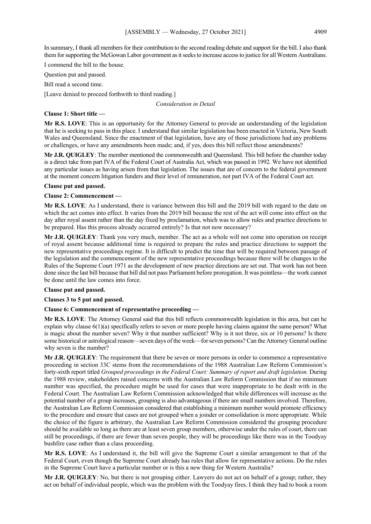In summary, I thank all members for their contribution to the second reading debate and support for the bill. I also thank them for supporting the McGowan Labor government as it seeks to increase access to justice for all Western Australians.

I commend the bill to the house.

Question put and passed.

Bill read a second time.

[Leave denied to proceed forthwith to third reading.]

*Consideration in Detail*

#### **Clause 1: Short title —**

**Mr R.S. LOVE**: This is an opportunity for the Attorney General to provide an understanding of the legislation that he is seeking to pass in this place. I understand that similar legislation has been enacted in Victoria, New South Wales and Queensland. Since the enactment of that legislation, have any of those jurisdictions had any problems or challenges, or have any amendments been made; and, if yes, does this bill reflect those amendments?

**Mr J.R. QUIGLEY**: The member mentioned the commonwealth and Queensland. This bill before the chamber today is a direct take from part IVA of the Federal Court of Australia Act, which was passed in 1992. We have not identified any particular issues as having arisen from that legislation. The issues that are of concern to the federal government at the moment concern litigation funders and their level of remuneration, not part IVA of the Federal Court act.

#### **Clause put and passed.**

#### **Clause 2: Commencement —**

**Mr R.S. LOVE**: As I understand, there is variance between this bill and the 2019 bill with regard to the date on which the act comes into effect. It varies from the 2019 bill because the rest of the act will come into effect on the day after royal assent rather than the day fixed by proclamation, which was to allow rules and practice directions to be prepared. Has this process already occurred entirely? Is that not now necessary?

**Mr J.R. QUIGLEY**: Thank you very much, member. The act as a whole will not come into operation on receipt of royal assent because additional time is required to prepare the rules and practice directions to support the new representative proceedings regime. It is difficult to predict the time that will be required between passage of the legislation and the commencement of the new representative proceedings because there will be changes to the Rules of the Supreme Court 1971 as the development of new practice directions are set out. That work has not been done since the last bill because that bill did not pass Parliament before prorogation. It was pointless—the work cannot be done until the law comes into force.

### **Clause put and passed.**

#### **Clauses 3 to 5 put and passed.**

### **Clause 6: Commencement of representative proceeding —**

**Mr R.S. LOVE**: The Attorney General said that this bill reflects commonwealth legislation in this area, but can he explain why clause  $6(1)(a)$  specifically refers to seven or more people having claims against the same person? What is magic about the number seven? Why it that number sufficient? Why is it not three, six or 10 persons? Is there some historical or astrological reason—seven days of the week—for seven persons? Can the Attorney General outline why seven is the number?

**Mr J.R. QUIGLEY**: The requirement that there be seven or more persons in order to commence a representative proceeding in section 33C stems from the recommendations of the 1988 Australian Law Reform Commission's forty-sixth report titled *Grouped proceedings in the Federal Court: Summary of report and draft legislation.* During the 1988 review, stakeholders raised concerns with the Australian Law Reform Commission that if no minimum number was specified, the procedure might be used for cases that were inappropriate to be dealt with in the Federal Court. The Australian Law Reform Commission acknowledged that while differences will increase as the potential number of a group increases, grouping is also advantageous if there are small numbers involved. Therefore, the Australian Law Reform Commission considered that establishing a minimum number would promote efficiency to the procedure and ensure that cases are not grouped when a joinder or consolidation is more appropriate. While the choice of the figure is arbitrary, the Australian Law Reform Commission considered the grouping procedure should be available so long as there are at least seven group members, otherwise under the rules of court, there can still be proceedings, if there are fewer than seven people, they will be proceedings like there was in the Toodyay bushfire case rather than a class proceeding.

**Mr R.S. LOVE**: As I understand it, the bill will give the Supreme Court a similar arrangement to that of the Federal Court, even though the Supreme Court already has rules that allow for representative actions. Do the rules in the Supreme Court have a particular number or is this a new thing for Western Australia?

**Mr J.R. QUIGLEY**: No, but there is not grouping either. Lawyers do not act on behalf of a group; rather, they act on behalf of individual people, which was the problem with the Toodyay fires. I think they had to book a room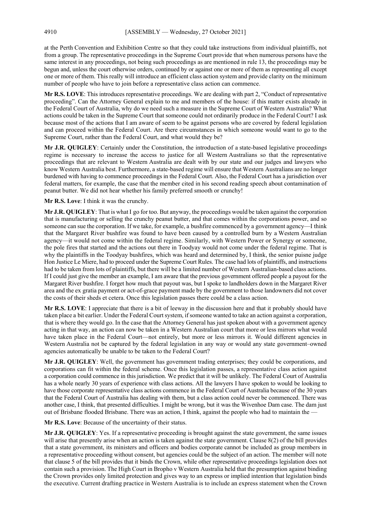at the Perth Convention and Exhibition Centre so that they could take instructions from individual plaintiffs, not from a group. The representative proceedings in the Supreme Court provide that when numerous persons have the same interest in any proceedings, not being such proceedings as are mentioned in rule 13, the proceedings may be begun and, unless the court otherwise orders, continued by or against one or more of them as representing all except one or more of them. This really will introduce an efficient class action system and provide clarity on the minimum number of people who have to join before a representative class action can commence.

**Mr R.S. LOVE**: This introduces representative proceedings. We are dealing with part 2, "Conduct of representative proceeding". Can the Attorney General explain to me and members of the house: if this matter exists already in the Federal Court of Australia, why do we need such a measure in the Supreme Court of Western Australia? What actions could be taken in the Supreme Court that someone could not ordinarily produce in the Federal Court? I ask because most of the actions that I am aware of seem to be against persons who are covered by federal legislation and can proceed within the Federal Court. Are there circumstances in which someone would want to go to the Supreme Court, rather than the Federal Court, and what would they be?

**Mr J.R. QUIGLEY**: Certainly under the Constitution, the introduction of a state-based legislative proceedings regime is necessary to increase the access to justice for all Western Australians so that the representative proceedings that are relevant to Western Australia are dealt with by our state and our judges and lawyers who know Western Australia best. Furthermore, a state-based regime will ensure that Western Australians are no longer burdened with having to commence proceedings in the Federal Court. Also, the Federal Court has a jurisdiction over federal matters, for example, the case that the member cited in his second reading speech about contamination of peanut butter. We did not hear whether his family preferred smooth or crunchy!

**Mr R.S. Love**: I think it was the crunchy.

**Mr J.R. QUIGLEY**: That is what I go for too. But anyway, the proceedings would be taken against the corporation that is manufacturing or selling the crunchy peanut butter, and that comes within the corporations power, and so someone can sue the corporation. If we take, for example, a bushfire commenced by a government agency—I think that the Margaret River bushfire was found to have been caused by a controlled burn by a Western Australian agency—it would not come within the federal regime. Similarly, with Western Power or Synergy or someone, the pole fires that started and the actions out there in Toodyay would not come under the federal regime. That is why the plaintiffs in the Toodyay bushfires, which was heard and determined by, I think, the senior puisne judge Hon Justice Le Miere, had to proceed under the Supreme Court Rules. The case had lots of plaintiffs, and instructions had to be taken from lots of plaintiffs, but there will be a limited number of Western Australian-based class actions. If I could just give the member an example, I am aware that the previous government offered people a payout for the Margaret River bushfire. I forget how much that payout was, but I spoke to landholders down in the Margaret River area and the ex gratia payment or act-of-grace payment made by the government to those landowners did not cover the costs of their sheds et cetera. Once this legislation passes there could be a class action.

**Mr R.S. LOVE**: I appreciate that there is a bit of leeway in the discussion here and that it probably should have taken place a bit earlier. Under the Federal Court system, if someone wanted to take an action against a corporation, that is where they would go. In the case that the Attorney General has just spoken about with a government agency acting in that way, an action can now be taken in a Western Australian court that more or less mirrors what would have taken place in the Federal Court—not entirely, but more or less mirrors it. Would different agencies in Western Australia not be captured by the federal legislation in any way or would any state government–owned agencies automatically be unable to be taken to the Federal Court?

**Mr J.R. QUIGLEY**: Well, the government has government trading enterprises; they could be corporations, and corporations can fit within the federal scheme. Once this legislation passes, a representative class action against a corporation could commence in this jurisdiction. We predict that it will be unlikely. The Federal Court of Australia has a whole nearly 30 years of experience with class actions. All the lawyers I have spoken to would be looking to have those corporate representative class actions commence in the Federal Court of Australia because of the 30 years that the Federal Court of Australia has dealing with them, but a class action could never be commenced. There was another case, I think, that presented difficulties. I might be wrong, but it was the Wivenhoe Dam case. The dam just out of Brisbane flooded Brisbane. There was an action, I think, against the people who had to maintain the –

**Mr R.S. Love**: Because of the uncertainty of their status.

**Mr J.R. QUIGLEY**: Yes. If a representative proceeding is brought against the state government, the same issues will arise that presently arise when an action is taken against the state government. Clause 8(2) of the bill provides that a state government, its ministers and officers and bodies corporate cannot be included as group members in a representative proceeding without consent, but agencies could be the subject of an action. The member will note that clause 5 of the bill provides that it binds the Crown, while other representative proceedings legislation does not contain such a provision. The High Court in Bropho v Western Australia held that the presumption against binding the Crown provides only limited protection and gives way to an express or implied intention that legislation binds the executive. Current drafting practice in Western Australia is to include an express statement when the Crown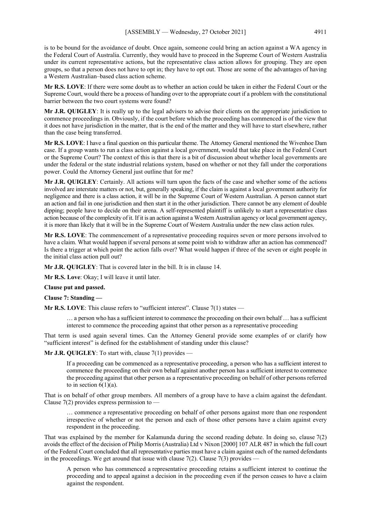is to be bound for the avoidance of doubt. Once again, someone could bring an action against a WA agency in the Federal Court of Australia. Currently, they would have to proceed in the Supreme Court of Western Australia under its current representative actions, but the representative class action allows for grouping. They are open groups, so that a person does not have to opt in; they have to opt out. Those are some of the advantages of having a Western Australian–based class action scheme.

**Mr R.S. LOVE**: If there were some doubt as to whether an action could be taken in either the Federal Court or the Supreme Court, would there be a process of handing over to the appropriate court if a problem with the constitutional barrier between the two court systems were found?

**Mr J.R. QUIGLEY**: It is really up to the legal advisers to advise their clients on the appropriate jurisdiction to commence proceedings in. Obviously, if the court before which the proceeding has commenced is of the view that it does not have jurisdiction in the matter, that is the end of the matter and they will have to start elsewhere, rather than the case being transferred.

**Mr R.S. LOVE**: I have a final question on this particular theme. The Attorney General mentioned the Wivenhoe Dam case. If a group wants to run a class action against a local government, would that take place in the Federal Court or the Supreme Court? The context of this is that there is a bit of discussion about whether local governments are under the federal or the state industrial relations system, based on whether or not they fall under the corporations power. Could the Attorney General just outline that for me?

**Mr J.R. QUIGLEY**: Certainly. All actions will turn upon the facts of the case and whether some of the actions involved are interstate matters or not, but, generally speaking, if the claim is against a local government authority for negligence and there is a class action, it will be in the Supreme Court of Western Australian. A person cannot start an action and fail in one jurisdiction and then start it in the other jurisdiction. There cannot be any element of double dipping; people have to decide on their arena. A self-represented plaintiff is unlikely to start a representative class action because of the complexity of it. If it is an action against a Western Australian agency or local government agency, it is more than likely that it will be in the Supreme Court of Western Australia under the new class action rules.

**Mr R.S. LOVE**: The commencement of a representative proceeding requires seven or more persons involved to have a claim. What would happen if several persons at some point wish to withdraw after an action has commenced? Is there a trigger at which point the action falls over? What would happen if three of the seven or eight people in the initial class action pull out?

**Mr J.R. QUIGLEY**: That is covered later in the bill. It is in clause 14.

**Mr R.S. Love**: Okay; I will leave it until later.

**Clause put and passed.**

**Clause 7: Standing —**

**Mr R.S. LOVE:** This clause refers to "sufficient interest". Clause 7(1) states —

… a person who has a sufficient interest to commence the proceeding on their own behalf … has a sufficient interest to commence the proceeding against that other person as a representative proceeding

That term is used again several times. Can the Attorney General provide some examples of or clarify how "sufficient interest" is defined for the establishment of standing under this clause?

**Mr J.R. QUIGLEY**: To start with, clause 7(1) provides —

If a proceeding can be commenced as a representative proceeding, a person who has a sufficient interest to commence the proceeding on their own behalf against another person has a sufficient interest to commence the proceeding against that other person as a representative proceeding on behalf of other persons referred to in section  $6(1)(a)$ .

That is on behalf of other group members. All members of a group have to have a claim against the defendant. Clause  $7(2)$  provides express permission to —

… commence a representative proceeding on behalf of other persons against more than one respondent irrespective of whether or not the person and each of those other persons have a claim against every respondent in the proceeding.

That was explained by the member for Kalamunda during the second reading debate. In doing so, clause 7(2) avoids the effect of the decision of Philip Morris (Australia) Ltd v Nixon [2000] 107 ALR 487 in which the full court of the Federal Court concluded that all representative parties must have a claim against each of the named defendants in the proceedings. We get around that issue with clause  $7(2)$ . Clause  $7(3)$  provides –

A person who has commenced a representative proceeding retains a sufficient interest to continue the proceeding and to appeal against a decision in the proceeding even if the person ceases to have a claim against the respondent.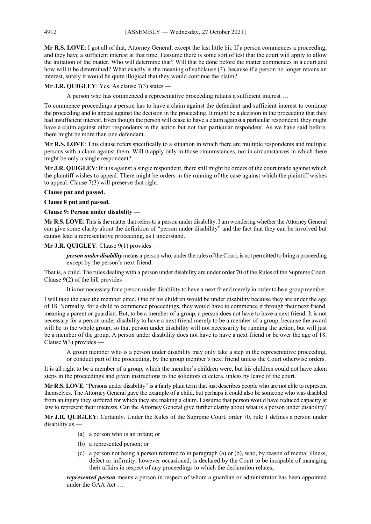**Mr R.S. LOVE**: I got all of that, Attorney General, except the last little bit. If a person commences a proceeding, and they have a sufficient interest at that time, I assume there is some sort of test that the court will apply to allow the initiation of the matter. Who will determine that? Will that be done before the matter commences in a court and how will it be determined? What exactly is the meaning of subclause (3), because if a person no longer retains an interest, surely it would be quite illogical that they would continue the claim?

**Mr J.R. QUIGLEY**: Yes. As clause 7(3) states —

A person who has commenced a representative proceeding retains a sufficient interest …

To commence proceedings a person has to have a claim against the defendant and sufficient interest to continue the proceeding and to appeal against the decision in the proceeding. It might be a decision in the proceeding that they had insufficient interest. Even though the person will cease to have a claim against a particular respondent, they might have a claim against other respondents in the action but not that particular respondent. As we have said before, there might be more than one defendant.

**Mr R.S. LOVE**: This clause refers specifically to a situation in which there are multiple respondents and multiple persons with a claim against them. Will it apply only in those circumstances, not in circumstances in which there might be only a single respondent?

**Mr J.R. QUIGLEY**: If it is against a single respondent, there still might be orders of the court made against which the plaintiff wishes to appeal. There might be orders in the running of the case against which the plaintiff wishes to appeal. Clause 7(3) will preserve that right.

#### **Clause put and passed.**

#### **Clause 8 put and passed.**

#### **Clause 9: Person under disability —**

**Mr R.S. LOVE**: This is the matter that refers to a person under disability. I am wondering whether the Attorney General can give some clarity about the definition of "person under disability" and the fact that they can be involved but cannot lead a representative proceeding, as I understand.

#### **Mr J.R. QUIGLEY**: Clause 9(1) provides —

*person under disability* means a person who, under the rules of the Court, is not permitted to bring a proceeding except by the person's next friend.

That is, a child. The rules dealing with a person under disability are under order 70 of the Rules of the Supreme Court. Clause  $9(2)$  of the bill provides -

It is not necessary for a person under disability to have a next friend merely in order to be a group member.

I will take the case the member cited. One of his children would be under disability because they are under the age of 18. Normally, for a child to commence proceedings, they would have to commence it through their next friend, meaning a parent or guardian. But, to be a member of a group, a person does not have to have a next friend. It is not necessary for a person under disability to have a next friend merely to be a member of a group, because the award will be to the whole group, so that person under disability will not necessarily be running the action, but will just be a member of the group. A person under disability does not have to have a next friend or be over the age of 18. Clause 9(3) provides —

A group member who is a person under disability may only take a step in the representative proceeding, or conduct part of the proceeding, by the group member's next friend unless the Court otherwise orders.

It is all right to be a member of a group, which the member's children were, but his children could not have taken steps in the proceedings and given instructions to the solicitors et cetera, unless by leave of the court.

**Mr R.S. LOVE**: "Persons under disability" is a fairly plain term that just describes people who are not able to represent themselves. The Attorney General gave the example of a child, but perhaps it could also be someone who was disabled from an injury they suffered for which they are making a claim. I assume that person would have reduced capacity at law to represent their interests. Can the Attorney General give further clarity about what is a person under disability?

**Mr J.R. QUIGLEY**: Certainly. Under the Rules of the Supreme Court, order 70, rule 1 defines a person under disability as —

- (a) a person who is an infant; or
- (b) a represented person; or
- (c) a person not being a person referred to in paragraph (a) or (b), who, by reason of mental illness, defect or infirmity, however occasioned, is declared by the Court to be incapable of managing their affairs in respect of any proceedings to which the declaration relates;

*represented person* means a person in respect of whom a guardian or administrator has been appointed under the GAA Act …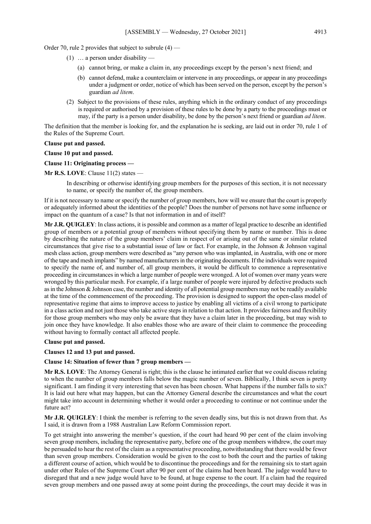Order 70, rule 2 provides that subject to subrule  $(4)$  —

- (1) … a person under disability
	- (a) cannot bring, or make a claim in, any proceedings except by the person's next friend; and
	- (b) cannot defend, make a counterclaim or intervene in any proceedings, or appear in any proceedings under a judgment or order, notice of which has been served on the person, except by the person's guardian *ad litem*.
- (2) Subject to the provisions of these rules, anything which in the ordinary conduct of any proceedings is required or authorised by a provision of these rules to be done by a party to the proceedings must or may, if the party is a person under disability, be done by the person's next friend or guardian *ad litem*.

The definition that the member is looking for, and the explanation he is seeking, are laid out in order 70, rule 1 of the Rules of the Supreme Court.

#### **Clause put and passed.**

#### **Clause 10 put and passed.**

#### **Clause 11: Originating process —**

**Mr R.S. LOVE**: Clause 11(2) states —

In describing or otherwise identifying group members for the purposes of this section, it is not necessary to name, or specify the number of, the group members.

If it is not necessary to name or specify the number of group members, how will we ensure that the court is properly or adequately informed about the identities of the people? Does the number of persons not have some influence or impact on the quantum of a case? Is that not information in and of itself?

**Mr J.R. QUIGLEY**: In class actions, it is possible and common as a matter of legal practice to describe an identified group of members or a potential group of members without specifying them by name or number. This is done by describing the nature of the group members' claim in respect of or arising out of the same or similar related circumstances that give rise to a substantial issue of law or fact. For example, in the Johnson & Johnson vaginal mesh class action, group members were described as "any person who was implanted, in Australia, with one or more of the tape and mesh implants" by named manufacturers in the originating documents. If the individuals were required to specify the name of, and number of, all group members, it would be difficult to commence a representative proceeding in circumstances in which a large number of people were wronged. A lot of women over many years were wronged by this particular mesh. For example, if a large number of people were injured by defective products such as in the Johnson & Johnson case, the number and identity of all potential group members may not be readily available at the time of the commencement of the proceeding. The provision is designed to support the open-class model of representative regime that aims to improve access to justice by enabling all victims of a civil wrong to participate in a class action and not just those who take active steps in relation to that action. It provides fairness and flexibility for those group members who may only be aware that they have a claim later in the proceeding, but may wish to join once they have knowledge. It also enables those who are aware of their claim to commence the proceeding without having to formally contact all affected people.

#### **Clause put and passed.**

**Clauses 12 and 13 put and passed.**

#### **Clause 14: Situation of fewer than 7 group members —**

**Mr R.S. LOVE**: The Attorney General is right; this is the clause he intimated earlier that we could discuss relating to when the number of group members falls below the magic number of seven. Biblically, I think seven is pretty significant. I am finding it very interesting that seven has been chosen. What happens if the number falls to six? It is laid out here what may happen, but can the Attorney General describe the circumstances and what the court might take into account in determining whether it would order a proceeding to continue or not continue under the future act?

**Mr J.R. QUIGLEY**: I think the member is referring to the seven deadly sins, but this is not drawn from that. As I said, it is drawn from a 1988 Australian Law Reform Commission report.

To get straight into answering the member's question, if the court had heard 90 per cent of the claim involving seven group members, including the representative party, before one of the group members withdrew, the court may be persuaded to hear the rest of the claim as a representative proceeding, notwithstanding that there would be fewer than seven group members. Consideration would be given to the cost to both the court and the parties of taking a different course of action, which would be to discontinue the proceedings and for the remaining six to start again under other Rules of the Supreme Court after 90 per cent of the claims had been heard. The judge would have to disregard that and a new judge would have to be found, at huge expense to the court. If a claim had the required seven group members and one passed away at some point during the proceedings, the court may decide it was in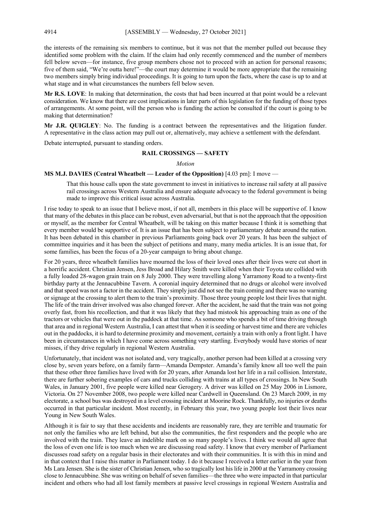the interests of the remaining six members to continue, but it was not that the member pulled out because they identified some problem with the claim. If the claim had only recently commenced and the number of members fell below seven—for instance, five group members chose not to proceed with an action for personal reasons; five of them said, "We're outta here!"—the court may determine it would be more appropriate that the remaining two members simply bring individual proceedings. It is going to turn upon the facts, where the case is up to and at what stage and in what circumstances the numbers fell below seven.

**Mr R.S. LOVE**: In making that determination, the costs that had been incurred at that point would be a relevant consideration. We know that there are cost implications in later parts of this legislation for the funding of those types of arrangements. At some point, will the person who is funding the action be consulted if the court is going to be making that determination?

**Mr J.R. QUIGLEY**: No. The funding is a contract between the representatives and the litigation funder. A representative in the class action may pull out or, alternatively, may achieve a settlement with the defendant.

Debate interrupted, pursuant to standing orders.

#### **RAIL CROSSINGS — SAFETY**

#### *Motion*

#### **MS M.J. DAVIES (Central Wheatbelt — Leader of the Opposition)** [4.03 pm]: I move —

That this house calls upon the state government to invest in initiatives to increase rail safety at all passive rail crossings across Western Australia and ensure adequate advocacy to the federal government is being made to improve this critical issue across Australia.

I rise today to speak to an issue that I believe most, if not all, members in this place will be supportive of. I know that many of the debates in this place can be robust, even adversarial, but that is not the approach that the opposition or myself, as the member for Central Wheatbelt, will be taking on this matter because I think it is something that every member would be supportive of. It is an issue that has been subject to parliamentary debate around the nation. It has been debated in this chamber in previous Parliaments going back over 20 years. It has been the subject of committee inquiries and it has been the subject of petitions and many, many media articles. It is an issue that, for some families, has been the focus of a 20-year campaign to bring about change.

For 20 years, three wheatbelt families have mourned the loss of their loved ones after their lives were cut short in a horrific accident. Christian Jensen, Jess Broad and Hilary Smith were killed when their Toyota ute collided with a fully loaded 28-wagon grain train on 8 July 2000. They were travelling along Yarramony Road to a twenty-first birthday party at the Jennacubbine Tavern. A coronial inquiry determined that no drugs or alcohol were involved and that speed was not a factor in the accident. They simply just did not see the train coming and there was no warning or signage at the crossing to alert them to the train's proximity. Those three young people lost their lives that night. The life of the train driver involved was also changed forever. After the accident, he said that the train was not going overly fast, from his recollection, and that it was likely that they had mistook his approaching train as one of the tractors or vehicles that were out in the paddock at that time. As someone who spends a bit of time driving through that area and in regional Western Australia, I can attest that when it is seeding or harvest time and there are vehicles out in the paddocks, it is hard to determine proximity and movement, certainly a train with only a front light. I have been in circumstances in which I have come across something very startling. Everybody would have stories of near misses, if they drive regularly in regional Western Australia.

Unfortunately, that incident was not isolated and, very tragically, another person had been killed at a crossing very close by, seven years before, on a family farm—Amanda Dempster. Amanda's family know all too well the pain that these other three families have lived with for 20 years, after Amanda lost her life in a rail collision. Interstate, there are further sobering examples of cars and trucks colliding with trains at all types of crossings. In New South Wales, in January 2001, five people were killed near Gerogery. A driver was killed on 25 May 2006 in Lismore, Victoria. On 27 November 2008, two people were killed near Cardwell in Queensland. On 23 March 2009, in my electorate, a school bus was destroyed in a level crossing incident at Moorine Rock. Thankfully, no injuries or deaths occurred in that particular incident. Most recently, in February this year, two young people lost their lives near Young in New South Wales.

Although it is fair to say that these accidents and incidents are reasonably rare, they are terrible and traumatic for not only the families who are left behind, but also the communities, the first responders and the people who are involved with the train. They leave an indelible mark on so many people's lives. I think we would all agree that the loss of even one life is too much when we are discussing road safety. I know that every member of Parliament discusses road safety on a regular basis in their electorates and with their communities. It is with this in mind and in that context that I raise this matter in Parliament today. I do it because I received a letter earlier in the year from Ms Lara Jensen. She is the sister of Christian Jensen, who so tragically lost his life in 2000 at the Yarramony crossing close to Jennacubbine. She was writing on behalf of seven families—the three who were impacted in that particular incident and others who had all lost family members at passive level crossings in regional Western Australia and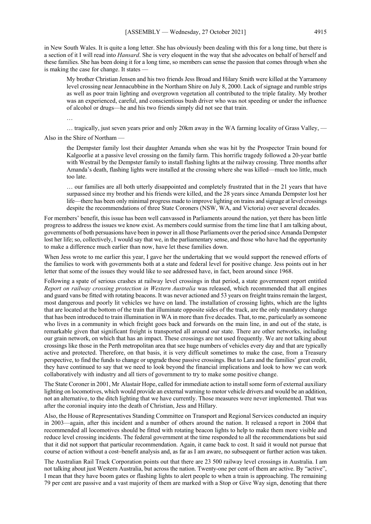in New South Wales. It is quite a long letter. She has obviously been dealing with this for a long time, but there is a section of it I will read into *Hansard*. She is very eloquent in the way that she advocates on behalf of herself and these families. She has been doing it for a long time, so members can sense the passion that comes through when she is making the case for change. It states –

My brother Christian Jensen and his two friends Jess Broad and Hilary Smith were killed at the Yarramony level crossing near Jennacubbine in the Northam Shire on July 8, 2000. Lack of signage and rumble strips as well as poor train lighting and overgrown vegetation all contributed to the triple fatality. My brother was an experienced, careful, and conscientious bush driver who was not speeding or under the influence of alcohol or drugs—he and his two friends simply did not see that train.

… tragically, just seven years prior and only 20km away in the WA farming locality of Grass Valley, —

Also in the Shire of Northam —

…

the Dempster family lost their daughter Amanda when she was hit by the Prospector Train bound for Kalgoorlie at a passive level crossing on the family farm. This horrific tragedy followed a 20-year battle with Westrail by the Dempster family to install flashing lights at the railway crossing. Three months after Amanda's death, flashing lights were installed at the crossing where she was killed—much too little, much too late.

… our families are all both utterly disappointed and completely frustrated that in the 21 years that have surpassed since my brother and his friends were killed, and the 28 years since Amanda Dempster lost her life—there has been only minimal progress made to improve lighting on trains and signage at level crossings despite the recommendations of three State Coroners (NSW, WA, and Victoria) over several decades.

For members' benefit, this issue has been well canvassed in Parliaments around the nation, yet there has been little progress to address the issues we know exist. As members could surmise from the time line that I am talking about, governments of both persuasions have been in power in all those Parliaments over the period since Amanda Dempster lost her life; so, collectively, I would say that we, in the parliamentary sense, and those who have had the opportunity to make a difference much earlier than now, have let these families down.

When Jess wrote to me earlier this year, I gave her the undertaking that we would support the renewed efforts of the families to work with governments both at a state and federal level for positive change. Jess points out in her letter that some of the issues they would like to see addressed have, in fact, been around since 1968.

Following a spate of serious crashes at railway level crossings in that period, a state government report entitled *Report on railway crossing protection in Western Australia* was released, which recommended that all engines and guard vans be fitted with rotating beacons. It was never actioned and 53 years on freight trains remain the largest, most dangerous and poorly lit vehicles we have on land. The installation of crossing lights, which are the lights that are located at the bottom of the train that illuminate opposite sides of the track, are the only mandatory change that has been introduced to train illumination in WA in more than five decades. That, to me, particularly as someone who lives in a community in which freight goes back and forwards on the main line, in and out of the state, is remarkable given that significant freight is transported all around our state. There are other networks, including our grain network, on which that has an impact. These crossings are not used frequently. We are not talking about crossings like those in the Perth metropolitan area that see huge numbers of vehicles every day and that are typically active and protected. Therefore, on that basis, it is very difficult sometimes to make the case, from a Treasury perspective, to find the funds to change or upgrade those passive crossings. But to Lara and the families' great credit, they have continued to say that we need to look beyond the financial implications and look to how we can work collaboratively with industry and all tiers of government to try to make some positive change.

The State Coroner in 2001, Mr Alastair Hope, called for immediate action to install some form of external auxiliary lighting on locomotives, which would provide an external warning to motor vehicle drivers and would be an addition, not an alternative, to the ditch lighting that we have currently. Those measures were never implemented. That was after the coronial inquiry into the death of Christian, Jess and Hillary.

Also, the House of Representatives Standing Committee on Transport and Regional Services conducted an inquiry in 2003—again, after this incident and a number of others around the nation. It released a report in 2004 that recommended all locomotives should be fitted with rotating beacon lights to help to make them more visible and reduce level crossing incidents. The federal government at the time responded to all the recommendations but said that it did not support that particular recommendation. Again, it came back to cost. It said it would not pursue that course of action without a cost–benefit analysis and, as far as I am aware, no subsequent or further action was taken.

The Australian Rail Track Corporation points out that there are 23 500 railway level crossings in Australia. I am not talking about just Western Australia, but across the nation. Twenty-one per cent of them are active. By "active", I mean that they have boom gates or flashing lights to alert people to when a train is approaching. The remaining 79 per cent are passive and a vast majority of them are marked with a Stop or Give Way sign, denoting that there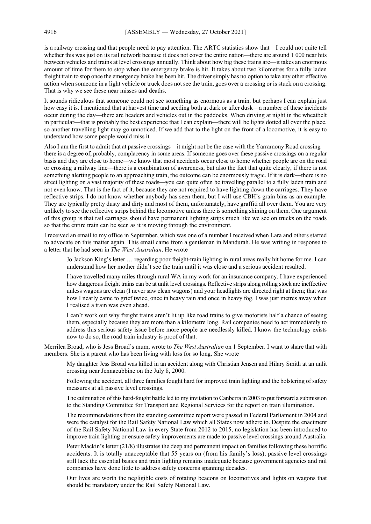is a railway crossing and that people need to pay attention. The ARTC statistics show that—I could not quite tell whether this was just on its rail network because it does not cover the entire nation—there are around 1 000 near hits between vehicles and trains at level crossings annually. Think about how big these trains are—it takes an enormous amount of time for them to stop when the emergency brake is hit. It takes about two kilometres for a fully laden freight train to stop once the emergency brake has been hit. The driver simply has no option to take any other effective action when someone in a light vehicle or truck does not see the train, goes over a crossing or is stuck on a crossing. That is why we see these near misses and deaths.

It sounds ridiculous that someone could not see something as enormous as a train, but perhaps I can explain just how easy it is. I mentioned that at harvest time and seeding both at dark or after dusk—a number of these incidents occur during the day—there are headers and vehicles out in the paddocks. When driving at night in the wheatbelt in particular—that is probably the best experience that I can explain—there will be lights dotted all over the place, so another travelling light may go unnoticed. If we add that to the light on the front of a locomotive, it is easy to understand how some people would miss it.

Also I am the first to admit that at passive crossings—it might not be the case with the Yarramony Road crossing there is a degree of, probably, complacency in some areas. If someone goes over these passive crossings on a regular basis and they are close to home—we know that most accidents occur close to home whether people are on the road or crossing a railway line—there is a combination of awareness, but also the fact that quite clearly, if there is not something alerting people to an approaching train, the outcome can be enormously tragic. If it is dark—there is no street lighting on a vast majority of these roads—you can quite often be travelling parallel to a fully laden train and not even know. That is the fact of it, because they are not required to have lighting down the carriages. They have reflective strips. I do not know whether anybody has seen them, but I will use CBH's grain bins as an example. They are typically pretty dusty and dirty and most of them, unfortunately, have graffiti all over them. You are very unlikely to see the reflective strips behind the locomotive unless there is something shining on them. One argument of this group is that rail carriages should have permanent lighting strips much like we see on trucks on the roads so that the entire train can be seen as it is moving through the environment.

I received an email to my office in September, which was one of a number I received when Lara and others started to advocate on this matter again. This email came from a gentleman in Mandurah. He was writing in response to a letter that he had seen in *The West Australian*. He wrote —

Jo Jackson King's letter … regarding poor freight-train lighting in rural areas really hit home for me. I can understand how her mother didn't see the train until it was close and a serious accident resulted.

I have travelled many miles through rural WA in my work for an insurance company. I have experienced how dangerous freight trains can be at unlit level crossings. Reflective strips along rolling stock are ineffective unless wagons are clean (I never saw clean wagons) and your headlights are directed right at them; that was how I nearly came to grief twice, once in heavy rain and once in heavy fog. I was just metres away when I realised a train was even ahead.

I can't work out why freight trains aren't lit up like road trains to give motorists half a chance of seeing them, especially because they are more than a kilometre long. Rail companies need to act immediately to address this serious safety issue before more people are needlessly killed. I know the technology exists now to do so, the road train industry is proof of that.

Merrilea Broad, who is Jess Broad's mum, wrote to *The West Australian* on 1 September. I want to share that with members. She is a parent who has been living with loss for so long. She wrote —

My daughter Jess Broad was killed in an accident along with Christian Jensen and Hilary Smith at an unlit crossing near Jennacubbine on the July 8, 2000.

Following the accident, all three families fought hard for improved train lighting and the bolstering of safety measures at all passive level crossings.

The culmination of this hard-fought battle led to my invitation to Canberra in 2003 to put forward a submission to the Standing Committee for Transport and Regional Services for the report on train illumination.

The recommendations from the standing committee report were passed in Federal Parliament in 2004 and were the catalyst for the Rail Safety National Law which all States now adhere to. Despite the enactment of the Rail Safety National Law in every State from 2012 to 2015, no legislation has been introduced to improve train lighting or ensure safety improvements are made to passive level crossings around Australia.

Peter Mackin's letter (21/8) illustrates the deep and permanent impact on families following these horrific accidents. It is totally unacceptable that 55 years on (from his family's loss), passive level crossings still lack the essential basics and train lighting remains inadequate because government agencies and rail companies have done little to address safety concerns spanning decades.

Our lives are worth the negligible costs of rotating beacons on locomotives and lights on wagons that should be mandatory under the Rail Safety National Law.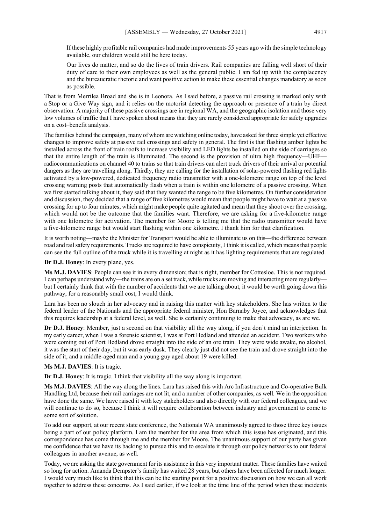If these highly profitable rail companies had made improvements 55 years ago with the simple technology available, our children would still be here today.

Our lives do matter, and so do the lives of train drivers. Rail companies are falling well short of their duty of care to their own employees as well as the general public. I am fed up with the complacency and the bureaucratic rhetoric and want positive action to make these essential changes mandatory as soon as possible.

That is from Merrilea Broad and she is in Leonora. As I said before, a passive rail crossing is marked only with a Stop or a Give Way sign, and it relies on the motorist detecting the approach or presence of a train by direct observation. A majority of these passive crossings are in regional WA, and the geographic isolation and those very low volumes of traffic that I have spoken about means that they are rarely considered appropriate for safety upgrades on a cost–benefit analysis.

The families behind the campaign, many of whom are watching online today, have asked for three simple yet effective changes to improve safety at passive rail crossings and safety in general. The first is that flashing amber lights be installed across the front of train roofs to increase visibility and LED lights be installed on the side of carriages so that the entire length of the train is illuminated. The second is the provision of ultra high frequency—UHF radiocommunications on channel 40 to trains so that train drivers can alert truck drivers of their arrival or potential dangers as they are travelling along. Thirdly, they are calling for the installation of solar-powered flashing red lights activated by a low-powered, dedicated frequency radio transmitter with a one-kilometre range on top of the level crossing warning posts that automatically flash when a train is within one kilometre of a passive crossing. When we first started talking about it, they said that they wanted the range to be five kilometres. On further consideration and discussion, they decided that a range of five kilometres would mean that people might have to wait at a passive crossing for up to four minutes, which might make people quite agitated and mean that they shoot over the crossing, which would not be the outcome that the families want. Therefore, we are asking for a five-kilometre range with one kilometre for activation. The member for Moore is telling me that the radio transmitter would have a five-kilometre range but would start flashing within one kilometre. I thank him for that clarification.

It is worth noting—maybe the Minister for Transport would be able to illuminate us on this—the difference between road and rail safety requirements. Trucks are required to have conspicuity, I think it is called, which means that people can see the full outline of the truck while it is travelling at night as it has lighting requirements that are regulated.

**Dr D.J. Honey**: In every plane, yes.

**Ms M.J. DAVIES**: People can see it in every dimension; that is right, member for Cottesloe. This is not required. I can perhaps understand why—the trains are on a set track, while trucks are moving and interacting more regularly but I certainly think that with the number of accidents that we are talking about, it would be worth going down this pathway, for a reasonably small cost, I would think.

Lara has been no slouch in her advocacy and in raising this matter with key stakeholders. She has written to the federal leader of the Nationals and the appropriate federal minister, Hon Barnaby Joyce, and acknowledges that this requires leadership at a federal level, as well. She is certainly continuing to make that advocacy, as are we.

**Dr D.J. Honey**: Member, just a second on that visibility all the way along, if you don't mind an interjection. In my early career, when I was a forensic scientist, I was at Port Hedland and attended an accident. Two workers who were coming out of Port Hedland drove straight into the side of an ore train. They were wide awake, no alcohol, it was the start of their day, but it was early dusk. They clearly just did not see the train and drove straight into the side of it, and a middle-aged man and a young guy aged about 19 were killed.

**Ms M.J. DAVIES**: It is tragic.

**Dr D.J. Honey**: It is tragic. I think that visibility all the way along is important.

**Ms M.J. DAVIES**: All the way along the lines. Lara has raised this with Arc Infrastructure and Co-operative Bulk Handling Ltd, because their rail carriages are not lit, and a number of other companies, as well. We in the opposition have done the same. We have raised it with key stakeholders and also directly with our federal colleagues, and we will continue to do so, because I think it will require collaboration between industry and government to come to some sort of solution.

To add our support, at our recent state conference, the Nationals WA unanimously agreed to those three key issues being a part of our policy platform. I am the member for the area from which this issue has originated, and this correspondence has come through me and the member for Moore. The unanimous support of our party has given me confidence that we have its backing to pursue this and to escalate it through our policy networks to our federal colleagues in another avenue, as well.

Today, we are asking the state government for its assistance in this very important matter. These families have waited so long for action. Amanda Dempster's family has waited 28 years, but others have been affected for much longer. I would very much like to think that this can be the starting point for a positive discussion on how we can all work together to address these concerns. As I said earlier, if we look at the time line of the period when these incidents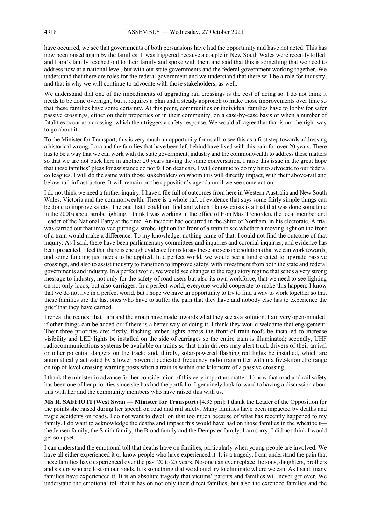have occurred, we see that governments of both persuasions have had the opportunity and have not acted. This has now been raised again by the families. It was triggered because a couple in New South Wales were recently killed, and Lara's family reached out to their family and spoke with them and said that this is something that we need to address now at a national level, but with our state governments and the federal government working together. We understand that there are roles for the federal government and we understand that there will be a role for industry, and that is why we will continue to advocate with those stakeholders, as well.

We understand that one of the impediments of upgrading rail crossings is the cost of doing so. I do not think it needs to be done overnight, but it requires a plan and a steady approach to make those improvements over time so that these families have some certainty. At this point, communities or individual families have to lobby for safer passive crossings, either on their properties or in their community, on a case-by-case basis or when a number of fatalities occur at a crossing, which then triggers a safety response. We would all agree that that is not the right way to go about it.

To the Minister for Transport, this is very much an opportunity for us all to see this as a first step towards addressing a historical wrong. Lara and the families that have been left behind have lived with this pain for over 20 years. There has to be a way that we can work with the state government, industry and the commonwealth to address these matters so that we are not back here in another 20 years having the same conversation. I raise this issue in the great hope that these families' pleas for assistance do not fall on deaf ears. I will continue to do my bit to advocate to our federal colleagues. I will do the same with those stakeholders on whom this will directly impact, with their above-rail and below-rail infrastructure. It will remain on the opposition's agenda until we see some action.

I do not think we need a further inquiry. I have a file full of outcomes from here in Western Australia and New South Wales, Victoria and the commonwealth. There is a whole raft of evidence that says some fairly simple things can be done to improve safety. The one that I could not find and which I know exists is a trial that was done sometime in the 2000s about strobe lighting. I think I was working in the office of Hon Max Trenorden, the local member and Leader of the National Party at the time. An incident had occurred in the Shire of Northam, in his electorate. A trial was carried out that involved putting a strobe light on the front of a train to see whether a moving light on the front of a train would make a difference. To my knowledge, nothing came of that. I could not find the outcome of that inquiry. As I said, there have been parliamentary committees and inquiries and coronial inquiries, and evidence has been presented. I feel that there is enough evidence for us to say these are sensible solutions that we can work towards, and some funding just needs to be applied. In a perfect world, we would see a fund created to upgrade passive crossings, and also to assist industry to transition to improve safety, with investment from both the state and federal governments and industry. In a perfect world, we would see changes to the regulatory regime that sends a very strong message to industry, not only for the safety of road users but also its own workforce, that we need to see lighting on not only locos, but also carriages. In a perfect world, everyone would cooperate to make this happen. I know that we do not live in a perfect world, but I hope we have an opportunity to try to find a way to work together so that these families are the last ones who have to suffer the pain that they have and nobody else has to experience the grief that they have carried.

I repeat the request that Lara and the group have made towards what they see as a solution. I am very open-minded; if other things can be added or if there is a better way of doing it, I think they would welcome that engagement. Their three priorities are: firstly, flashing amber lights across the front of train roofs be installed to increase visibility and LED lights be installed on the side of carriages so the entire train is illuminated; secondly, UHF radiocommunications systems be available on trains so that train drivers may alert truck drivers of their arrival or other potential dangers on the track; and, thirdly, solar-powered flashing red lights be installed, which are automatically activated by a lower powered dedicated frequency radio transmitter within a five-kilometre range on top of level crossing warning posts when a train is within one kilometre of a passive crossing.

I thank the minister in advance for her consideration of this very important matter. I know that road and rail safety has been one of her priorities since she has had the portfolio. I genuinely look forward to having a discussion about this with her and the community members who have raised this with us.

**MS R. SAFFIOTI (West Swan — Minister for Transport)** [4.35 pm]: I thank the Leader of the Opposition for the points she raised during her speech on road and rail safety. Many families have been impacted by deaths and tragic accidents on roads. I do not want to dwell on that too much because of what has recently happened to my family. I do want to acknowledge the deaths and impact this would have had on those families in the wheatbelt the Jensen family, the Smith family, the Broad family and the Dempster family. I am sorry; I did not think I would get so upset.

I can understand the emotional toll that deaths have on families, particularly when young people are involved. We have all either experienced it or know people who have experienced it. It is a tragedy. I can understand the pain that these families have experienced over the past 20 to 25 years. No-one can ever replace the sons, daughters, brothers and sisters who are lost on our roads. It is something that we should try to eliminate where we can. As I said, many families have experienced it. It is an absolute tragedy that victims' parents and families will never get over. We understand the emotional toll that it has on not only their direct families, but also the extended families and the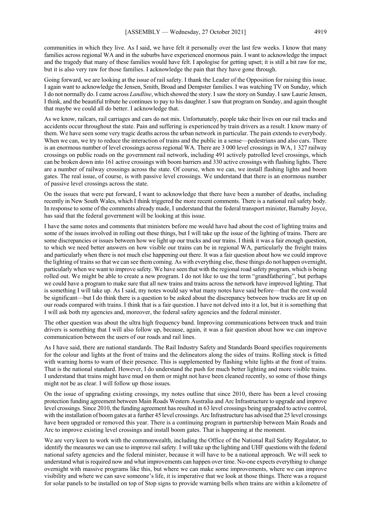communities in which they live. As I said, we have felt it personally over the last few weeks. I know that many families across regional WA and in the suburbs have experienced enormous pain. I want to acknowledge the impact and the tragedy that many of these families would have felt. I apologise for getting upset; it is still a bit raw for me, but it is also very raw for those families. I acknowledge the pain that they have gone through.

Going forward, we are looking at the issue of rail safety. I thank the Leader of the Opposition for raising this issue. I again want to acknowledge the Jensen, Smith, Broad and Dempster families. I was watching TV on Sunday, which I do not normally do. I came across *Landline*, which showed the story. I saw the story on Sunday. I saw Laurie Jensen, I think, and the beautiful tribute he continues to pay to his daughter. I saw that program on Sunday, and again thought that maybe we could all do better. I acknowledge that.

As we know, railcars, rail carriages and cars do not mix. Unfortunately, people take their lives on our rail tracks and accidents occur throughout the state. Pain and suffering is experienced by train drivers as a result. I know many of them. We have seen some very tragic deaths across the urban network in particular. The pain extends to everybody. When we can, we try to reduce the interaction of trains and the public in a sense—pedestrians and also cars. There is an enormous number of level crossings across regional WA. There are 3 000 level crossings in WA, 1 327 railway crossings on public roads on the government rail network, including 491 actively patrolled level crossings, which can be broken down into 161 active crossings with boom barriers and 330 active crossings with flashing lights. There are a number of railway crossings across the state. Of course, when we can, we install flashing lights and boom gates. The real issue, of course, is with passive level crossings. We understand that there is an enormous number of passive level crossings across the state.

On the issues that were put forward, I want to acknowledge that there have been a number of deaths, including recently in New South Wales, which I think triggered the more recent comments. There is a national rail safety body. In response to some of the comments already made, I understand that the federal transport minister, Barnaby Joyce, has said that the federal government will be looking at this issue.

I have the same notes and comments that ministers before me would have had about the cost of lighting trains and some of the issues involved in rolling out these things, but I will take up the issue of the lighting of trains. There are some discrepancies or issues between how we light up our trucks and our trains. I think it was a fair enough question, to which we need better answers on how visible our trains can be in regional WA, particularly the freight trains and particularly when there is not much else happening out there. It was a fair question about how we could improve the lighting of trains so that we can see them coming. As with everything else, these things do not happen overnight, particularly when we want to improve safety. We have seen that with the regional road safety program, which is being rolled out. We might be able to create a new program. I do not like to use the term "grandfathering", but perhaps we could have a program to make sure that all new trains and trains across the network have improved lighting. That is something I will take up. As I said, my notes would say what many notes have said before—that the cost would be significant—but I do think there is a question to be asked about the discrepancy between how trucks are lit up on our roads compared with trains. I think that is a fair question. I have not delved into it a lot, but it is something that I will ask both my agencies and, moreover, the federal safety agencies and the federal minister.

The other question was about the ultra high frequency band. Improving communications between truck and train drivers is something that I will also follow up, because, again, it was a fair question about how we can improve communication between the users of our roads and rail lines.

As I have said, there are national standards. The Rail Industry Safety and Standards Board specifies requirements for the colour and lights at the front of trains and the delineators along the sides of trains. Rolling stock is fitted with warning horns to warn of their presence. This is supplemented by flashing white lights at the front of trains. That is the national standard. However, I do understand the push for much better lighting and more visible trains. I understand that trains might have mud on them or might not have been cleaned recently, so some of those things might not be as clear. I will follow up those issues.

On the issue of upgrading existing crossings, my notes outline that since 2010, there has been a level crossing protection funding agreement between Main Roads Western Australia and Arc Infrastructure to upgrade and improve level crossings. Since 2010, the funding agreement has resulted in 63 level crossings being upgraded to active control, with the installation of boom gates at a further 45 level crossings. Arc Infrastructure has advised that 25 level crossings have been upgraded or removed this year. There is a continuing program in partnership between Main Roads and Arc to improve existing level crossings and install boom gates. That is happening at the moment.

We are very keen to work with the commonwealth, including the Office of the National Rail Safety Regulator, to identify the measures we can use to improve rail safety. I will take up the lighting and UHF questions with the federal national safety agencies and the federal minister, because it will have to be a national approach. We will seek to understand what is required now and what improvements can happen over time. No-one expects everything to change overnight with massive programs like this, but where we can make some improvements, where we can improve visibility and where we can save someone's life, it is imperative that we look at those things. There was a request for solar panels to be installed on top of Stop signs to provide warning bells when trains are within a kilometre of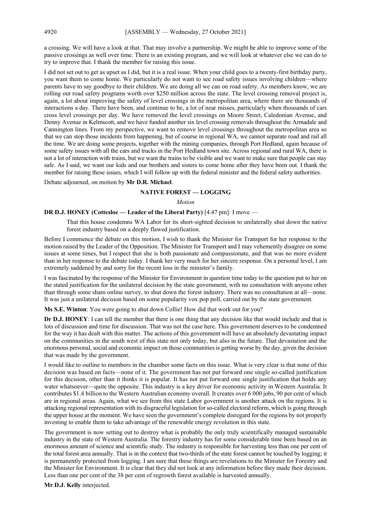a crossing. We will have a look at that. That may involve a partnership. We might be able to improve some of the passive crossings as well over time. There is an existing program, and we will look at whatever else we can do to try to improve that. I thank the member for raising this issue.

I did not set out to get as upset as I did, but it is a real issue. When your child goes to a twenty-first birthday party, you want them to come home. We particularly do not want to see road safety issues involving children—where parents have to say goodbye to their children. We are doing all we can on road safety. As members know, we are rolling out road safety programs worth over \$250 million across the state. The level crossing removal project is, again, a lot about improving the safety of level crossings in the metropolitan area, where there are thousands of interactions a day. There have been, and continue to be, a lot of near misses, particularly when thousands of cars cross level crossings per day. We have removed the level crossings on Moore Street, Caledonian Avenue, and Denny Avenue in Kelmscott, and we have funded another six level crossing removals throughout the Armadale and Cannington lines. From my perspective, we want to remove level crossings throughout the metropolitan area so that we can stop those incidents from happening, but of course in regional WA, we cannot separate road and rail all the time. We are doing some projects, together with the mining companies, through Port Hedland, again because of some safety issues with all the cars and trucks in the Port Hedland town site. Across regional and rural WA, there is not a lot of interaction with trains, but we want the trains to be visible and we want to make sure that people can stay safe. As I said, we want our kids and our brothers and sisters to come home after they have been out. I thank the member for raising these issues, which I will follow up with the federal minister and the federal safety authorities.

Debate adjourned, on motion by **Mr D.R. Michael**.

#### **NATIVE FOREST — LOGGING**

#### *Motion*

#### **DR D.J. HONEY (Cottesloe — Leader of the Liberal Party)** [4.47 pm]: I move —

That this house condemns WA Labor for its short-sighted decision to unilaterally shut down the native forest industry based on a deeply flawed justification.

Before I commence the debate on this motion, I wish to thank the Minister for Transport for her response to the motion raised by the Leader of the Opposition. The Minister for Transport and I may vehemently disagree on some issues at some times, but I respect that she is both passionate and compassionate, and that was no more evident than in her response to the debate today. I thank her very much for her sincere response. On a personal level, I am extremely saddened by and sorry for the recent loss in the minister's family.

I was fascinated by the response of the Minister for Environment in question time today to the question put to her on the stated justification for the unilateral decision by the state government, with no consultation with anyone other than through some sham online survey, to shut down the forest industry. There was no consultation at all—none. It was just a unilateral decision based on some popularity vox pop poll, carried out by the state government.

**Ms S.E. Winton**: You were going to shut down Collie! How did that work out for you?

**Dr D.J. HONEY**: I can tell the member that there is one thing that any decision like that would include and that is lots of discussion and time for discussion. That was not the case here. This government deserves to be condemned for the way it has dealt with this matter. The actions of this government will have an absolutely devastating impact on the communities in the south west of this state not only today, but also in the future. That devastation and the enormous personal, social and economic impact on those communities is getting worse by the day, given the decision that was made by the government.

I would like to outline to members in the chamber some facts on this issue. What is very clear is that none of this decision was based on facts—none of it. The government has not put forward one single so-called justification for this decision, other than it thinks it is popular. It has not put forward one single justification that holds any water whatsoever—quite the opposite. This industry is a key driver for economic activity in Western Australia. It contributes \$1.4 billion to the Western Australian economy overall. It creates over 6 000 jobs, 90 per cent of which are in regional areas. Again, what we see from this state Labor government is another attack on the regions. It is attacking regional representation with its disgraceful legislation for so-called electoral reform, which is going through the upper house at the moment. We have seen the government's complete disregard for the regions by not properly investing to enable them to take advantage of the renewable energy revolution in this state.

The government is now setting out to destroy what is probably the only truly scientifically managed sustainable industry in the state of Western Australia. The forestry industry has for some considerable time been based on an enormous amount of science and scientific study. The industry is responsible for harvesting less than one per cent of the total forest area annually. That is in the context that two-thirds of the state forest cannot be touched by logging; it is permanently protected from logging. I am sure that these things are revelations to the Minister for Forestry and the Minister for Environment. It is clear that they did not look at any information before they made their decision. Less than one per cent of the 38 per cent of regrowth forest available is harvested annually.

**Mr D.J. Kelly** interjected.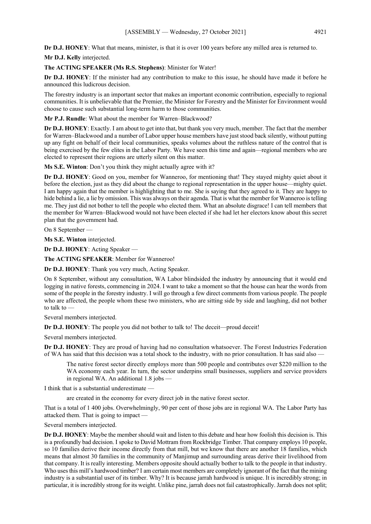**Dr D.J. HONEY**: What that means, minister, is that it is over 100 years before any milled area is returned to.

**Mr D.J. Kelly** interjected.

### **The ACTING SPEAKER (Ms R.S. Stephens)**: Minister for Water!

**Dr D.J. HONEY**: If the minister had any contribution to make to this issue, he should have made it before he announced this ludicrous decision.

The forestry industry is an important sector that makes an important economic contribution, especially to regional communities. It is unbelievable that the Premier, the Minister for Forestry and the Minister for Environment would choose to cause such substantial long-term harm to those communities.

**Mr P.J. Rundle**: What about the member for Warren–Blackwood?

**Dr D.J. HONEY**: Exactly. I am about to get into that, but thank you very much, member. The fact that the member for Warren–Blackwood and a number of Labor upper house members have just stood back silently, without putting up any fight on behalf of their local communities, speaks volumes about the ruthless nature of the control that is being exercised by the few elites in the Labor Party. We have seen this time and again—regional members who are elected to represent their regions are utterly silent on this matter.

**Ms S.E. Winton**: Don't you think they might actually agree with it?

**Dr D.J. HONEY**: Good on you, member for Wanneroo, for mentioning that! They stayed mighty quiet about it before the election, just as they did about the change to regional representation in the upper house—mighty quiet. I am happy again that the member is highlighting that to me. She is saying that they agreed to it. They are happy to hide behind a lie, a lie by omission. This was always on their agenda. That is what the member for Wanneroo is telling me. They just did not bother to tell the people who elected them. What an absolute disgrace! I can tell members that the member for Warren–Blackwood would not have been elected if she had let her electors know about this secret plan that the government had.

On 8 September —

**Ms S.E. Winton** interjected.

**Dr D.J. HONEY**: Acting Speaker —

**The ACTING SPEAKER**: Member for Wanneroo!

**Dr D.J. HONEY**: Thank you very much, Acting Speaker.

On 8 September, without any consultation, WA Labor blindsided the industry by announcing that it would end logging in native forests, commencing in 2024. I want to take a moment so that the house can hear the words from some of the people in the forestry industry. I will go through a few direct comments from various people. The people who are affected, the people whom these two ministers, who are sitting side by side and laughing, did not bother to talk to —

Several members interjected.

**Dr D.J. HONEY**: The people you did not bother to talk to! The deceit—proud deceit!

Several members interjected.

**Dr D.J. HONEY**: They are proud of having had no consultation whatsoever. The Forest Industries Federation of WA has said that this decision was a total shock to the industry, with no prior consultation. It has said also —

The native forest sector directly employs more than 500 people and contributes over \$220 million to the WA economy each year. In turn, the sector underpins small businesses, suppliers and service providers in regional WA. An additional 1.8 jobs —

I think that is a substantial underestimate —

are created in the economy for every direct job in the native forest sector.

That is a total of 1 400 jobs. Overwhelmingly, 90 per cent of those jobs are in regional WA. The Labor Party has attacked them. That is going to impact —

Several members interjected.

**Dr D.J. HONEY**: Maybe the member should wait and listen to this debate and hear how foolish this decision is. This is a profoundly bad decision. I spoke to David Mottram from Rockbridge Timber. That company employs 10 people, so 10 families derive their income directly from that mill, but we know that there are another 18 families, which means that almost 30 families in the community of Manjimup and surrounding areas derive their livelihood from that company. It is really interesting. Members opposite should actually bother to talk to the people in that industry. Who uses this mill's hardwood timber? I am certain most members are completely ignorant of the fact that the mining industry is a substantial user of its timber. Why? It is because jarrah hardwood is unique. It is incredibly strong; in particular, it is incredibly strong for its weight. Unlike pine, jarrah does not fail catastrophically. Jarrah does not split;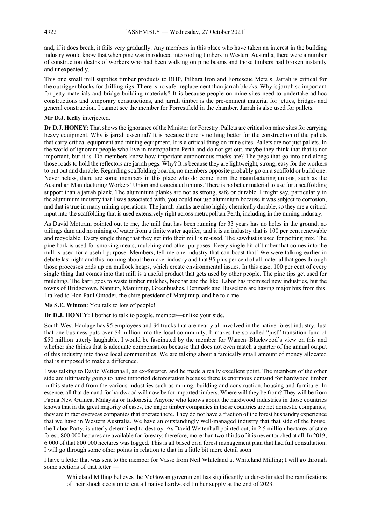and, if it does break, it fails very gradually. Any members in this place who have taken an interest in the building industry would know that when pine was introduced into roofing timbers in Western Australia, there were a number of construction deaths of workers who had been walking on pine beams and those timbers had broken instantly and unexpectedly.

This one small mill supplies timber products to BHP, Pilbara Iron and Fortescue Metals. Jarrah is critical for the outrigger blocks for drilling rigs. There is no safer replacement than jarrah blocks. Why is jarrah so important for jetty materials and bridge building materials? It is because people on mine sites need to undertake ad hoc constructions and temporary constructions, and jarrah timber is the pre-eminent material for jetties, bridges and general construction. I cannot see the member for Forrestfield in the chamber. Jarrah is also used for pallets.

#### **Mr D.J. Kelly** interjected.

**Dr D.J. HONEY**: That shows the ignorance of the Minister for Forestry. Pallets are critical on mine sites for carrying heavy equipment. Why is jarrah essential? It is because there is nothing better for the construction of the pallets that carry critical equipment and mining equipment. It is a critical thing on mine sites. Pallets are not just pallets. In the world of ignorant people who live in metropolitan Perth and do not get out, maybe they think that that is not important, but it is. Do members know how important autonomous trucks are? The pegs that go into and along those roads to hold the reflectors are jarrah pegs. Why? It is because they are lightweight, strong, easy for the workers to put out and durable. Regarding scaffolding boards, no members opposite probably go on a scaffold or build one. Nevertheless, there are some members in this place who do come from the manufacturing unions, such as the Australian Manufacturing Workers' Union and associated unions. There is no better material to use for a scaffolding support than a jarrah plank. The aluminium planks are not as strong, safe or durable. I might say, particularly in the aluminium industry that I was associated with, you could not use aluminium because it was subject to corrosion, and that is true in many mining operations. The jarrah planks are also highly chemically durable, so they are a critical input into the scaffolding that is used extensively right across metropolitan Perth, including in the mining industry.

As David Mottram pointed out to me, the mill that has been running for 33 years has no holes in the ground, no tailings dam and no mining of water from a finite water aquifer, and it is an industry that is 100 per cent renewable and recyclable. Every single thing that they get into their mill is re-used. The sawdust is used for potting mix. The pine bark is used for smoking meats, mulching and other purposes. Every single bit of timber that comes into the mill is used for a useful purpose. Members, tell me one industry that can boast that! We were talking earlier in debate last night and this morning about the nickel industry and that 95-plus per cent of all material that goes through those processes ends up on mullock heaps, which create environmental issues. In this case, 100 per cent of every single thing that comes into that mill is a useful product that gets used by other people. The pine tips get used for mulching. The karri goes to waste timber mulches, biochar and the like. Labor has promised new industries, but the towns of Bridgetown, Nannup, Manjimup, Greenbushes, Denmark and Busselton are having major hits from this. I talked to Hon Paul Omodei, the shire president of Manjimup, and he told me —

**Ms S.E. Winton**: You talk to lots of people!

**Dr D.J. HONEY**: I bother to talk to people, member—unlike your side.

South West Haulage has 95 employees and 34 trucks that are nearly all involved in the native forest industry. Just that one business puts over \$4 million into the local community. It makes the so-called "just" transition fund of \$50 million utterly laughable. I would be fascinated by the member for Warren–Blackwood's view on this and whether she thinks that is adequate compensation because that does not even match a quarter of the annual output of this industry into those local communities. We are talking about a farcically small amount of money allocated that is supposed to make a difference.

I was talking to David Wettenhall, an ex-forester, and he made a really excellent point. The members of the other side are ultimately going to have imported deforestation because there is enormous demand for hardwood timber in this state and from the various industries such as mining, building and construction, housing and furniture. In essence, all that demand for hardwood will now be for imported timbers. Where will they be from? They will be from Papua New Guinea, Malaysia or Indonesia. Anyone who knows about the hardwood industries in those countries knows that in the great majority of cases, the major timber companies in those countries are not domestic companies; they are in fact overseas companies that operate there. They do not have a fraction of the forest husbandry experience that we have in Western Australia. We have an outstandingly well-managed industry that that side of the house, the Labor Party, is utterly determined to destroy. As David Wettenhall pointed out, in 2.5 million hectares of state forest, 800 000 hectares are available for forestry; therefore, more than two-thirds of it is never touched at all. In 2019, 6 000 of that 800 000 hectares was logged. This is all based on a forest management plan that had full consultation. I will go through some other points in relation to that in a little bit more detail soon.

I have a letter that was sent to the member for Vasse from Neil Whiteland at Whiteland Milling; I will go through some sections of that letter -

Whiteland Milling believes the McGowan government has significantly under-estimated the ramifications of their shock decision to cut all native hardwood timber supply at the end of 2023.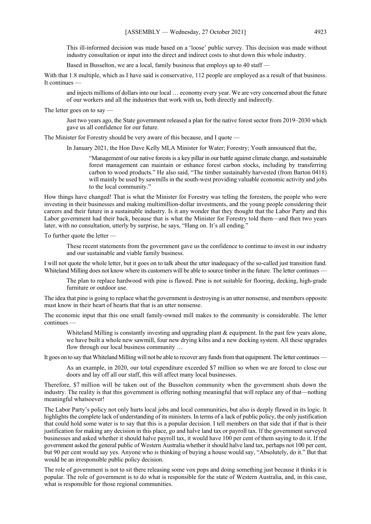This ill-informed decision was made based on a 'loose' public survey. This decision was made without industry consultation or input into the direct and indirect costs to shut down this whole industry.

Based in Busselton, we are a local, family business that employs up to 40 staff —

With that 1.8 multiple, which as I have said is conservative, 112 people are employed as a result of that business. It continues —

and injects millions of dollars into our local … economy every year. We are very concerned about the future of our workers and all the industries that work with us, both directly and indirectly.

The letter goes on to say

Just two years ago, the State government released a plan for the native forest sector from 2019–2030 which gave us all confidence for our future.

The Minister for Forestry should be very aware of this because, and I quote —

In January 2021, the Hon Dave Kelly MLA Minister for Water; Forestry; Youth announced that the,

"Management of our native forests is a key pillar in our battle against climate change, and sustainable forest management can maintain or enhance forest carbon stocks, including by transferring carbon to wood products." He also said, "The timber sustainably harvested (from Barton 0418) will mainly be used by sawmills in the south-west providing valuable economic activity and jobs to the local community."

How things have changed! That is what the Minister for Forestry was telling the foresters, the people who were investing in their businesses and making multimillion-dollar investments, and the young people considering their careers and their future in a sustainable industry. Is it any wonder that they thought that the Labor Party and this Labor government had their back, because that is what the Minister for Forestry told them—and then two years later, with no consultation, utterly by surprise, he says, "Hang on. It's all ending."

To further quote the letter —

These recent statements from the government gave us the confidence to continue to invest in our industry and our sustainable and viable family business.

I will not quote the whole letter, but it goes on to talk about the utter inadequacy of the so-called just transition fund. Whiteland Milling does not know where its customers will be able to source timber in the future. The letter continues -

The plan to replace hardwood with pine is flawed. Pine is not suitable for flooring, decking, high-grade furniture or outdoor use.

The idea that pine is going to replace what the government is destroying is an utter nonsense, and members opposite must know in their heart of hearts that that is an utter nonsense.

The economic input that this one small family-owned mill makes to the community is considerable. The letter continues —

Whiteland Milling is constantly investing and upgrading plant & equipment. In the past few years alone, we have built a whole new sawmill, four new drying kilns and a new docking system. All these upgrades flow through our local business community …

It goes on to say that Whiteland Milling will not be able to recover any funds from that equipment. The letter continues —

As an example, in 2020, our total expenditure exceeded \$7 million so when we are forced to close our doors and lay off all our staff, this will affect many local businesses.

Therefore, \$7 million will be taken out of the Busselton community when the government shuts down the industry. The reality is that this government is offering nothing meaningful that will replace any of that—nothing meaningful whatsoever!

The Labor Party's policy not only hurts local jobs and local communities, but also is deeply flawed in its logic. It highlights the complete lack of understanding of its ministers. In terms of a lack of public policy, the only justification that could hold some water is to say that this is a popular decision. I tell members on that side that if that is their justification for making any decision in this place, go and halve land tax or payroll tax. If the government surveyed businesses and asked whether it should halve payroll tax, it would have 100 per cent of them saying to do it. If the government asked the general public of Western Australia whether it should halve land tax, perhaps not 100 per cent, but 90 per cent would say yes. Anyone who is thinking of buying a house would say, "Absolutely, do it." But that would be an irresponsible public policy decision.

The role of government is not to sit there releasing some vox pops and doing something just because it thinks it is popular. The role of government is to do what is responsible for the state of Western Australia, and, in this case, what is responsible for those regional communities.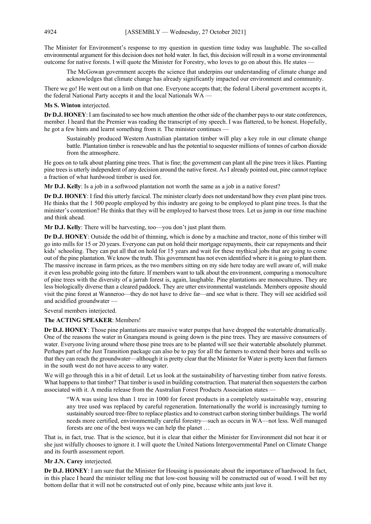The Minister for Environment's response to my question in question time today was laughable. The so-called environmental argument for this decision does not hold water. In fact, this decision will result in a worse environmental outcome for native forests. I will quote the Minister for Forestry, who loves to go on about this. He states —

The McGowan government accepts the science that underpins our understanding of climate change and acknowledges that climate change has already significantly impacted our environment and community.

There we go! He went out on a limb on that one. Everyone accepts that; the federal Liberal government accepts it, the federal National Party accepts it and the local Nationals WA —

**Ms S. Winton** interjected.

**Dr D.J. HONEY**: I am fascinated to see how much attention the other side of the chamber pays to our state conferences, member. I heard that the Premier was reading the transcript of my speech. I was flattered, to be honest. Hopefully, he got a few hints and learnt something from it. The minister continues —

Sustainably produced Western Australian plantation timber will play a key role in our climate change battle. Plantation timber is renewable and has the potential to sequester millions of tonnes of carbon dioxide from the atmosphere.

He goes on to talk about planting pine trees. That is fine; the government can plant all the pine trees it likes. Planting pine trees is utterly independent of any decision around the native forest. As I already pointed out, pine cannot replace a fraction of what hardwood timber is used for.

**Mr D.J. Kelly**: Is a job in a softwood plantation not worth the same as a job in a native forest?

**Dr D.J. HONEY**: I find this utterly farcical. The minister clearly does not understand how they even plant pine trees. He thinks that the 1 500 people employed by this industry are going to be employed to plant pine trees. Is that the minister's contention? He thinks that they will be employed to harvest those trees. Let us jump in our time machine and think ahead.

**Mr D.J. Kelly**: There will be harvesting, too—you don't just plant them.

**Dr D.J. HONEY**: Outside the odd bit of thinning, which is done by a machine and tractor, none of this timber will go into mills for 15 or 20 years. Everyone can put on hold their mortgage repayments, their car repayments and their kids' schooling. They can put all that on hold for 15 years and wait for these mythical jobs that are going to come out of the pine plantation. We know the truth. This government has not even identified where it is going to plant them. The massive increase in farm prices, as the two members sitting on my side here today are well aware of, will make it even less probable going into the future. If members want to talk about the environment, comparing a monoculture of pine trees with the diversity of a jarrah forest is, again, laughable. Pine plantations are monocultures. They are less biologically diverse than a cleared paddock. They are utter environmental wastelands. Members opposite should visit the pine forest at Wanneroo—they do not have to drive far—and see what is there. They will see acidified soil and acidified groundwater -

Several members interjected.

#### **The ACTING SPEAKER**: Members!

**Dr D.J. HONEY**: Those pine plantations are massive water pumps that have dropped the watertable dramatically. One of the reasons the water in Gnangara mound is going down is the pine trees. They are massive consumers of water. Everyone living around where those pine trees are to be planted will see their watertable absolutely plummet. Perhaps part of the Just Transition package can also be to pay for all the farmers to extend their bores and wells so that they can reach the groundwater—although it is pretty clear that the Minister for Water is pretty keen that farmers in the south west do not have access to any water.

We will go through this in a bit of detail. Let us look at the sustainability of harvesting timber from native forests. What happens to that timber? That timber is used in building construction. That material then sequesters the carbon associated with it. A media release from the Australian Forest Products Association states —

"WA was using less than 1 tree in 1000 for forest products in a completely sustainable way, ensuring any tree used was replaced by careful regeneration. Internationally the world is increasingly turning to sustainably sourced tree-fibre to replace plastics and to construct carbon storing timber buildings. The world needs more certified, environmentally careful forestry—such as occurs in WA—not less. Well managed forests are one of the best ways we can help the planet …

That is, in fact, true. That is the science, but it is clear that either the Minister for Environment did not hear it or she just wilfully chooses to ignore it. I will quote the United Nations Intergovernmental Panel on Climate Change and its fourth assessment report.

#### **Mr J.N. Carey** interjected.

**Dr D.J. HONEY**: I am sure that the Minister for Housing is passionate about the importance of hardwood. In fact, in this place I heard the minister telling me that low-cost housing will be constructed out of wood. I will bet my bottom dollar that it will not be constructed out of only pine, because white ants just love it.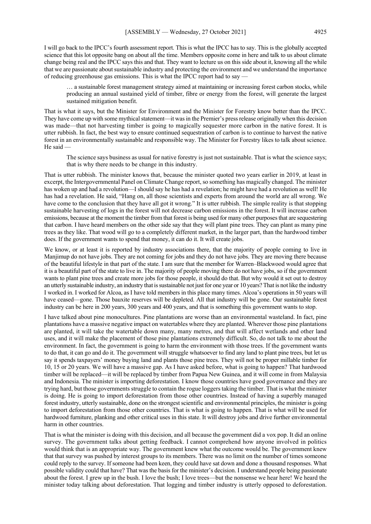I will go back to the IPCC's fourth assessment report. This is what the IPCC has to say. This is the globally accepted science that this lot opposite bang on about all the time. Members opposite come in here and talk to us about climate change being real and the IPCC says this and that. They want to lecture us on this side about it, knowing all the while that we are passionate about sustainable industry and protecting the environment and we understand the importance of reducing greenhouse gas emissions. This is what the IPCC report had to say —

… a sustainable forest management strategy aimed at maintaining or increasing forest carbon stocks, while producing an annual sustained yield of timber, fibre or energy from the forest, will generate the largest sustained mitigation benefit.

That is what it says, but the Minister for Environment and the Minister for Forestry know better than the IPCC. They have come up with some mythical statement—it was in the Premier's press release originally when this decision was made—that not harvesting timber is going to magically sequester more carbon in the native forest. It is utter rubbish. In fact, the best way to ensure continued sequestration of carbon is to continue to harvest the native forest in an environmentally sustainable and responsible way. The Minister for Forestry likes to talk about science. He said —

The science says business as usual for native forestry is just not sustainable. That is what the science says; that is why there needs to be change in this industry.

That is utter rubbish. The minister knows that, because the minister quoted two years earlier in 2019, at least in excerpt, the Intergovernmental Panel on Climate Change report, so something has magically changed. The minister has woken up and had a revolution—I should say he has had a revelation; he might have had a revolution as well! He has had a revelation. He said, "Hang on, all those scientists and experts from around the world are all wrong. We have come to the conclusion that they have all got it wrong." It is utter rubbish. The simple reality is that stopping sustainable harvesting of logs in the forest will not decrease carbon emissions in the forest. It will increase carbon emissions, because at the moment the timber from that forest is being used for many other purposes that are sequestering that carbon. I have heard members on the other side say that they will plant pine trees. They can plant as many pine trees as they like. That wood will go to a completely different market, in the larger part, than the hardwood timber does. If the government wants to spend that money, it can do it. It will create jobs.

We know, or at least it is reported by industry associations there, that the majority of people coming to live in Manjimup do not have jobs. They are not coming for jobs and they do not have jobs. They are moving there because of the beautiful lifestyle in that part of the state. I am sure that the member for Warren–Blackwood would agree that it is a beautiful part of the state to live in. The majority of people moving there do not have jobs, so if the government wants to plant pine trees and create more jobs for those people, it should do that. But why would it set out to destroy an utterly sustainable industry, an industry that is sustainable not just for one year or 10 years? That is not like the industry I worked in. I worked for Alcoa, as I have told members in this place many times. Alcoa's operations in 50 years will have ceased—gone. Those bauxite reserves will be depleted. All that industry will be gone. Our sustainable forest industry can be here in 200 years, 300 years and 400 years, and that is something this government wants to stop.

I have talked about pine monocultures. Pine plantations are worse than an environmental wasteland. In fact, pine plantations have a massive negative impact on watertables where they are planted. Wherever those pine plantations are planted, it will take the watertable down many, many metres, and that will affect wetlands and other land uses, and it will make the placement of those pine plantations extremely difficult. So, do not talk to me about the environment. In fact, the government is going to harm the environment with those trees. If the government wants to do that, it can go and do it. The government will struggle whatsoever to find any land to plant pine trees, but let us say it spends taxpayers' money buying land and plants those pine trees. They will not be proper millable timber for 10, 15 or 20 years. We will have a massive gap. As I have asked before, what is going to happen? That hardwood timber will be replaced—it will be replaced by timber from Papua New Guinea, and it will come in from Malaysia and Indonesia. The minister is importing deforestation. I know those countries have good governance and they are trying hard, but those governments struggle to contain the rogue loggers taking the timber. That is what the minister is doing. He is going to import deforestation from those other countries. Instead of having a superbly managed forest industry, utterly sustainable, done on the strongest scientific and environmental principles, the minister is going to import deforestation from those other countries. That is what is going to happen. That is what will be used for hardwood furniture, planking and other critical uses in this state. It will destroy jobs and drive further environmental harm in other countries.

That is what the minister is doing with this decision, and all because the government did a vox pop. It did an online survey. The government talks about getting feedback. I cannot comprehend how anyone involved in politics would think that is an appropriate way. The government knew what the outcome would be. The government knew that that survey was pushed by interest groups to its members. There was no limit on the number of times someone could reply to the survey. If someone had been keen, they could have sat down and done a thousand responses. What possible validity could that have? That was the basis for the minister's decision. I understand people being passionate about the forest. I grew up in the bush. I love the bush; I love trees—but the nonsense we hear here! We heard the minister today talking about deforestation. That logging and timber industry is utterly opposed to deforestation.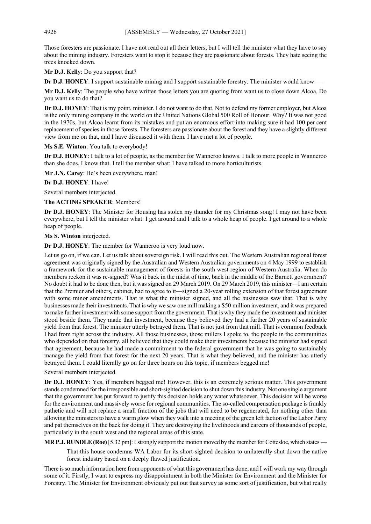Those foresters are passionate. I have not read out all their letters, but I will tell the minister what they have to say about the mining industry. Foresters want to stop it because they are passionate about forests. They hate seeing the trees knocked down.

**Mr D.J. Kelly**: Do you support that?

**Dr D.J. HONEY**: I support sustainable mining and I support sustainable forestry. The minister would know —

**Mr D.J. Kelly**: The people who have written those letters you are quoting from want us to close down Alcoa. Do you want us to do that?

**Dr D.J. HONEY**: That is my point, minister. I do not want to do that. Not to defend my former employer, but Alcoa is the only mining company in the world on the United Nations Global 500 Roll of Honour. Why? It was not good in the 1970s, but Alcoa learnt from its mistakes and put an enormous effort into making sure it had 100 per cent replacement of species in those forests. The foresters are passionate about the forest and they have a slightly different view from me on that, and I have discussed it with them. I have met a lot of people.

**Ms S.E. Winton**: You talk to everybody!

**Dr D.J. HONEY**: I talk to a lot of people, as the member for Wanneroo knows. I talk to more people in Wanneroo than she does, I know that. I tell the member what: I have talked to more horticulturists.

**Mr J.N. Carey**: He's been everywhere, man!

**Dr D.J. HONEY**: I have!

Several members interjected.

**The ACTING SPEAKER**: Members!

**Dr D.J. HONEY**: The Minister for Housing has stolen my thunder for my Christmas song! I may not have been everywhere, but I tell the minister what: I get around and I talk to a whole heap of people. I get around to a whole heap of people.

**Ms S. Winton** interjected.

**Dr D.J. HONEY**: The member for Wanneroo is very loud now.

Let us go on, if we can. Let us talk about sovereign risk. I will read this out. The Western Australian regional forest agreement was originally signed by the Australian and Western Australian governments on 4 May 1999 to establish a framework for the sustainable management of forests in the south west region of Western Australia. When do members reckon it was re-signed? Was it back in the midst of time, back in the middle of the Barnett government? No doubt it had to be done then, but it was signed on 29 March 2019. On 29 March 2019, this minister—I am certain that the Premier and others, cabinet, had to agree to it—signed a 20-year rolling extension of that forest agreement with some minor amendments. That is what the minister signed, and all the businesses saw that. That is why businesses made their investments. That is why we saw one mill making a \$50 million investment, and it was prepared to make further investment with some support from the government. That is why they made the investment and minister stood beside them. They made that investment, because they believed they had a further 20 years of sustainable yield from that forest. The minister utterly betrayed them. That is not just from that mill. That is common feedback I had from right across the industry. All those businesses, those millers I spoke to, the people in the communities who depended on that forestry, all believed that they could make their investments because the minister had signed that agreement, because he had made a commitment to the federal government that he was going to sustainably manage the yield from that forest for the next 20 years. That is what they believed, and the minister has utterly betrayed them. I could literally go on for three hours on this topic, if members begged me!

Several members interjected.

**Dr D.J. HONEY**: Yes, if members begged me! However, this is an extremely serious matter. This government stands condemned for the irresponsible and short-sighted decision to shut down this industry. Not one single argument that the government has put forward to justify this decision holds any water whatsoever. This decision will be worse for the environment and massively worse for regional communities. The so-called compensation package is frankly pathetic and will not replace a small fraction of the jobs that will need to be regenerated, for nothing other than allowing the ministers to have a warm glow when they walk into a meeting of the green left faction of the Labor Party and pat themselves on the back for doing it. They are destroying the livelihoods and careers of thousands of people, particularly in the south west and the regional areas of this state.

**MR P.J. RUNDLE(Roe)**[5.32 pm]: I strongly support the motion moved by the member for Cottesloe, which states —

That this house condemns WA Labor for its short-sighted decision to unilaterally shut down the native forest industry based on a deeply flawed justification.

There is so much information here from opponents of what this government has done, and I will work my way through some of it. Firstly, I want to express my disappointment in both the Minister for Environment and the Minister for Forestry. The Minister for Environment obviously put out that survey as some sort of justification, but what really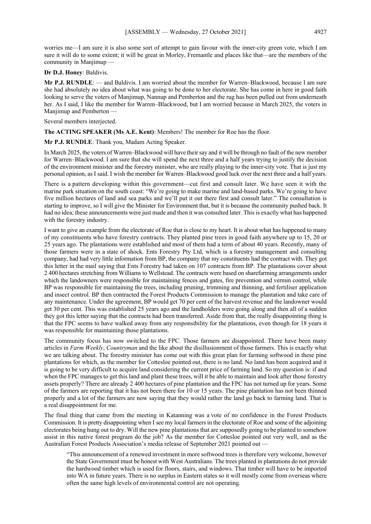worries me—I am sure it is also some sort of attempt to gain favour with the inner-city green vote, which I am sure it will do to some extent; it will be great in Morley, Fremantle and places like that—are the members of the community in Manjimup

**Dr D.J. Honey**: Baldivis.

**Mr P.J. RUNDLE**: — and Baldivis. I am worried about the member for Warren–Blackwood, because I am sure she had absolutely no idea about what was going to be done to her electorate. She has come in here in good faith looking to serve the voters of Manjimup, Nannup and Pemberton and the rug has been pulled out from underneath her. As I said, I like the member for Warren–Blackwood, but I am worried because in March 2025, the voters in Manjimup and Pemberton —

Several members interjected.

**The ACTING SPEAKER (Ms A.E. Kent)**: Members! The member for Roe has the floor.

**Mr P.J. RUNDLE**: Thank you, Madam Acting Speaker.

In March 2025, the voters of Warren–Blackwood will have their say and it will be through no fault of the new member for Warren–Blackwood. I am sure that she will spend the next three and a half years trying to justify the decision of the environment minister and the forestry minister, who are really playing to the inner-city vote. That is just my personal opinion, as I said. I wish the member for Warren–Blackwood good luck over the next three and a half years.

There is a pattern developing within this government—cut first and consult later. We have seen it with the marine park situation on the south coast: "We're going to make marine and land-based parks. We're going to have five million hectares of land and sea parks and we'll put it out there first and consult later." The consultation is starting to improve, so I will give the Minister for Environment that, but it is because the community pushed back. It had no idea; these announcements were just made and then it was consulted later. This is exactly what has happened with the forestry industry.

I want to give an example from the electorate of Roe that is close to my heart. It is about what has happened to many of my constituents who have forestry contracts. They planted pine trees in good faith anywhere up to 15, 20 or 25 years ago. The plantations were established and most of them had a term of about 40 years. Recently, many of those farmers were in a state of shock. Ents Forestry Pty Ltd, which is a forestry management and consulting company, had had very little information from BP, the company that my constituents had the contract with. They got this letter in the mail saying that Ents Forestry had taken on 107 contracts from BP. The plantations cover about 2 400 hectares stretching from Williams to Wellstead. The contracts were based on sharefarming arrangements under which the landowners were responsible for maintaining fences and gates, fire prevention and vermin control, while BP was responsible for maintaining the trees, including pruning, trimming and thinning, and fertiliser application and insect control. BP then contracted the Forest Products Commission to manage the plantation and take care of any maintenance. Under the agreement, BP would get 70 per cent of the harvest revenue and the landowner would get 30 per cent. This was established 25 years ago and the landholders were going along and then all of a sudden they got this letter saying that the contracts had been transferred. Aside from that, the really disappointing thing is that the FPC seems to have walked away from any responsibility for the plantations, even though for 18 years it was responsible for maintaining those plantations.

The community focus has now switched to the FPC. Those farmers are disappointed. There have been many articles in *Farm Weekly*, *Countryman* and the like about the disillusionment of those farmers. This is exactly what we are talking about. The forestry minister has come out with this great plan for farming softwood in these pine plantations for which, as the member for Cottesloe pointed out, there is no land. No land has been acquired and it is going to be very difficult to acquire land considering the current price of farming land. So my question is: if and when the FPC manages to get this land and plant these trees, will it be able to maintain and look after those forestry assets properly? There are already 2 400 hectares of pine plantation and the FPC has not turned up for years. Some of the farmers are reporting that it has not been there for 10 or 15 years. The pine plantation has not been thinned properly and a lot of the farmers are now saying that they would rather the land go back to farming land. That is a real disappointment for me.

The final thing that came from the meeting in Katanning was a vote of no confidence in the Forest Products Commission. It is pretty disappointing when I see my local farmers in the electorate of Roe and some of the adjoining electorates being hung out to dry. Will the new pine plantations that are supposedly going to be planted to somehow assist in this native forest program do the job? As the member for Cottesloe pointed out very well, and as the Australian Forest Products Association's media release of September 2021 pointed out —

"This announcement of a renewed investment in more softwood trees is therefore very welcome, however the State Government must be honest with West Australians. The trees planted in plantations do not provide the hardwood timber which is used for floors, stairs, and windows. That timber will have to be imported into WA in future years. There is no surplus in Eastern states so it will mostly come from overseas where often the same high levels of environmental control are not operating.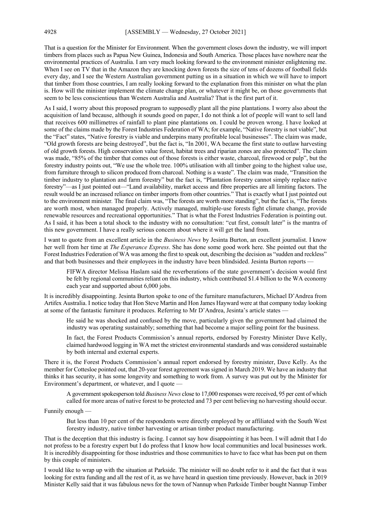That is a question for the Minister for Environment. When the government closes down the industry, we will import timbers from places such as Papua New Guinea, Indonesia and South America. Those places have nowhere near the environmental practices of Australia. I am very much looking forward to the environment minister enlightening me. When I see on TV that in the Amazon they are knocking down forests the size of tens of dozens of football fields every day, and I see the Western Australian government putting us in a situation in which we will have to import that timber from those countries, I am really looking forward to the explanation from this minister on what the plan is. How will the minister implement the climate change plan, or whatever it might be, on those governments that seem to be less conscientious than Western Australia and Australia? That is the first part of it.

As I said, I worry about this proposed program to supposedly plant all the pine plantations. I worry also about the acquisition of land because, although it sounds good on paper, I do not think a lot of people will want to sell land that receives 600 millimetres of rainfall to plant pine plantations on. I could be proven wrong. I have looked at some of the claims made by the Forest Industries Federation of WA; for example, "Native forestry is not viable", but the "Fact" states, "Native forestry is viable and underpins many profitable local businesses". The claim was made, "Old growth forests are being destroyed", but the fact is, "In 2001, WA became the first state to outlaw harvesting of old growth forests. High conservation value forest, habitat trees and riparian zones are also protected". The claim was made, "85% of the timber that comes out of those forests is either waste, charcoal, firewood or pulp", but the forestry industry points out, "We use the whole tree. 100% utilisation with all timber going to the highest value use, from furniture through to silicon produced from charcoal. Nothing is a waste". The claim was made, "Transition the timber industry to plantation and farm forestry" but the fact is, "Plantation forestry cannot simply replace native forestry"—as I just pointed out—"Land availability, market access and fibre properties are all limiting factors. The result would be an increased reliance on timber imports from other countries." That is exactly what I just pointed out to the environment minister*.* The final claim was, "The forests are worth more standing", but the fact is, "The forests are worth most, when managed properly. Actively managed, multiple-use forests fight climate change, provide renewable resources and recreational opportunities." That is what the Forest Industries Federation is pointing out. As I said, it has been a total shock to the industry with no consultation: "cut first, consult later" is the mantra of this new government. I have a really serious concern about where it will get the land from.

I want to quote from an excellent article in the *Business News* by Jesinta Burton, an excellent journalist. I know her well from her time at *The Esperance Express*. She has done some good work here. She pointed out that the Forest Industries Federation of WA was among the first to speak out, describing the decision as "sudden and reckless" and that both businesses and their employees in the industry have been blindsided. Jesinta Burton reports -

FIFWA director Melissa Haslam said the reverberations of the state government's decision would first be felt by regional communities reliant on this industry, which contributed \$1.4 billion to the WA economy each year and supported about 6,000 jobs.

It is incredibly disappointing. Jesinta Burton spoke to one of the furniture manufacturers, Michael D'Andrea from Artifex Australia. I notice today that Hon Steve Martin and Hon James Hayward were at that company today looking at some of the fantastic furniture it produces. Referring to Mr D'Andrea, Jesinta's article states —

He said he was shocked and confused by the move, particularly given the government had claimed the industry was operating sustainably; something that had become a major selling point for the business.

In fact, the Forest Products Commission's annual reports, endorsed by Forestry Minister Dave Kelly, claimed hardwood logging in WA met the strictest environmental standards and was considered sustainable by both internal and external experts.

There it is, the Forest Products Commission's annual report endorsed by forestry minister, Dave Kelly. As the member for Cottesloe pointed out, that 20-year forest agreement was signed in March 2019. We have an industry that thinks it has security, it has some longevity and something to work from. A survey was put out by the Minister for Environment's department, or whatever, and I quote —

A government spokesperson told *Business News* close to 17,000 responses were received, 95 per cent of which called for more areas of native forest to be protected and 73 per cent believing no harvesting should occur.

Funnily enough —

But less than 10 per cent of the respondents were directly employed by or affiliated with the South West forestry industry, native timber harvesting or artisan timber product manufacturing.

That is the deception that this industry is facing. I cannot say how disappointing it has been. I will admit that I do not profess to be a forestry expert but I do profess that I know how local communities and local businesses work. It is incredibly disappointing for those industries and those communities to have to face what has been put on them by this couple of ministers.

I would like to wrap up with the situation at Parkside. The minister will no doubt refer to it and the fact that it was looking for extra funding and all the rest of it, as we have heard in question time previously. However, back in 2019 Minister Kelly said that it was fabulous news for the town of Nannup when Parkside Timber bought Nannup Timber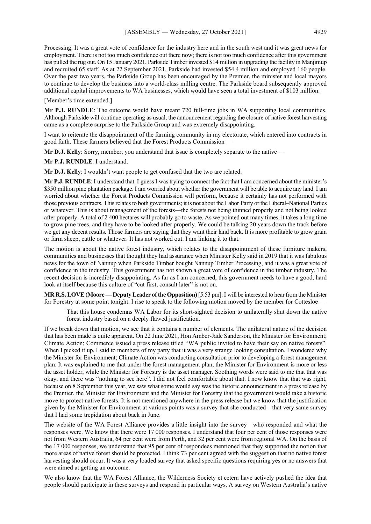Processing. It was a great vote of confidence for the industry here and in the south west and it was great news for employment. There is not too much confidence out there now; there is not too much confidence after this government has pulled the rug out. On 15 January 2021, Parkside Timber invested \$14 million in upgrading the facility in Manjimup and recruited 65 staff. As at 22 September 2021, Parkside had invested \$54.4 million and employed 160 people. Over the past two years, the Parkside Group has been encouraged by the Premier, the minister and local mayors to continue to develop the business into a world-class milling centre. The Parkside board subsequently approved additional capital improvements to WA businesses, which would have seen a total investment of \$103 million.

[Member's time extended.]

**Mr P.J. RUNDLE**: The outcome would have meant 720 full-time jobs in WA supporting local communities. Although Parkside will continue operating as usual, the announcement regarding the closure of native forest harvesting came as a complete surprise to the Parkside Group and was extremely disappointing.

I want to reiterate the disappointment of the farming community in my electorate, which entered into contracts in good faith. These farmers believed that the Forest Products Commission —

**Mr D.J. Kelly**: Sorry, member, you understand that issue is completely separate to the native —

**Mr P.J. RUNDLE**: I understand.

**Mr D.J. Kelly**: I wouldn't want people to get confused that the two are related.

**Mr P.J. RUNDLE**: I understand that. I guess I was trying to connect the fact that I am concerned about the minister's \$350 million pine plantation package. I am worried about whether the government will be able to acquire any land. I am worried about whether the Forest Products Commission will perform, because it certainly has not performed with those previous contracts. This relates to both governments; it is not about the Labor Party or the Liberal–National Parties or whatever. This is about management of the forests—the forests not being thinned properly and not being looked after properly. A total of 2 400 hectares will probably go to waste. As we pointed out many times, it takes a long time to grow pine trees, and they have to be looked after properly. We could be talking 20 years down the track before we get any decent results. Those farmers are saying that they want their land back. It is more profitable to grow grain or farm sheep, cattle or whatever. It has not worked out. I am linking it to that.

The motion is about the native forest industry, which relates to the disappointment of these furniture makers, communities and businesses that thought they had assurance when Minister Kelly said in 2019 that it was fabulous news for the town of Nannup when Parkside Timber bought Nannup Timber Processing, and it was a great vote of confidence in the industry. This government has not shown a great vote of confidence in the timber industry. The recent decision is incredibly disappointing. As far as I am concerned, this government needs to have a good, hard look at itself because this culture of "cut first, consult later" is not on.

**MR R.S. LOVE(Moore —Deputy Leader of the Opposition)**[5.53 pm]:I will be interested to hear from the Minister for Forestry at some point tonight. I rise to speak to the following motion moved by the member for Cottesloe -

That this house condemns WA Labor for its short-sighted decision to unilaterally shut down the native forest industry based on a deeply flawed justification.

If we break down that motion, we see that it contains a number of elements. The unilateral nature of the decision that has been made is quite apparent. On 22 June 2021, Hon Amber-Jade Sanderson, the Minister for Environment; Climate Action; Commerce issued a press release titled "WA public invited to have their say on native forests". When I picked it up, I said to members of my party that it was a very strange looking consultation. I wondered why the Minister for Environment; Climate Action was conducting consultation prior to developing a forest management plan. It was explained to me that under the forest management plan, the Minister for Environment is more or less the asset holder, while the Minister for Forestry is the asset manager. Soothing words were said to me that that was okay, and there was "nothing to see here". I did not feel comfortable about that. I now know that that was right, because on 8 September this year, we saw what some would say was the historic announcement in a press release by the Premier, the Minister for Environment and the Minister for Forestry that the government would take a historic move to protect native forests. It is not mentioned anywhere in the press release but we know that the justification given by the Minister for Environment at various points was a survey that she conducted—that very same survey that I had some trepidation about back in June.

The website of the WA Forest Alliance provides a little insight into the survey—who responded and what the responses were. We know that there were 17 000 responses. I understand that four per cent of those responses were not from Western Australia, 64 per cent were from Perth, and 32 per cent were from regional WA. On the basis of the 17 000 responses, we understand that 95 per cent of respondees mentioned that they supported the notion that more areas of native forest should be protected. I think 73 per cent agreed with the suggestion that no native forest harvesting should occur. It was a very loaded survey that asked specific questions requiring yes or no answers that were aimed at getting an outcome.

We also know that the WA Forest Alliance, the Wilderness Society et cetera have actively pushed the idea that people should participate in these surveys and respond in particular ways. A survey on Western Australia's native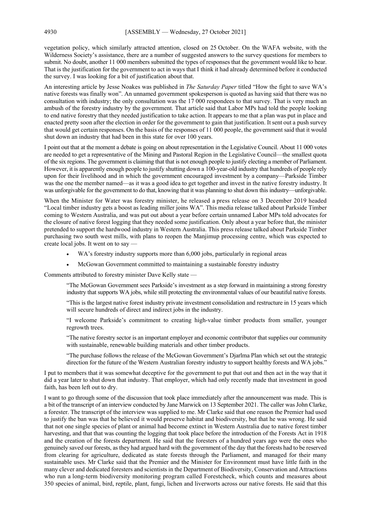vegetation policy, which similarly attracted attention, closed on 25 October. On the WAFA website, with the Wilderness Society's assistance, there are a number of suggested answers to the survey questions for members to submit. No doubt, another 11 000 members submitted the types of responses that the government would like to hear. That is the justification for the government to act in ways that I think it had already determined before it conducted the survey. I was looking for a bit of justification about that.

An interesting article by Jesse Noakes was published in *The Saturday Paper* titled "How the fight to save WA's native forests was finally won". An unnamed government spokesperson is quoted as having said that there was no consultation with industry; the only consultation was the 17 000 respondees to that survey. That is very much an ambush of the forestry industry by the government. That article said that Labor MPs had told the people looking to end native forestry that they needed justification to take action. It appears to me that a plan was put in place and enacted pretty soon after the election in order for the government to gain that justification. It sent out a push survey that would get certain responses. On the basis of the responses of 11 000 people, the government said that it would shut down an industry that had been in this state for over 100 years.

I point out that at the moment a debate is going on about representation in the Legislative Council. About 11 000 votes are needed to get a representative of the Mining and Pastoral Region in the Legislative Council—the smallest quota of the six regions. The government is claiming that that is not enough people to justify electing a member of Parliament. However, it is apparently enough people to justify shutting down a 100-year-old industry that hundreds of people rely upon for their livelihood and in which the government encouraged investment by a company—Parkside Timber was the one the member named—as it was a good idea to get together and invest in the native forestry industry. It was unforgivable for the government to do that, knowing that it was planning to shut down this industry—unforgivable.

When the Minister for Water was forestry minister, he released a press release on 3 December 2019 headed "Local timber industry gets a boost as leading miller joins WA". This media release talked about Parkside Timber coming to Western Australia, and was put out about a year before certain unnamed Labor MPs told advocates for the closure of native forest logging that they needed some justification. Only about a year before that, the minister pretended to support the hardwood industry in Western Australia. This press release talked about Parkside Timber purchasing two south west mills, with plans to reopen the Manjimup processing centre, which was expected to create local jobs. It went on to say —

- WA's forestry industry supports more than 6,000 jobs, particularly in regional areas
- McGowan Government committed to maintaining a sustainable forestry industry

Comments attributed to forestry minister Dave Kelly state —

"The McGowan Government sees Parkside's investment as a step forward in maintaining a strong forestry industry that supports WA jobs, while still protecting the environmental values of our beautiful native forests.

"This is the largest native forest industry private investment consolidation and restructure in 15 years which will secure hundreds of direct and indirect jobs in the industry.

"I welcome Parkside's commitment to creating high-value timber products from smaller, younger regrowth trees.

"The native forestry sector is an important employer and economic contributor that supplies our community with sustainable, renewable building materials and other timber products.

"The purchase follows the release of the McGowan Government's Djarlma Plan which set out the strategic direction for the future of the Western Australian forestry industry to support healthy forests and WA jobs."

I put to members that it was somewhat deceptive for the government to put that out and then act in the way that it did a year later to shut down that industry. That employer, which had only recently made that investment in good faith, has been left out to dry.

I want to go through some of the discussion that took place immediately after the announcement was made. This is a bit of the transcript of an interview conducted by Jane Marwick on 13 September 2021. The caller was John Clarke, a forester. The transcript of the interview was supplied to me. Mr Clarke said that one reason the Premier had used to justify the ban was that he believed it would preserve habitat and biodiversity, but that he was wrong. He said that not one single species of plant or animal had become extinct in Western Australia due to native forest timber harvesting, and that that was counting the logging that took place before the introduction of the Forests Act in 1918 and the creation of the forests department. He said that the foresters of a hundred years ago were the ones who genuinely saved our forests, as they had argued hard with the government of the day that the forests had to be reserved from clearing for agriculture, dedicated as state forests through the Parliament, and managed for their many sustainable uses. Mr Clarke said that the Premier and the Minister for Environment must have little faith in the many clever and dedicated foresters and scientists in the Department of Biodiversity, Conservation and Attractions who run a long-term biodiversity monitoring program called Forestcheck, which counts and measures about 350 species of animal, bird, reptile, plant, fungi, lichen and liverworts across our native forests. He said that this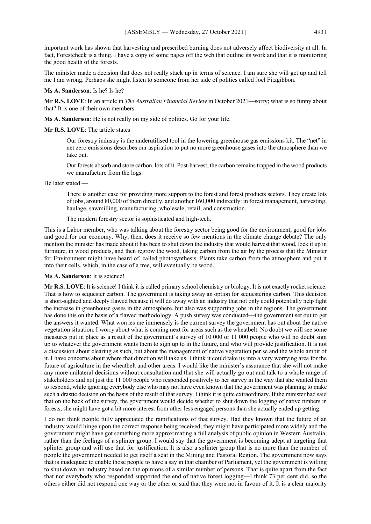important work has shown that harvesting and prescribed burning does not adversely affect biodiversity at all. In fact, Forestcheck is a thing. I have a copy of some pages off the web that outline its work and that it is monitoring the good health of the forests.

The minister made a decision that does not really stack up in terms of science. I am sure she will get up and tell me I am wrong. Perhaps she might listen to someone from her side of politics called Joel Fitzgibbon.

#### **Ms A. Sanderson**: Is he? Is he?

**Mr R.S. LOVE**: In an article in *The Australian Financial Review* in October 2021—sorry; what is so funny about that? It is one of their own members.

**Ms A. Sanderson**: He is not really on my side of politics. Go for your life.

#### **Mr R.S. LOVE**: The article states —

Our forestry industry is the underutilised tool in the lowering greenhouse gas emissions kit. The "net" in net zero emissions describes our aspiration to put no more greenhouse gases into the atmosphere than we take out.

Our forests absorb and store carbon, lots of it. Post-harvest, the carbon remains trapped in the wood products we manufacture from the logs.

He later stated —

There is another case for providing more support to the forest and forest products sectors. They create lots of jobs, around 80,000 of them directly, and another 160,000 indirectly: in forest management, harvesting, haulage, sawmilling, manufacturing, wholesale, retail, and construction.

The modern forestry sector is sophisticated and high-tech.

This is a Labor member, who was talking about the forestry sector being good for the environment, good for jobs and good for our economy. Why, then, does it receive so few mentions in the climate change debate? The only mention the minister has made about it has been to shut down the industry that would harvest that wood, lock it up in furniture, in wood products, and then regrow the wood, taking carbon from the air by the process that the Minister for Environment might have heard of, called photosynthesis. Plants take carbon from the atmosphere and put it into their cells, which, in the case of a tree, will eventually be wood.

#### **Ms A. Sanderson**: It is science!

**Mr R.S. LOVE**: It is science! I think it is called primary school chemistry or biology. It is not exactly rocket science. That is how to sequester carbon. The government is taking away an option for sequestering carbon. This decision is short-sighted and deeply flawed because it will do away with an industry that not only could potentially help fight the increase in greenhouse gases in the atmosphere, but also was supporting jobs in the regions. The government has done this on the basis of a flawed methodology. A push survey was conducted—the government set out to get the answers it wanted. What worries me immensely is the current survey the government has out about the native vegetation situation. I worry about what is coming next for areas such as the wheatbelt. No doubt we will see some measures put in place as a result of the government's survey of 10 000 or 11 000 people who will no doubt sign up to whatever the government wants them to sign up to in the future, and who will provide justification. It is not a discussion about clearing as such, but about the management of native vegetation per se and the whole ambit of it. I have concerns about where that direction will take us. I think it could take us into a very worrying area for the future of agriculture in the wheatbelt and other areas. I would like the minister's assurance that she will not make any more unilateral decisions without consultation and that she will actually go out and talk to a whole range of stakeholders and not just the 11 000 people who responded positively to her survey in the way that she wanted them to respond, while ignoring everybody else who may not have even known that the government was planning to make such a drastic decision on the basis of the result of that survey. I think it is quite extraordinary. If the minister had said that on the back of the survey, the government would decide whether to shut down the logging of native timbers in forests, she might have got a bit more interest from other less engaged persons than she actually ended up getting.

I do not think people fully appreciated the ramifications of that survey. Had they known that the future of an industry would hinge upon the correct response being received, they might have participated more widely and the government might have got something more approximating a full analysis of public opinion in Western Australia, rather than the feelings of a splinter group. I would say that the government is becoming adept at targeting that splinter group and will use that for justification. It is also a splinter group that is no more than the number of people the government needed to get itself a seat in the Mining and Pastoral Region. The government now says that is inadequate to enable those people to have a say in that chamber of Parliament, yet the government is willing to shut down an industry based on the opinions of a similar number of persons. That is quite apart from the fact that not everybody who responded supported the end of native forest logging—I think 73 per cent did, so the others either did not respond one way or the other or said that they were not in favour of it. It is a clear majority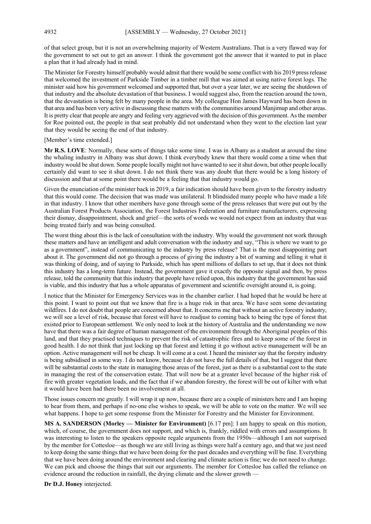of that select group, but it is not an overwhelming majority of Western Australians. That is a very flawed way for the government to set out to get an answer. I think the government got the answer that it wanted to put in place a plan that it had already had in mind.

The Minister for Forestry himself probably would admit that there would be some conflict with his 2019 press release that welcomed the investment of Parkside Timber in a timber mill that was aimed at using native forest logs. The minister said how his government welcomed and supported that, but over a year later, we are seeing the shutdown of that industry and the absolute devastation of that business. I would suggest also, from the reaction around the town, that the devastation is being felt by many people in the area. My colleague Hon James Hayward has been down in that area and has been very active in discussing these matters with the communities around Manjimup and other areas. It is pretty clear that people are angry and feeling very aggrieved with the decision of this government. As the member for Roe pointed out, the people in that seat probably did not understand when they went to the election last year that they would be seeing the end of that industry.

[Member's time extended.]

**Mr R.S. LOVE**: Normally, these sorts of things take some time. I was in Albany as a student at around the time the whaling industry in Albany was shut down. I think everybody knew that there would come a time when that industry would be shut down. Some people locally might not have wanted to see it shut down, but other people locally certainly did want to see it shut down. I do not think there was any doubt that there would be a long history of discussion and that at some point there would be a feeling that that industry would go.

Given the enunciation of the minister back in 2019, a fair indication should have been given to the forestry industry that this would come. The decision that was made was unilateral. It blindsided many people who have made a life in that industry. I know that other members have gone through some of the press releases that were put out by the Australian Forest Products Association, the Forest Industries Federation and furniture manufacturers, expressing their dismay, disappointment, shock and grief—the sorts of words we would not expect from an industry that was being treated fairly and was being consulted.

The worst thing about this is the lack of consultation with the industry. Why would the government not work through these matters and have an intelligent and adult conversation with the industry and say, "This is where we want to go as a government", instead of communicating to the industry by press release? That is the most disappointing part about it. The government did not go through a process of giving the industry a bit of warning and telling it what it was thinking of doing, and of saying to Parkside, which has spent millions of dollars to set up, that it does not think this industry has a long-term future. Instead, the government gave it exactly the opposite signal and then, by press release, told the community that this industry that people have relied upon, this industry that the government has said is viable, and this industry that has a whole apparatus of government and scientific oversight around it, is going.

I notice that the Minister for Emergency Services was in the chamber earlier. I had hoped that he would be here at this point. I want to point out that we know that fire is a huge risk in that area. We have seen some devastating wildfires. I do not doubt that people are concerned about that. It concerns me that without an active forestry industry, we will see a level of risk, because that forest will have to readjust to coming back to being the type of forest that existed prior to European settlement. We only need to look at the history of Australia and the understanding we now have that there was a fair degree of human management of the environment through the Aboriginal peoples of this land, and that they practised techniques to prevent the risk of catastrophic fires and to keep some of the forest in good health. I do not think that just locking up that forest and letting it go without active management will be an option. Active management will not be cheap. It will come at a cost. I heard the minister say that the forestry industry is being subsidised in some way. I do not know, because I do not have the full details of that, but I suggest that there will be substantial costs to the state in managing those areas of the forest, just as there is a substantial cost to the state in managing the rest of the conservation estate. That will now be at a greater level because of the higher risk of fire with greater vegetation loads, and the fact that if we abandon forestry, the forest will be out of kilter with what it would have been had there been no involvement at all.

Those issues concern me greatly. I will wrap it up now, because there are a couple of ministers here and I am hoping to hear from them, and perhaps if no-one else wishes to speak, we will be able to vote on the matter. We will see what happens. I hope to get some response from the Minister for Forestry and the Minister for Environment.

**MS A. SANDERSON (Morley — Minister for Environment)** [6.17 pm]: I am happy to speak on this motion, which, of course, the government does not support, and which is, frankly, riddled with errors and assumptions. It was interesting to listen to the speakers opposite regale arguments from the 1950s—although I am not surprised by the member for Cottesloe—as though we are still living as things were half a century ago, and that we just need to keep doing the same things that we have been doing for the past decades and everything will be fine. Everything that we have been doing around the environment and clearing and climate action is fine; we do not need to change. We can pick and choose the things that suit our arguments. The member for Cottesloe has called the reliance on evidence around the reduction in rainfall, the drying climate and the slower growth -

**Dr D.J. Honey** interjected.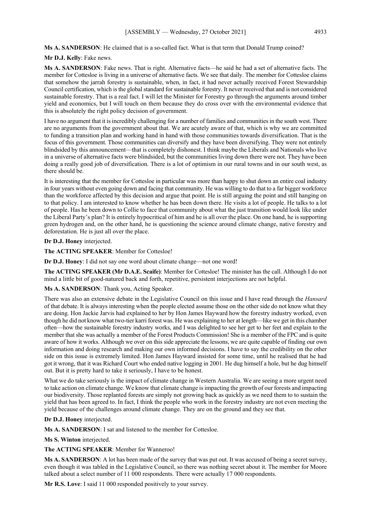#### **Ms A. SANDERSON**: He claimed that is a so-called fact. What is that term that Donald Trump coined?

#### **Mr D.J. Kelly**: Fake news.

**Ms A. SANDERSON**: Fake news. That is right. Alternative facts—he said he had a set of alternative facts. The member for Cottesloe is living in a universe of alternative facts. We see that daily. The member for Cottesloe claims that somehow the jarrah forestry is sustainable, when, in fact, it had never actually received Forest Stewardship Council certification, which is the global standard for sustainable forestry. It never received that and is not considered sustainable forestry. That is a real fact. I will let the Minister for Forestry go through the arguments around timber yield and economics, but I will touch on them because they do cross over with the environmental evidence that this is absolutely the right policy decision of government.

I have no argument that it is incredibly challenging for a number of families and communities in the south west. There are no arguments from the government about that. We are acutely aware of that, which is why we are committed to funding a transition plan and working hand in hand with those communities towards diversification. That is the focus of this government. Those communities can diversify and they have been diversifying. They were not entirely blindsided by this announcement—that is completely dishonest. I think maybe the Liberals and Nationals who live in a universe of alternative facts were blindsided, but the communities living down there were not. They have been doing a really good job of diversification. There is a lot of optimism in our rural towns and in our south west, as there should be.

It is interesting that the member for Cottesloe in particular was more than happy to shut down an entire coal industry in four years without even going down and facing that community. He was willing to do that to a far bigger workforce than the workforce affected by this decision and argue that point. He is still arguing the point and still hanging on to that policy. I am interested to know whether he has been down there. He visits a lot of people. He talks to a lot of people. Has he been down to Collie to face that community about what the just transition would look like under the Liberal Party's plan? It is entirely hypocritical of him and he is all over the place. On one hand, he is supporting green hydrogen and, on the other hand, he is questioning the science around climate change, native forestry and deforestation. He is just all over the place.

### **Dr D.J. Honey** interjected.

**The ACTING SPEAKER**: Member for Cottesloe!

**Dr D.J. Honey**: I did not say one word about climate change—not one word!

**The ACTING SPEAKER (Mr D.A.E. Scaife)**: Member for Cottesloe! The minister has the call. Although I do not mind a little bit of good-natured back and forth, repetitive, persistent interjections are not helpful.

# **Ms A. SANDERSON**: Thank you, Acting Speaker.

There was also an extensive debate in the Legislative Council on this issue and I have read through the *Hansard* of that debate. It is always interesting when the people elected assume those on the other side do not know what they are doing. Hon Jackie Jarvis had explained to her by Hon James Hayward how the forestry industry worked, even though he did not know what two-tier karri forest was. He was explaining to her at length—like we get in this chamber often—how the sustainable forestry industry works, and I was delighted to see her get to her feet and explain to the member that she was actually a member of the Forest Products Commission! She is a member of the FPC and is quite aware of how it works. Although we over on this side appreciate the lessons, we are quite capable of finding our own information and doing research and making our own informed decisions. I have to say the credibility on the other side on this issue is extremely limited. Hon James Hayward insisted for some time, until he realised that he had got it wrong, that it was Richard Court who ended native logging in 2001. He dug himself a hole, but he dug himself out. But it is pretty hard to take it seriously, I have to be honest.

What we do take seriously is the impact of climate change in Western Australia. We are seeing a more urgent need to take action on climate change. We know that climate change is impacting the growth of our forests and impacting our biodiversity. Those replanted forests are simply not growing back as quickly as we need them to to sustain the yield that has been agreed to. In fact, I think the people who work in the forestry industry are not even meeting the yield because of the challenges around climate change. They are on the ground and they see that.

#### **Dr D.J. Honey** interjected.

**Ms A. SANDERSON**: I sat and listened to the member for Cottesloe.

**Ms S. Winton** interjected.

**The ACTING SPEAKER**: Member for Wanneroo!

**Ms A. SANDERSON**: A lot has been made of the survey that was put out. It was accused of being a secret survey, even though it was tabled in the Legislative Council, so there was nothing secret about it. The member for Moore talked about a select number of 11 000 respondents. There were actually 17 000 respondents.

**Mr R.S. Love**: I said 11 000 responded positively to your survey.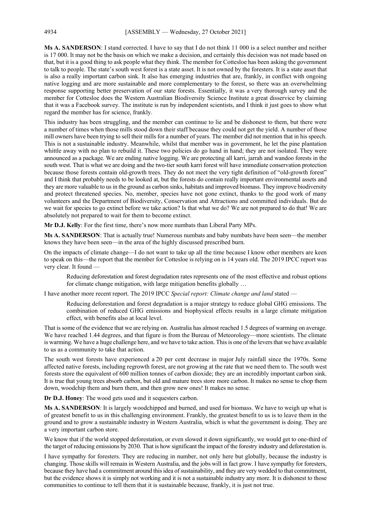**Ms A. SANDERSON**: I stand corrected. I have to say that I do not think 11 000 is a select number and neither is 17 000. It may not be the basis on which we make a decision, and certainly this decision was not made based on that, but it is a good thing to ask people what they think. The member for Cottesloe has been asking the government to talk to people. The state's south west forest is a state asset. It is not owned by the foresters. It is a state asset that is also a really important carbon sink. It also has emerging industries that are, frankly, in conflict with ongoing native logging and are more sustainable and more complementary to the forest, so there was an overwhelming response supporting better preservation of our state forests. Essentially, it was a very thorough survey and the member for Cottesloe does the Western Australian Biodiversity Science Institute a great disservice by claiming that it was a Facebook survey. The institute is run by independent scientists, and I think it just goes to show what regard the member has for science, frankly.

This industry has been struggling, and the member can continue to lie and be dishonest to them, but there were a number of times when those mills stood down their staff because they could not get the yield. A number of those mill owners have been trying to sell their mills for a number of years. The member did not mention that in his speech. This is not a sustainable industry. Meanwhile, whilst that member was in government, he let the pine plantation whittle away with no plan to rebuild it. These two policies do go hand in hand; they are not isolated. They were announced as a package. We are ending native logging. We are protecting all karri, jarrah and wandoo forests in the south west. That is what we are doing and the two-tier south karri forest will have immediate conservation protection because those forests contain old-growth trees. They do not meet the very tight definition of "old-growth forest" and I think that probably needs to be looked at, but the forests do contain really important environmental assets and they are more valuable to us in the ground as carbon sinks, habitats and improved biomass. They improve biodiversity and protect threatened species. No, member, species have not gone extinct, thanks to the good work of many volunteers and the Department of Biodiversity, Conservation and Attractions and committed individuals. But do we wait for species to go extinct before we take action? Is that what we do? We are not prepared to do that! We are absolutely not prepared to wait for them to become extinct.

**Mr D.J. Kelly**: For the first time, there's now more numbats than Liberal Party MPs.

**Ms A. SANDERSON**: That is actually true! Numerous numbats and baby numbats have been seen—the member knows they have been seen—in the area of the highly discussed prescribed burn.

On the impacts of climate change—I do not want to take up all the time because I know other members are keen to speak on this—the report that the member for Cottesloe is relying on is 14 years old. The 2019 IPCC report was very clear. It found —

Reducing deforestation and forest degradation rates represents one of the most effective and robust options for climate change mitigation, with large mitigation benefits globally …

I have another more recent report. The 2019 IPCC *Special report: Climate change and land* stated —

Reducing deforestation and forest degradation is a major strategy to reduce global GHG emissions. The combination of reduced GHG emissions and biophysical effects results in a large climate mitigation effect, with benefits also at local level.

That is some of the evidence that we are relying on. Australia has almost reached 1.5 degrees of warming on average. We have reached 1.44 degrees, and that figure is from the Bureau of Meteorology—more scientists. The climate is warming. We have a huge challenge here, and we have to take action. This is one of the levers that we have available to us as a community to take that action.

The south west forests have experienced a 20 per cent decrease in major July rainfall since the 1970s. Some affected native forests, including regrowth forest, are not growing at the rate that we need them to. The south west forests store the equivalent of 600 million tonnes of carbon dioxide; they are an incredibly important carbon sink. It is true that young trees absorb carbon, but old and mature trees store more carbon. It makes no sense to chop them down, woodchip them and burn them, and then grow new ones! It makes no sense.

**Dr D.J. Honey**: The wood gets used and it sequesters carbon.

**Ms A. SANDERSON**: It is largely woodchipped and burned, and used for biomass. We have to weigh up what is of greatest benefit to us in this challenging environment. Frankly, the greatest benefit to us is to leave them in the ground and to grow a sustainable industry in Western Australia, which is what the government is doing. They are a very important carbon store.

We know that if the world stopped deforestation, or even slowed it down significantly, we would get to one-third of the target of reducing emissions by 2030. That is how significant the impact of the forestry industry and deforestation is.

I have sympathy for foresters. They are reducing in number, not only here but globally, because the industry is changing. Those skills will remain in Western Australia, and the jobs will in fact grow. I have sympathy for foresters, because they have had a commitment around this idea of sustainability, and they are very wedded to that commitment, but the evidence shows it is simply not working and it is not a sustainable industry any more. It is dishonest to those communities to continue to tell them that it is sustainable because, frankly, it is just not true.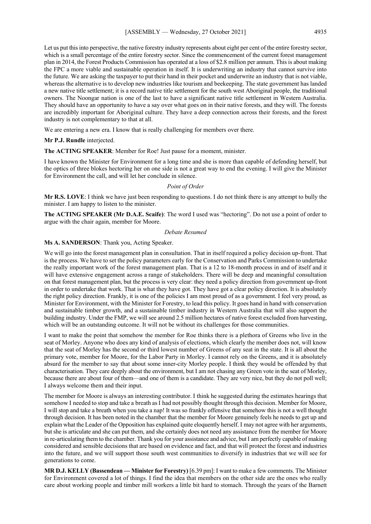Let us put this into perspective, the native forestry industry represents about eight per cent of the entire forestry sector, which is a small percentage of the entire forestry sector. Since the commencement of the current forest management plan in 2014, the Forest Products Commission has operated at a loss of \$2.8 million per annum. This is about making the FPC a more viable and sustainable operation in itself. It is underwriting an industry that cannot survive into the future. We are asking the taxpayer to put their hand in their pocket and underwrite an industry that is not viable, whereas the alternative is to develop new industries like tourism and beekeeping. The state government has landed a new native title settlement; it is a record native title settlement for the south west Aboriginal people, the traditional owners. The Noongar nation is one of the last to have a significant native title settlement in Western Australia. They should have an opportunity to have a say over what goes on in their native forests, and they will. The forests are incredibly important for Aboriginal culture. They have a deep connection across their forests, and the forest industry is not complementary to that at all.

We are entering a new era. I know that is really challenging for members over there.

#### **Mr P.J. Rundle** interjected.

**The ACTING SPEAKER**: Member for Roe! Just pause for a moment, minister.

I have known the Minister for Environment for a long time and she is more than capable of defending herself, but the optics of three blokes hectoring her on one side is not a great way to end the evening. I will give the Minister for Environment the call, and will let her conclude in silence.

#### *Point of Order*

**Mr R.S. LOVE**: I think we have just been responding to questions. I do not think there is any attempt to bully the minister. I am happy to listen to the minister.

**The ACTING SPEAKER (Mr D.A.E. Scaife)**: The word I used was "hectoring". Do not use a point of order to argue with the chair again, member for Moore.

#### *Debate Resumed*

#### **Ms A. SANDERSON**: Thank you, Acting Speaker.

We will go into the forest management plan in consultation. That in itself required a policy decision up-front. That is the process. We have to set the policy parameters early for the Conservation and Parks Commission to undertake the really important work of the forest management plan. That is a 12 to 18-month process in and of itself and it will have extensive engagement across a range of stakeholders. There will be deep and meaningful consultation on that forest management plan, but the process is very clear: they need a policy direction from government up-front in order to undertake that work. That is what they have got. They have got a clear policy direction. It is absolutely the right policy direction. Frankly, it is one of the policies I am most proud of as a government. I feel very proud, as Minister for Environment, with the Minister for Forestry, to lead this policy. It goes hand in hand with conservation and sustainable timber growth, and a sustainable timber industry in Western Australia that will also support the building industry. Under the FMP, we will see around 2.5 million hectares of native forest excluded from harvesting, which will be an outstanding outcome. It will not be without its challenges for those communities.

I want to make the point that somehow the member for Roe thinks there is a plethora of Greens who live in the seat of Morley. Anyone who does any kind of analysis of elections, which clearly the member does not, will know that the seat of Morley has the second or third lowest number of Greens of any seat in the state. It is all about the primary vote, member for Moore, for the Labor Party in Morley. I cannot rely on the Greens, and it is absolutely absurd for the member to say that about some inner-city Morley people. I think they would be offended by that characterisation. They care deeply about the environment, but I am not chasing any Green vote in the seat of Morley, because there are about four of them—and one of them is a candidate. They are very nice, but they do not poll well; I always welcome them and their input.

The member for Moore is always an interesting contributor. I think he suggested during the estimates hearings that somehow I needed to stop and take a breath as I had not possibly thought through this decision. Member for Moore, I will stop and take a breath when you take a nap! It was so frankly offensive that somehow this is not a well thought through decision. It has been noted in the chamber that the member for Moore genuinely feels he needs to get up and explain what the Leader of the Opposition has explained quite eloquently herself. I may not agree with her arguments, but she is articulate and she can put them, and she certainly does not need any assistance from the member for Moore in re-articulating them to the chamber. Thank you for your assistance and advice, but I am perfectly capable of making considered and sensible decisions that are based on evidence and fact, and that will protect the forest and industries into the future, and we will support those south west communities to diversify in industries that we will see for generations to come.

**MR D.J. KELLY (Bassendean — Minister for Forestry)** [6.39 pm]: I want to make a few comments. The Minister for Environment covered a lot of things. I find the idea that members on the other side are the ones who really care about working people and timber mill workers a little bit hard to stomach. Through the years of the Barnett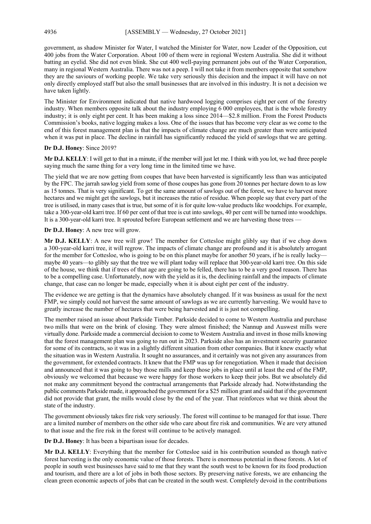government, as shadow Minister for Water, I watched the Minister for Water, now Leader of the Opposition, cut 400 jobs from the Water Corporation. About 100 of them were in regional Western Australia. She did it without batting an eyelid. She did not even blink. She cut 400 well-paying permanent jobs out of the Water Corporation, many in regional Western Australia. There was not a peep. I will not take it from members opposite that somehow they are the saviours of working people. We take very seriously this decision and the impact it will have on not only directly employed staff but also the small businesses that are involved in this industry. It is not a decision we have taken lightly.

The Minister for Environment indicated that native hardwood logging comprises eight per cent of the forestry industry. When members opposite talk about the industry employing 6 000 employees, that is the whole forestry industry; it is only eight per cent. It has been making a loss since 2014—\$2.8 million. From the Forest Products Commission's books, native logging makes a loss. One of the issues that has become very clear as we come to the end of this forest management plan is that the impacts of climate change are much greater than were anticipated when it was put in place. The decline in rainfall has significantly reduced the yield of sawlogs that we are getting.

#### **Dr D.J. Honey**: Since 2019?

**Mr D.J. KELLY**: I will get to that in a minute, if the member will just let me. I think with you lot, we had three people saying much the same thing for a very long time in the limited time we have.

The yield that we are now getting from coupes that have been harvested is significantly less than was anticipated by the FPC. The jarrah sawlog yield from some of those coupes has gone from 20 tonnes per hectare down to as low as 15 tonnes. That is very significant. To get the same amount of sawlogs out of the forest, we have to harvest more hectares and we might get the sawlogs, but it increases the ratio of residue. When people say that every part of the tree is utilised, in many cases that is true, but some of it is for quite low-value products like woodchips. For example, take a 300-year-old karri tree. If 60 per cent of that tree is cut into sawlogs, 40 per cent will be turned into woodchips. It is a 300-year-old karri tree. It sprouted before European settlement and we are harvesting those trees —

#### **Dr D.J. Honey**: A new tree will grow.

**Mr D.J. KELLY**: A new tree will grow! The member for Cottesloe might glibly say that if we chop down a 300-year-old karri tree, it will regrow. The impacts of climate change are profound and it is absolutely arrogant for the member for Cottesloe, who is going to be on this planet maybe for another 50 years, if he is really lucky maybe 40 years—to glibly say that the tree we will plant today will replace that 300-year-old karri tree. On this side of the house, we think that if trees of that age are going to be felled, there has to be a very good reason. There has to be a compelling case. Unfortunately, now with the yield as it is, the declining rainfall and the impacts of climate change, that case can no longer be made, especially when it is about eight per cent of the industry.

The evidence we are getting is that the dynamics have absolutely changed. If it was business as usual for the next FMP, we simply could not harvest the same amount of sawlogs as we are currently harvesting. We would have to greatly increase the number of hectares that were being harvested and it is just not compelling.

The member raised an issue about Parkside Timber. Parkside decided to come to Western Australia and purchase two mills that were on the brink of closing. They were almost finished; the Nannup and Auswest mills were virtually done. Parkside made a commercial decision to come to Western Australia and invest in those mills knowing that the forest management plan was going to run out in 2023. Parkside also has an investment security guarantee for some of its contracts, so it was in a slightly different situation from other companies. But it knew exactly what the situation was in Western Australia. It sought no assurances, and it certainly was not given any assurances from the government, for extended contracts. It knew that the FMP was up for renegotiation. When it made that decision and announced that it was going to buy those mills and keep those jobs in place until at least the end of the FMP, obviously we welcomed that because we were happy for those workers to keep their jobs. But we absolutely did not make any commitment beyond the contractual arrangements that Parkside already had. Notwithstanding the public comments Parkside made, it approached the government for a \$25 million grant and said that if the government did not provide that grant, the mills would close by the end of the year. That reinforces what we think about the state of the industry.

The government obviously takes fire risk very seriously. The forest will continue to be managed for that issue. There are a limited number of members on the other side who care about fire risk and communities. We are very attuned to that issue and the fire risk in the forest will continue to be actively managed.

**Dr D.J. Honey**: It has been a bipartisan issue for decades.

**Mr D.J. KELLY**: Everything that the member for Cottesloe said in his contribution sounded as though native forest harvesting is the only economic value of those forests. There is enormous potential in those forests. A lot of people in south west businesses have said to me that they want the south west to be known for its food production and tourism, and there are a lot of jobs in both those sectors. By preserving native forests, we are enhancing the clean green economic aspects of jobs that can be created in the south west. Completely devoid in the contributions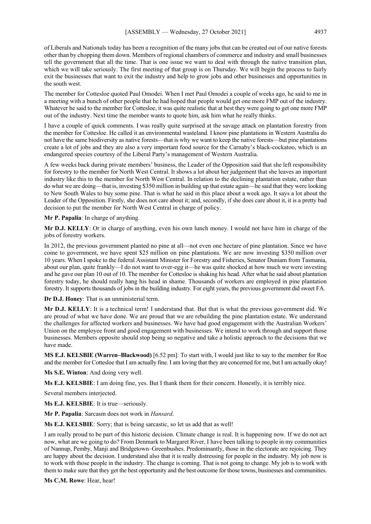of Liberals and Nationals today has been a recognition of the many jobs that can be created out of our native forests other than by chopping them down. Members of regional chambers of commerce and industry and small businesses tell the government that all the time. That is one issue we want to deal with through the native transition plan, which we will take seriously. The first meeting of that group is on Thursday. We will begin the process to fairly exit the businesses that want to exit the industry and help to grow jobs and other businesses and opportunities in the south west.

The member for Cottesloe quoted Paul Omodei. When I met Paul Omodei a couple of weeks ago, he said to me in a meeting with a bunch of other people that he had hoped that people would get one more FMP out of the industry. Whatever he said to the member for Cottesloe, it was quite realistic that at best they were going to get one more FMP out of the industry. Next time the member wants to quote him, ask him what he really thinks.

I have a couple of quick comments. I was really quite surprised at the savage attack on plantation forestry from the member for Cottesloe. He called it an environmental wasteland. I know pine plantations in Western Australia do not have the same biodiversity as native forests—that is why we want to keep the native forests—but pine plantations create a lot of jobs and they are also a very important food source for the Carnaby's black-cockatoo, which is an endangered species courtesy of the Liberal Party's management of Western Australia.

A few weeks back during private members' business, the Leader of the Opposition said that she left responsibility for forestry to the member for North West Central. It shows a lot about her judgement that she leaves an important industry like this to the member for North West Central. In relation to the declining plantation estate, rather than do what we are doing—that is, investing \$350 million in building up that estate again—he said that they were looking to New South Wales to buy some pine. That is what he said in this place about a week ago. It says a lot about the Leader of the Opposition. Firstly, she does not care about it; and, secondly, if she does care about it, it is a pretty bad decision to put the member for North West Central in charge of policy.

**Mr P. Papalia**: In charge of anything.

**Mr D.J. KELLY**: Or in charge of anything, even his own lunch money. I would not have him in charge of the jobs of forestry workers.

In 2012, the previous government planted no pine at all—not even one hectare of pine plantation. Since we have come to government, we have spent \$25 million on pine plantations. We are now investing \$350 million over 10 years. When I spoke to the federal Assistant Minister for Forestry and Fisheries, Senator Duniam from Tasmania, about our plan, quite frankly—I do not want to over-egg it—he was quite shocked at how much we were investing and he gave our plan 10 out of 10. The member for Cottesloe is shaking his head. After what he said about plantation forestry today, he should really hang his head in shame. Thousands of workers are employed in pine plantation forestry. It supports thousands of jobs in the building industry. For eight years, the previous government did sweet FA.

**Dr D.J. Honey**: That is an unministerial term.

**Mr D.J. KELLY**: It is a technical term! I understand that. But that is what the previous government did. We are proud of what we have done. We are proud that we are rebuilding the pine plantation estate. We understand the challenges for affected workers and businesses. We have had good engagement with the Australian Workers' Union on the employee front and good engagement with businesses. We intend to work through and support those businesses. Members opposite should stop being so negative and take a holistic approach to the decisions that we have made.

**MS E.J. KELSBIE (Warren–Blackwood)** [6.52 pm]: To start with, I would just like to say to the member for Roe and the member for Cottesloe that I am actually fine. I am loving that they are concerned for me, but I am actually okay!

**Ms S.E. Winton**: And doing very well.

**Ms E.J. KELSBIE**: I am doing fine, yes. But I thank them for their concern. Honestly, it is terribly nice.

Several members interjected.

**Ms E.J. KELSBIE**: It is true—seriously.

**Mr P. Papalia**: Sarcasm does not work in *Hansard*.

**Ms E.J. KELSBIE**: Sorry; that is being sarcastic, so let us add that as well!

I am really proud to be part of this historic decision. Climate change is real. It is happening now. If we do not act now, what are we going to do? From Denmark to Margaret River, I have been talking to people in my communities of Nannup, Pemby, Manji and Bridgetown–Greenbushes. Predominantly, those in the electorate are rejoicing. They are happy about the decision. I understand also that it is really distressing for people in the industry. My job now is to work with those people in the industry. The change is coming. That is not going to change. My job is to work with them to make sure that they get the best opportunity and the best outcome for those towns, businesses and communities.

**Ms C.M. Rowe**: Hear, hear!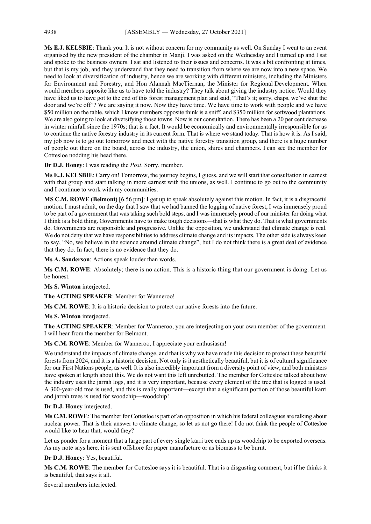**Ms E.J. KELSBIE**: Thank you. It is not without concern for my community as well. On Sunday I went to an event organised by the new president of the chamber in Manji. I was asked on the Wednesday and I turned up and I sat and spoke to the business owners. I sat and listened to their issues and concerns. It was a bit confronting at times, but that is my job, and they understand that they need to transition from where we are now into a new space. We need to look at diversification of industry, hence we are working with different ministers, including the Ministers for Environment and Forestry, and Hon Alannah MacTiernan, the Minister for Regional Development. When would members opposite like us to have told the industry? They talk about giving the industry notice. Would they have liked us to have got to the end of this forest management plan and said, "That's it; sorry, chaps, we've shut the door and we're off"? We are saying it now. Now they have time. We have time to work with people and we have \$50 million on the table, which I know members opposite think is a sniff, and \$350 million for softwood plantations. We are also going to look at diversifying those towns. Now is our consultation. There has been a 20 per cent decrease in winter rainfall since the 1970s; that is a fact. It would be economically and environmentally irresponsible for us to continue the native forestry industry in its current form. That is where we stand today. That is how it is. As I said, my job now is to go out tomorrow and meet with the native forestry transition group, and there is a huge number of people out there on the board, across the industry, the union, shires and chambers. I can see the member for Cottesloe nodding his head there.

**Dr D.J. Honey**: I was reading the *Post*. Sorry, member.

**Ms E.J. KELSBIE**: Carry on! Tomorrow, the journey begins, I guess, and we will start that consultation in earnest with that group and start talking in more earnest with the unions, as well. I continue to go out to the community and I continue to work with my communities.

**MS C.M. ROWE (Belmont)** [6.56 pm]: I get up to speak absolutely against this motion. In fact, it is a disgraceful motion. I must admit, on the day that I saw that we had banned the logging of native forest, I was immensely proud to be part of a government that was taking such bold steps, and I was immensely proud of our minister for doing what I think is a bold thing. Governments have to make tough decisions—that is what they do. That is what governments do. Governments are responsible and progressive. Unlike the opposition, we understand that climate change is real. We do not deny that we have responsibilities to address climate change and its impacts. The other side is always keen to say, "No, we believe in the science around climate change", but I do not think there is a great deal of evidence that they do. In fact, there is no evidence that they do.

**Ms A. Sanderson**: Actions speak louder than words.

**Ms C.M. ROWE**: Absolutely; there is no action. This is a historic thing that our government is doing. Let us be honest.

**Ms S. Winton** interjected.

**The ACTING SPEAKER**: Member for Wanneroo!

**Ms C.M. ROWE**: It is a historic decision to protect our native forests into the future.

**Ms S. Winton** interjected.

**The ACTING SPEAKER**: Member for Wanneroo, you are interjecting on your own member of the government. I will hear from the member for Belmont.

**Ms C.M. ROWE**: Member for Wanneroo, I appreciate your enthusiasm!

We understand the impacts of climate change, and that is why we have made this decision to protect these beautiful forests from 2024, and it is a historic decision. Not only is it aesthetically beautiful, but it is of cultural significance for our First Nations people, as well. It is also incredibly important from a diversity point of view, and both ministers have spoken at length about this. We do not want this left unrebutted. The member for Cottesloe talked about how the industry uses the jarrah logs, and it is very important, because every element of the tree that is logged is used. A 300-year-old tree is used, and this is really important—except that a significant portion of those beautiful karri and jarrah trees is used for woodchip—woodchip!

**Dr D.J. Honey** interjected.

**Ms C.M. ROWE**: The member for Cottesloe is part of an opposition in which his federal colleagues are talking about nuclear power. That is their answer to climate change, so let us not go there! I do not think the people of Cottesloe would like to hear that, would they?

Let us ponder for a moment that a large part of every single karri tree ends up as woodchip to be exported overseas. As my note says here, it is sent offshore for paper manufacture or as biomass to be burnt.

**Dr D.J. Honey**: Yes, beautiful.

**Ms C.M. ROWE**: The member for Cottesloe says it is beautiful. That is a disgusting comment, but if he thinks it is beautiful, that says it all.

Several members interjected.